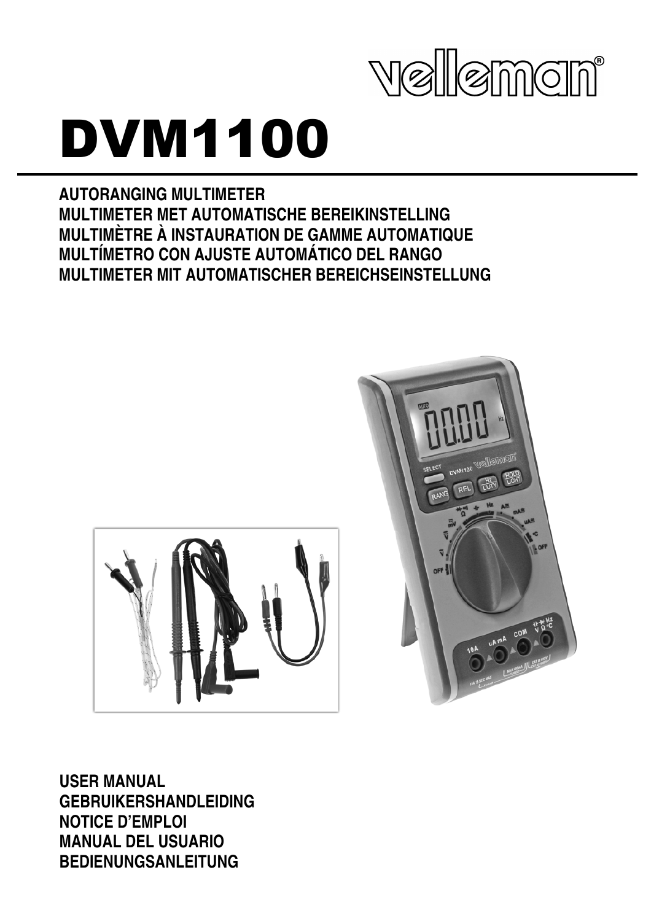

# DVM1100

**AUTORANGING MULTIMETER MULTIMETER MET AUTOMATISCHE BEREIKINSTELLING MULTIMÈTRE À INSTAURATION DE GAMME AUTOMATIQUE MULTÍMETRO CON AJUSTE AUTOMÁTICO DEL RANGO MULTIMETER MIT AUTOMATISCHER BEREICHSEINSTELLUNG** 





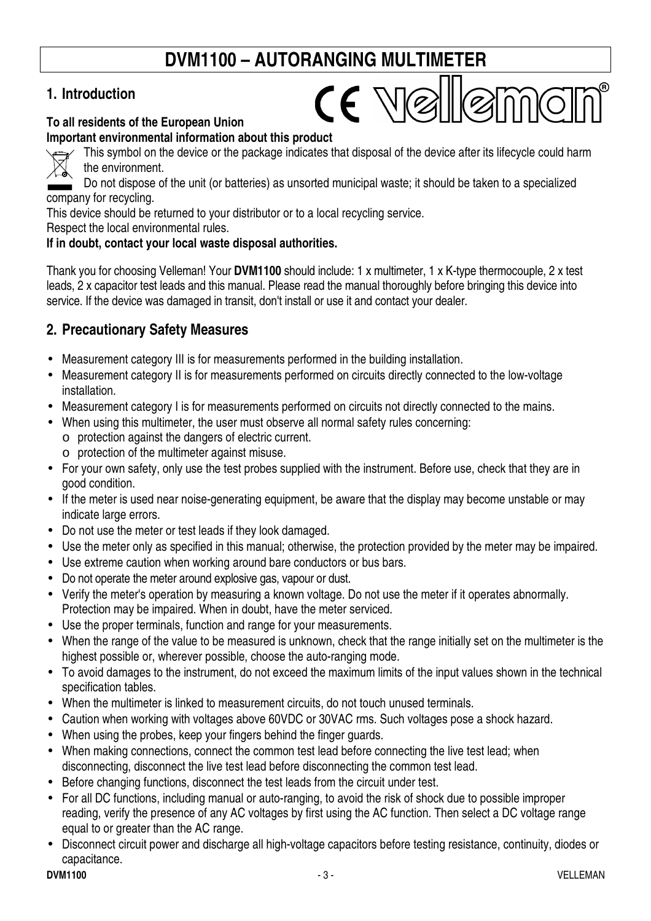## **DVM1100 – AUTORANGING MULTIMETER**

## **1. Introduction**

#### **To all residents of the European Union**

**Important environmental information about this product** 



This symbol on the device or the package indicates that disposal of the device after its lifecycle could harm the environment.

 $CE$   $N$  $\otimes$ 

Do not dispose of the unit (or batteries) as unsorted municipal waste; it should be taken to a specialized company for recycling.

This device should be returned to your distributor or to a local recycling service.

Respect the local environmental rules.

#### **If in doubt, contact your local waste disposal authorities.**

Thank you for choosing Velleman! Your **DVM1100** should include: 1 x multimeter, 1 x K-type thermocouple, 2 x test leads, 2 x capacitor test leads and this manual. Please read the manual thoroughly before bringing this device into service. If the device was damaged in transit, don't install or use it and contact your dealer.

## **2. Precautionary Safety Measures**

- Measurement category III is for measurements performed in the building installation.
- Measurement category II is for measurements performed on circuits directly connected to the low-voltage installation.
- Measurement category I is for measurements performed on circuits not directly connected to the mains.
- When using this multimeter, the user must observe all normal safety rules concerning:
	- o protection against the dangers of electric current.
	- o protection of the multimeter against misuse.
- For your own safety, only use the test probes supplied with the instrument. Before use, check that they are in good condition.
- If the meter is used near noise-generating equipment, be aware that the display may become unstable or may indicate large errors.
- Do not use the meter or test leads if they look damaged.
- Use the meter only as specified in this manual; otherwise, the protection provided by the meter may be impaired.
- Use extreme caution when working around bare conductors or bus bars.
- Do not operate the meter around explosive gas, vapour or dust.
- Verify the meter's operation by measuring a known voltage. Do not use the meter if it operates abnormally. Protection may be impaired. When in doubt, have the meter serviced.
- Use the proper terminals, function and range for your measurements.
- When the range of the value to be measured is unknown, check that the range initially set on the multimeter is the highest possible or, wherever possible, choose the auto-ranging mode.
- To avoid damages to the instrument, do not exceed the maximum limits of the input values shown in the technical specification tables.
- When the multimeter is linked to measurement circuits, do not touch unused terminals.
- Caution when working with voltages above 60VDC or 30VAC rms. Such voltages pose a shock hazard.
- When using the probes, keep your fingers behind the finger guards.
- When making connections, connect the common test lead before connecting the live test lead; when disconnecting, disconnect the live test lead before disconnecting the common test lead.
- Before changing functions, disconnect the test leads from the circuit under test.
- For all DC functions, including manual or auto-ranging, to avoid the risk of shock due to possible improper reading, verify the presence of any AC voltages by first using the AC function. Then select a DC voltage range equal to or greater than the AC range.
- Disconnect circuit power and discharge all high-voltage capacitors before testing resistance, continuity, diodes or capacitance.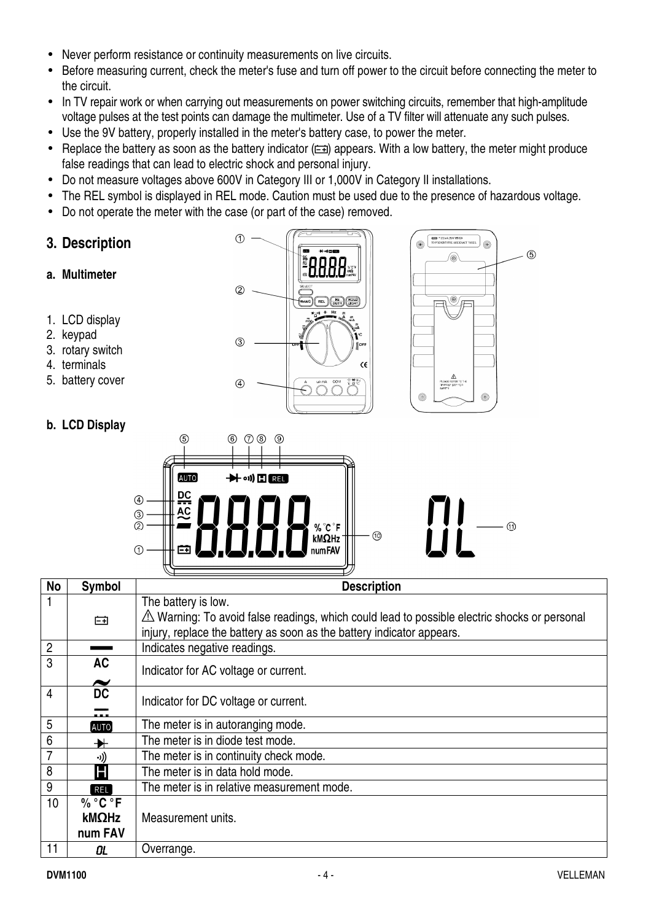- Never perform resistance or continuity measurements on live circuits.
- Before measuring current, check the meter's fuse and turn off power to the circuit before connecting the meter to the circuit.
- In TV repair work or when carrying out measurements on power switching circuits, remember that high-amplitude voltage pulses at the test points can damage the multimeter. Use of a TV filter will attenuate any such pulses.
- Use the 9V battery, properly installed in the meter's battery case, to power the meter.
- Replace the battery as soon as the battery indicator  $(\equiv \equiv)$  appears. With a low battery, the meter might produce false readings that can lead to electric shock and personal injury.
- Do not measure voltages above 600V in Category III or 1,000V in Category II installations.
- The REL symbol is displayed in REL mode. Caution must be used due to the presence of hazardous voltage.
- Do not operate the meter with the case (or part of the case) removed.
- **3. Description**
- **a. Multimeter**
- 1. LCD display
- 2. keypad
- 3. rotary switch
- 4. terminals
- 5. battery cover

#### **b. LCD Display**







| <b>No</b>      | <b>Symbol</b>         | <b>Description</b>                                                                                     |
|----------------|-----------------------|--------------------------------------------------------------------------------------------------------|
|                |                       | The battery is low.                                                                                    |
|                | 臼                     | $\triangle$ Warning: To avoid false readings, which could lead to possible electric shocks or personal |
|                |                       | injury, replace the battery as soon as the battery indicator appears.                                  |
| $\overline{2}$ |                       | Indicates negative readings.                                                                           |
| 3              | <b>AC</b>             | Indicator for AC voltage or current.                                                                   |
|                | $\tilde{\phantom{a}}$ |                                                                                                        |
| 4              | <b>DC</b>             | Indicator for DC voltage or current.                                                                   |
|                | .                     |                                                                                                        |
| 5              | <b>AUTO</b>           | The meter is in autoranging mode.                                                                      |
| 6              | ₩                     | The meter is in diode test mode.                                                                       |
|                | -))                   | The meter is in continuity check mode.                                                                 |
| 8              | Н                     | The meter is in data hold mode.                                                                        |
| 9              | <b>REL</b>            | The meter is in relative measurement mode.                                                             |
| 10             | $\%$ °C °F            |                                                                                                        |
|                | kMΩHz                 | Measurement units.                                                                                     |
|                | num FAV               |                                                                                                        |
| 11             | OL                    | Overrange.                                                                                             |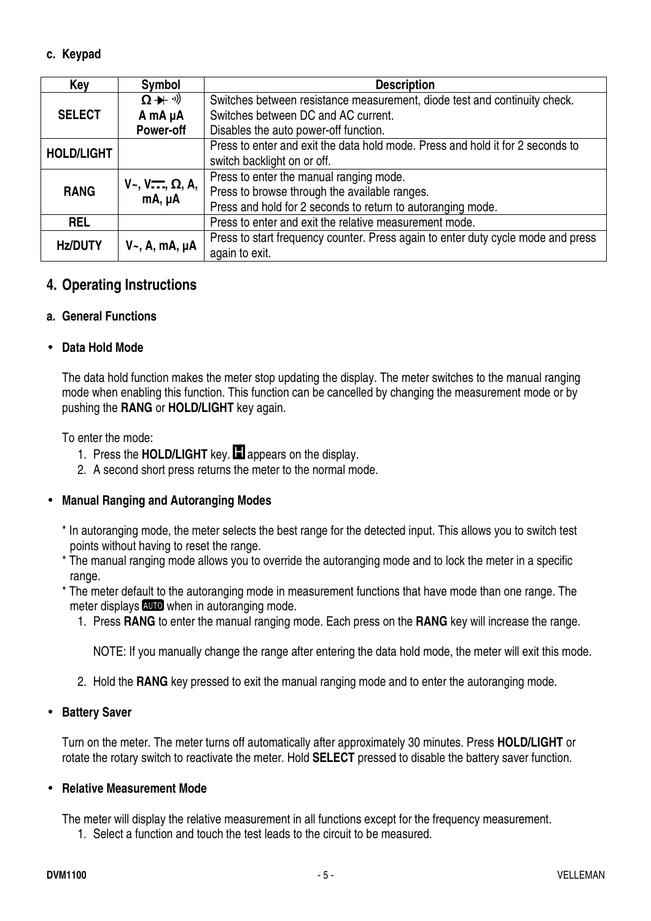#### **c. Keypad**

| Key               | Symbol                  | <b>Description</b>                                                               |
|-------------------|-------------------------|----------------------------------------------------------------------------------|
|                   | $\Omega + \vartheta$    | Switches between resistance measurement, diode test and continuity check.        |
| <b>SELECT</b>     | A mA µA                 | Switches between DC and AC current.                                              |
|                   | Power-off               | Disables the auto power-off function.                                            |
| <b>HOLD/LIGHT</b> |                         | Press to enter and exit the data hold mode. Press and hold it for 2 seconds to   |
|                   |                         | switch backlight on or off.                                                      |
|                   | $V-, V$ , $\Omega, A$ , | Press to enter the manual ranging mode.                                          |
| <b>RANG</b>       | mA, µA                  | Press to browse through the available ranges.                                    |
|                   |                         | Press and hold for 2 seconds to return to autoranging mode.                      |
| <b>REL</b>        |                         | Press to enter and exit the relative measurement mode.                           |
| <b>Hz/DUTY</b>    | $V_{\sim}$ , A, mA, µA  | Press to start frequency counter. Press again to enter duty cycle mode and press |
|                   |                         | again to exit.                                                                   |

#### **4. Operating Instructions**

#### **a. General Functions**

#### • **Data Hold Mode**

The data hold function makes the meter stop updating the display. The meter switches to the manual ranging mode when enabling this function. This function can be cancelled by changing the measurement mode or by pushing the **RANG** or **HOLD/LIGHT** key again.

To enter the mode:

- 1. Press the **HOLD/LIGHT** key. **I** appears on the display.
- 2. A second short press returns the meter to the normal mode.

#### • **Manual Ranging and Autoranging Modes**

- \* In autoranging mode, the meter selects the best range for the detected input. This allows you to switch test points without having to reset the range.
- \* The manual ranging mode allows you to override the autoranging mode and to lock the meter in a specific range.
- \* The meter default to the autoranging mode in measurement functions that have mode than one range. The meter displays **AUD** when in autoranging mode.
	- 1. Press **RANG** to enter the manual ranging mode. Each press on the **RANG** key will increase the range.

NOTE: If you manually change the range after entering the data hold mode, the meter will exit this mode.

2. Hold the **RANG** key pressed to exit the manual ranging mode and to enter the autoranging mode.

#### • **Battery Saver**

Turn on the meter. The meter turns off automatically after approximately 30 minutes. Press **HOLD/LIGHT** or rotate the rotary switch to reactivate the meter. Hold **SELECT** pressed to disable the battery saver function.

#### • **Relative Measurement Mode**

The meter will display the relative measurement in all functions except for the frequency measurement.

1. Select a function and touch the test leads to the circuit to be measured.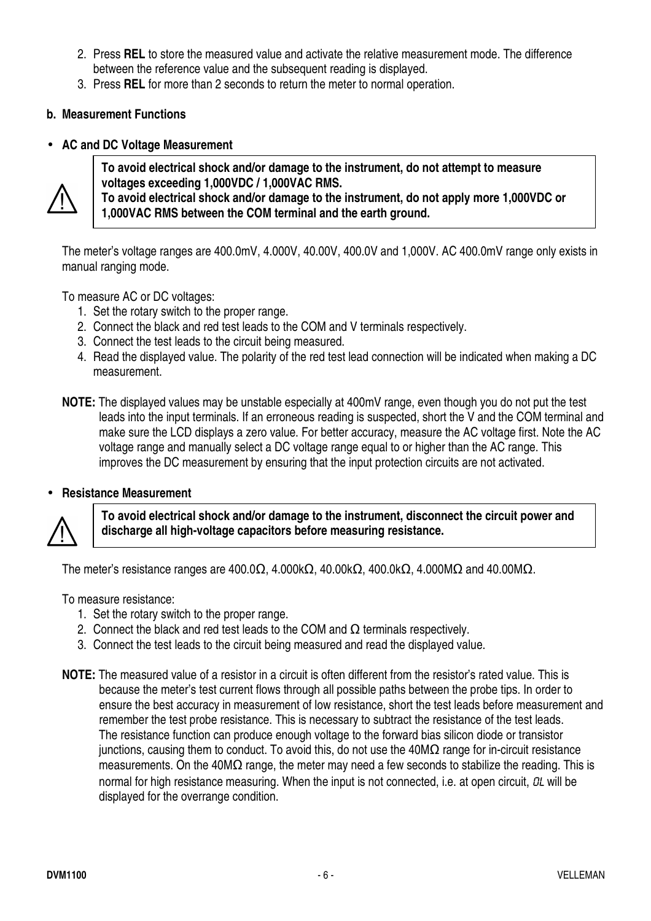- 2. Press **REL** to store the measured value and activate the relative measurement mode. The difference between the reference value and the subsequent reading is displayed.
- 3. Press **REL** for more than 2 seconds to return the meter to normal operation.

#### **b. Measurement Functions**

#### • **AC and DC Voltage Measurement**



**To avoid electrical shock and/or damage to the instrument, do not attempt to measure voltages exceeding 1,000VDC / 1,000VAC RMS.** 

**To avoid electrical shock and/or damage to the instrument, do not apply more 1,000VDC or 1,000VAC RMS between the COM terminal and the earth ground.** 

The meter's voltage ranges are 400.0mV, 4.000V, 40.00V, 400.0V and 1,000V. AC 400.0mV range only exists in manual ranging mode.

To measure AC or DC voltages:

- 1. Set the rotary switch to the proper range.
- 2. Connect the black and red test leads to the COM and V terminals respectively.
- 3. Connect the test leads to the circuit being measured.
- 4. Read the displayed value. The polarity of the red test lead connection will be indicated when making a DC measurement.
- **NOTE:** The displayed values may be unstable especially at 400mV range, even though you do not put the test leads into the input terminals. If an erroneous reading is suspected, short the V and the COM terminal and make sure the LCD displays a zero value. For better accuracy, measure the AC voltage first. Note the AC voltage range and manually select a DC voltage range equal to or higher than the AC range. This improves the DC measurement by ensuring that the input protection circuits are not activated.

#### • **Resistance Measurement**



**To avoid electrical shock and/or damage to the instrument, disconnect the circuit power and discharge all high-voltage capacitors before measuring resistance.** 

The meter's resistance ranges are 400.0Ω, 4.000kΩ, 40.00kΩ, 400.0kΩ, 4.000MΩ and 40.00MΩ.

To measure resistance:

- 1. Set the rotary switch to the proper range.
- 2. Connect the black and red test leads to the COM and  $\Omega$  terminals respectively.
- 3. Connect the test leads to the circuit being measured and read the displayed value.
- **NOTE:** The measured value of a resistor in a circuit is often different from the resistor's rated value. This is because the meter's test current flows through all possible paths between the probe tips. In order to ensure the best accuracy in measurement of low resistance, short the test leads before measurement and remember the test probe resistance. This is necessary to subtract the resistance of the test leads. The resistance function can produce enough voltage to the forward bias silicon diode or transistor junctions, causing them to conduct. To avoid this, do not use the 40MΩ range for in-circuit resistance measurements. On the 40MΩ range, the meter may need a few seconds to stabilize the reading. This is normal for high resistance measuring. When the input is not connected, i.e. at open circuit.  $OL$  will be displayed for the overrange condition.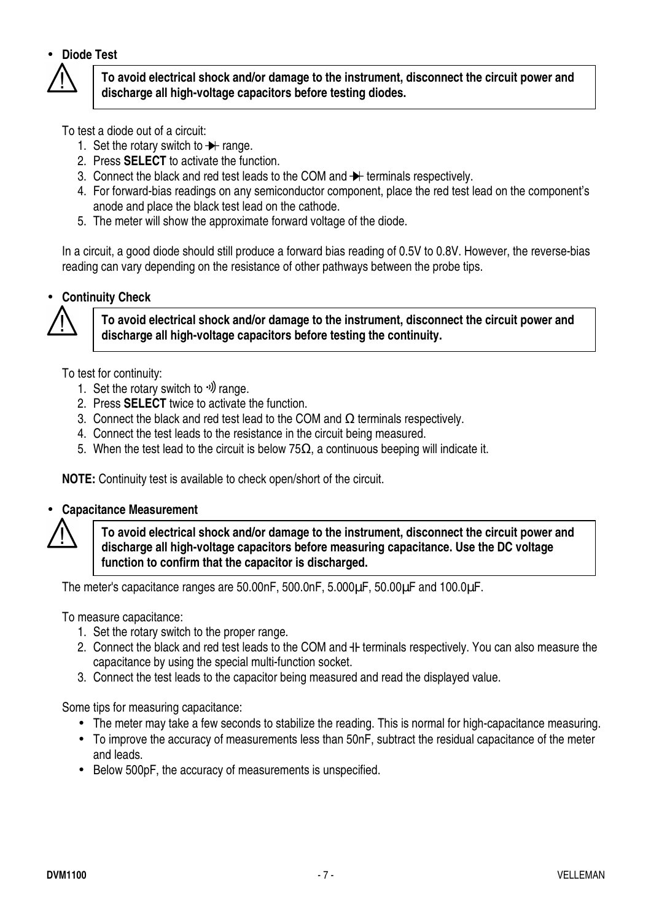#### • **Diode Test**



**To avoid electrical shock and/or damage to the instrument, disconnect the circuit power and discharge all high-voltage capacitors before testing diodes.** 

To test a diode out of a circuit:

- 1. Set the rotary switch to  $\rightarrow$  range.
- 2. Press **SELECT** to activate the function.
- 3. Connect the black and red test leads to the COM and  $\rightarrow$  terminals respectively.
- 4. For forward-bias readings on any semiconductor component, place the red test lead on the component's anode and place the black test lead on the cathode.
- 5. The meter will show the approximate forward voltage of the diode.

In a circuit, a good diode should still produce a forward bias reading of 0.5V to 0.8V. However, the reverse-bias reading can vary depending on the resistance of other pathways between the probe tips.

#### • **Continuity Check**



**To avoid electrical shock and/or damage to the instrument, disconnect the circuit power and discharge all high-voltage capacitors before testing the continuity.** 

To test for continuity:

- 1. Set the rotary switch to  $\psi$  range.
- 2. Press **SELECT** twice to activate the function.
- 3. Connect the black and red test lead to the COM and  $\Omega$  terminals respectively.
- 4. Connect the test leads to the resistance in the circuit being measured.
- 5. When the test lead to the circuit is below 75 $Ω$ , a continuous beeping will indicate it.

**NOTE:** Continuity test is available to check open/short of the circuit.

#### • **Capacitance Measurement**



**To avoid electrical shock and/or damage to the instrument, disconnect the circuit power and discharge all high-voltage capacitors before measuring capacitance. Use the DC voltage function to confirm that the capacitor is discharged.** 

The meter's capacitance ranges are 50.00nF, 500.0nF, 5.000µF, 50.00µF and 100.0µF.

To measure capacitance:

- 1. Set the rotary switch to the proper range.
- 2. Connect the black and red test leads to the COM and  $+$  terminals respectively. You can also measure the capacitance by using the special multi-function socket.
- 3. Connect the test leads to the capacitor being measured and read the displayed value.

Some tips for measuring capacitance:

- The meter may take a few seconds to stabilize the reading. This is normal for high-capacitance measuring.
- To improve the accuracy of measurements less than 50nF, subtract the residual capacitance of the meter and leads.
- Below 500pF, the accuracy of measurements is unspecified.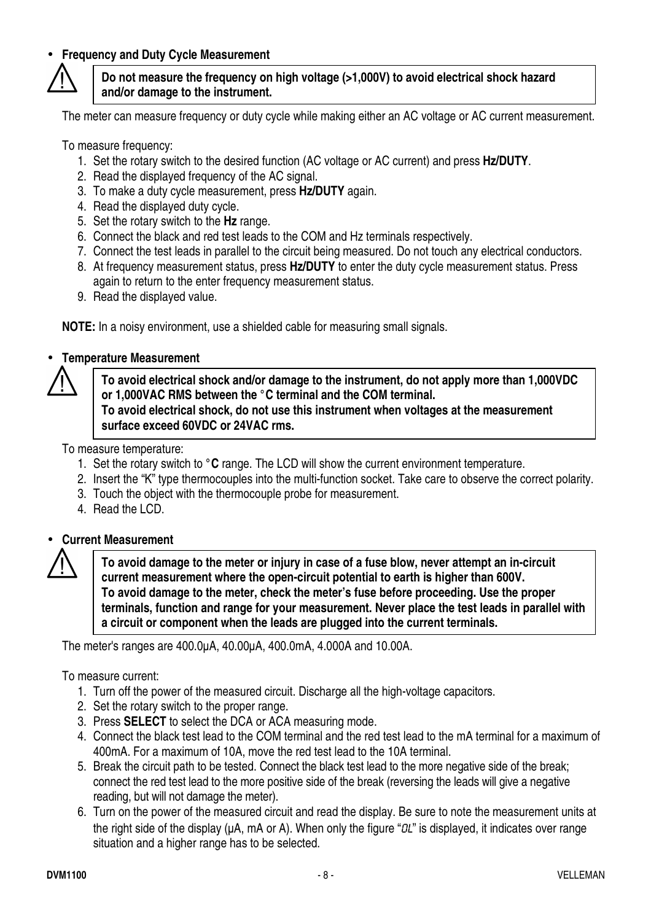#### • **Frequency and Duty Cycle Measurement**



#### **Do not measure the frequency on high voltage (>1,000V) to avoid electrical shock hazard and/or damage to the instrument.**

The meter can measure frequency or duty cycle while making either an AC voltage or AC current measurement.

To measure frequency:

- 1. Set the rotary switch to the desired function (AC voltage or AC current) and press **Hz/DUTY**.
- 2. Read the displayed frequency of the AC signal.
- 3. To make a duty cycle measurement, press **Hz/DUTY** again.
- 4. Read the displayed duty cycle.
- 5. Set the rotary switch to the **Hz** range.
- 6. Connect the black and red test leads to the COM and Hz terminals respectively.
- 7. Connect the test leads in parallel to the circuit being measured. Do not touch any electrical conductors.
- 8. At frequency measurement status, press **Hz/DUTY** to enter the duty cycle measurement status. Press again to return to the enter frequency measurement status.
- 9. Read the displayed value.

**NOTE:** In a noisy environment, use a shielded cable for measuring small signals.

#### • **Temperature Measurement**

**To avoid electrical shock and/or damage to the instrument, do not apply more than 1,000VDC or 1,000VAC RMS between the °C terminal and the COM terminal. To avoid electrical shock, do not use this instrument when voltages at the measurement surface exceed 60VDC or 24VAC rms.** 

To measure temperature:

- 1. Set the rotary switch to **°C** range. The LCD will show the current environment temperature.
- 2. Insert the "K" type thermocouples into the multi-function socket. Take care to observe the correct polarity.
- 3. Touch the object with the thermocouple probe for measurement.
- 4. Read the LCD.

#### • **Current Measurement**

**To avoid damage to the meter or injury in case of a fuse blow, never attempt an in-circuit current measurement where the open-circuit potential to earth is higher than 600V. To avoid damage to the meter, check the meter's fuse before proceeding. Use the proper terminals, function and range for your measurement. Never place the test leads in parallel with a circuit or component when the leads are plugged into the current terminals.** 

The meter's ranges are 400.0µA, 40.00µA, 400.0mA, 4.000A and 10.00A.

To measure current:

- 1. Turn off the power of the measured circuit. Discharge all the high-voltage capacitors.
- 2. Set the rotary switch to the proper range.
- 3. Press **SELECT** to select the DCA or ACA measuring mode.
- 4. Connect the black test lead to the COM terminal and the red test lead to the mA terminal for a maximum of 400mA. For a maximum of 10A, move the red test lead to the 10A terminal.
- 5. Break the circuit path to be tested. Connect the black test lead to the more negative side of the break; connect the red test lead to the more positive side of the break (reversing the leads will give a negative reading, but will not damage the meter).
- 6. Turn on the power of the measured circuit and read the display. Be sure to note the measurement units at the right side of the display ( $\mu$ A, mA or A). When only the figure " $\partial L$ " is displayed, it indicates over range situation and a higher range has to be selected.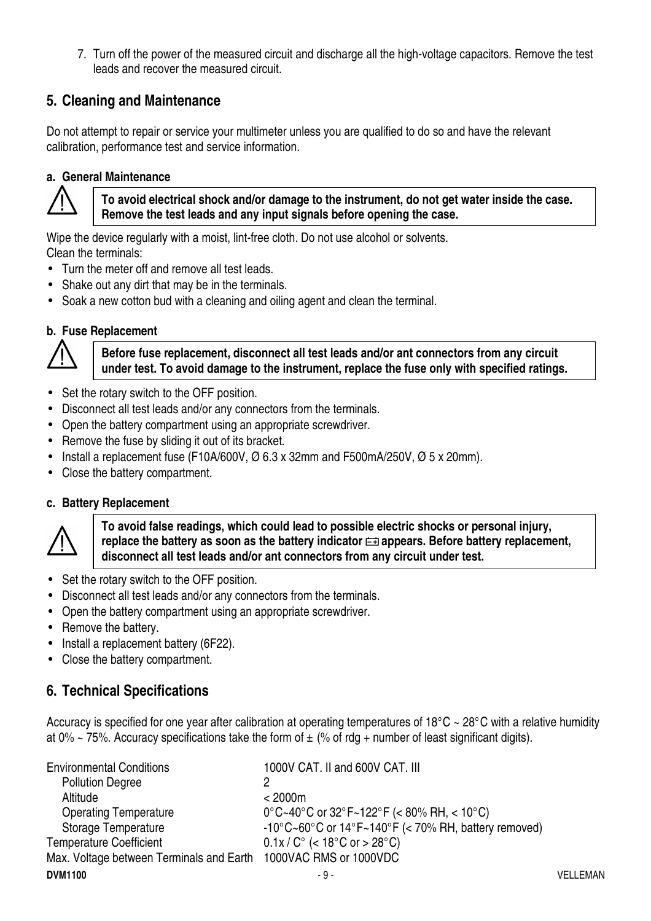7. Turn off the power of the measured circuit and discharge all the high-voltage capacitors. Remove the test leads and recover the measured circuit.

#### **5. Cleaning and Maintenance**

Do not attempt to repair or service your multimeter unless you are qualified to do so and have the relevant calibration, performance test and service information.

#### **a. General Maintenance**



**To avoid electrical shock and/or damage to the instrument, do not get water inside the case. Remove the test leads and any input signals before opening the case.**

Wipe the device regularly with a moist, lint-free cloth. Do not use alcohol or solvents. Clean the terminals:

- Turn the meter off and remove all test leads.
- Shake out any dirt that may be in the terminals.
- Soak a new cotton bud with a cleaning and oiling agent and clean the terminal.

#### **b. Fuse Replacement**



**Before fuse replacement, disconnect all test leads and/or ant connectors from any circuit under test. To avoid damage to the instrument, replace the fuse only with specified ratings.**

- Set the rotary switch to the OFF position.
- Disconnect all test leads and/or any connectors from the terminals.
- Open the battery compartment using an appropriate screwdriver.
- Remove the fuse by sliding it out of its bracket.
- Install a replacement fuse (F10A/600V,  $\varnothing$  6.3 x 32mm and F500mA/250V,  $\varnothing$  5 x 20mm).
- Close the battery compartment.

#### **c. Battery Replacement**



**To avoid false readings, which could lead to possible electric shocks or personal injury,**  replace the battery as soon as the battery indicator  $\equiv$  appears. Before battery replacement, **disconnect all test leads and/or ant connectors from any circuit under test.** 

- Set the rotary switch to the OFF position.
- Disconnect all test leads and/or any connectors from the terminals.
- Open the battery compartment using an appropriate screwdriver.
- Remove the battery.
- Install a replacement battery (6F22).
- Close the battery compartment.

#### **6. Technical Specifications**

Accuracy is specified for one year after calibration at operating temperatures of 18°C ~ 28°C with a relative humidity at 0% ~ 75%. Accuracy specifications take the form of  $\pm$  (% of rdg + number of least significant digits).

| <b>Environmental Conditions</b>                                 | 1000V CAT. II and 600V CAT. III                      |          |
|-----------------------------------------------------------------|------------------------------------------------------|----------|
| <b>Pollution Degree</b>                                         |                                                      |          |
| Altitude                                                        | < 2000m                                              |          |
| <b>Operating Temperature</b>                                    | 0°C~40°C or 32°F~122°F (< 80% RH, < 10°C)            |          |
| <b>Storage Temperature</b>                                      | -10°C~60°C or 14°F~140°F (< 70% RH, battery removed) |          |
| <b>Temperature Coefficient</b>                                  | $0.1x/C^{\circ}$ (< 18°C or > 28°C)                  |          |
| Max. Voltage between Terminals and Earth 1000VAC RMS or 1000VDC |                                                      |          |
| <b>DVM1100</b>                                                  | - 9 -                                                | VELLEMAN |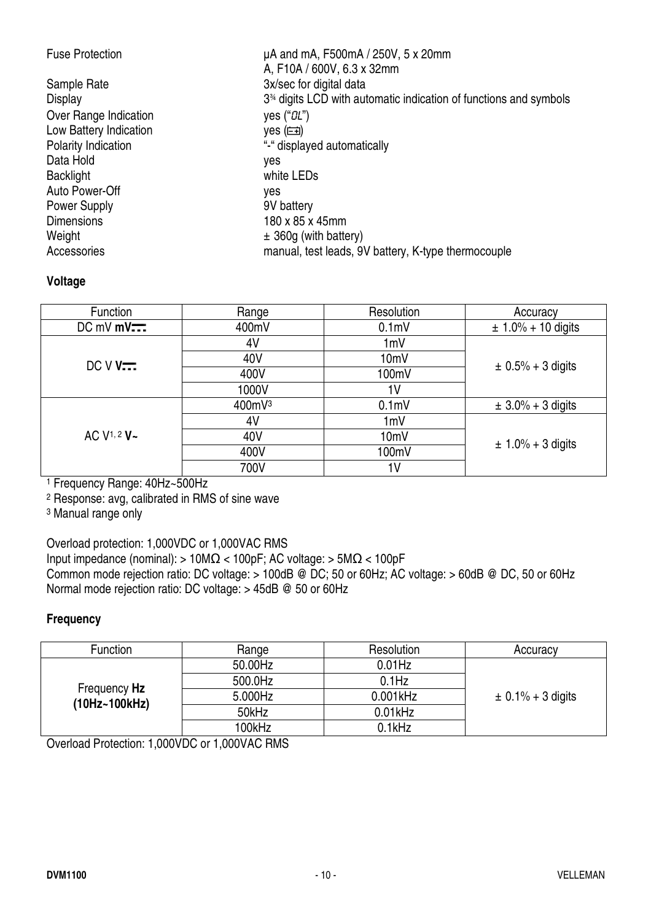| <b>Fuse Protection</b> | $\mu$ A and mA, F500mA / 250V, 5 x 20mm<br>A, F10A / 600V, 6.3 x 32mm |
|------------------------|-----------------------------------------------------------------------|
| Sample Rate            | 3x/sec for digital data                                               |
| Display                | $334$ digits LCD with automatic indication of functions and symbols   |
| Over Range Indication  | yes $("OL")$                                                          |
| Low Battery Indication | yes (m)                                                               |
| Polarity Indication    | "-" displayed automatically                                           |
| Data Hold              | yes                                                                   |
| <b>Backlight</b>       | white LEDs                                                            |
| Auto Power-Off         | yes                                                                   |
| <b>Power Supply</b>    | 9V battery                                                            |
| <b>Dimensions</b>      | 180 x 85 x 45mm                                                       |
| Weight                 | $\pm$ 360g (with battery)                                             |
| Accessories            | manual, test leads, 9V battery, K-type thermocouple                   |

#### **Voltage**

| Function                 | Range  | Resolution        | Accuracy               |
|--------------------------|--------|-------------------|------------------------|
| $DC$ mV mV $\overline{}$ | 400mV  | 0.1 <sub>m</sub>  | $± 1.0\% + 10$ digits  |
|                          | 4V     | 1mV               |                        |
| $DCVV$                   | 40V    | 10mV              | $\pm 0.5\% + 3$ digits |
|                          | 400V   | 100mV             |                        |
|                          | 1000V  | 1 <sub>V</sub>    |                        |
|                          | 400mV3 | 0.1 <sub>m</sub>  | $\pm 3.0\% + 3$ digits |
|                          | 4V     | 1mV               |                        |
| AC V <sup>1, 2</sup> V~  | 40V    | 10 <sub>m</sub> V | $\pm 1.0\% + 3$ digits |
|                          | 400V   | 100mV             |                        |
|                          | 700V   | 1V                |                        |

1 Frequency Range: 40Hz~500Hz

2 Response: avg, calibrated in RMS of sine wave

3 Manual range only

Overload protection: 1,000VDC or 1,000VAC RMS

Input impedance (nominal): >  $10M\Omega$  <  $100pF$ ; AC voltage: >  $5M\Omega$  <  $100pF$ Common mode rejection ratio: DC voltage: > 100dB @ DC; 50 or 60Hz; AC voltage: > 60dB @ DC, 50 or 60Hz Normal mode rejection ratio: DC voltage: > 45dB @ 50 or 60Hz

#### **Frequency**

| Function                      | Range   | Resolution  | Accuracy              |
|-------------------------------|---------|-------------|-----------------------|
|                               | 50.00Hz | $0.01$ Hz   |                       |
|                               | 500.0Hz | $0.1$ Hz    |                       |
| Frequency Hz<br>(10Hz~100kHz) | 5.000Hz | $0.001$ kHz | $\pm$ 0.1% + 3 digits |
|                               | 50kHz   | $0.01$ kHz  |                       |
|                               | 100kHz  | 0.1kHz      |                       |

Overload Protection: 1,000VDC or 1,000VAC RMS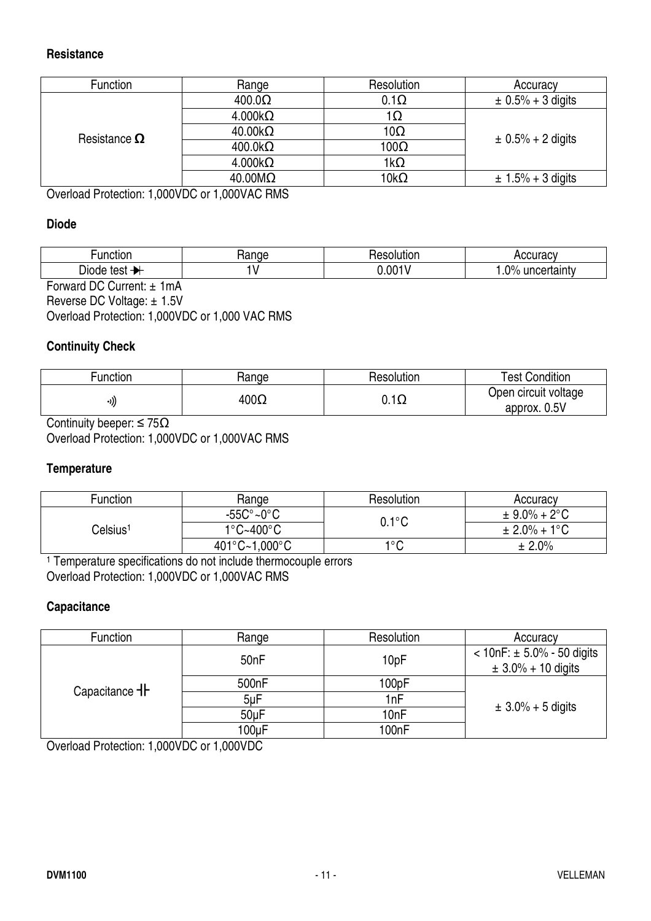#### **Resistance**

| Function            | Range                    | Resolution   | Accuracy               |  |  |
|---------------------|--------------------------|--------------|------------------------|--|--|
|                     | $400.0\Omega$            | $0.1\Omega$  | $\pm 0.5\% + 3$ digits |  |  |
|                     | $4.000k\Omega$           | 1Ω           |                        |  |  |
| Resistance $\Omega$ | $40.00 \mathrm{k}\Omega$ | $10\Omega$   | $\pm$ 0.5% + 2 digits  |  |  |
|                     | $400.0k\Omega$           | $100\Omega$  |                        |  |  |
|                     | $4.000k\Omega$           | $1k\Omega$   |                        |  |  |
|                     | $40.00 \text{M}\Omega$   | 10k $\Omega$ | $\pm 1.5\% + 3$ digits |  |  |
| $Q_{\text{total}}$  |                          |              |                        |  |  |

Overload Protection: 1,000VDC or 1,000VAC RMS

#### **Diode**

| ∙unctior            | .<br>10E<br>٦a | .<br>oς<br>uur.<br>ı. | 10112001<br>                                                   |
|---------------------|----------------|-----------------------|----------------------------------------------------------------|
| -<br>test<br>יססוכ⁄ |                | .001                  | $\Omega$ <sup>o</sup><br>ertaint∨<br>unc <sub>'</sub><br>. . v |
| $-$<br>.            |                |                       |                                                                |

Forward DC Current: ± 1mA Reverse DC Voltage: ± 1.5V Overload Protection: 1,000VDC or 1,000 VAC RMS

#### **Continuity Check**

| Function | Hange       | Resolution                | <b>Test Condition</b>                |
|----------|-------------|---------------------------|--------------------------------------|
| ((۱۰     | $400\Omega$ | $\overline{1}$<br>∪. . ⊾∠ | Open circuit voltage<br>approx. 0.5V |

Continuity beeper:  $\leq 75\Omega$ Overload Protection: 1,000VDC or 1,000VAC RMS

#### **Temperature**

| Function             | Range                          | Resolution      | Accuracy                 |
|----------------------|--------------------------------|-----------------|--------------------------|
|                      | $-55C^{\circ}$ ~0 $^{\circ}$ C | $0.1^{\circ}$ C | $\pm$ 9.0% + 2°C         |
| Celsius <sup>1</sup> | $1^{\circ}$ C~400 $^{\circ}$ C |                 | $\pm 2.0\% + 1\degree C$ |
|                      | 401°C~1,000°C                  | $1^{\circ}$ C   | ± 2.0%                   |

1 Temperature specifications do not include thermocouple errors Overload Protection: 1,000VDC or 1,000VAC RMS

#### **Capacitance**

| Function                 | Range              | Resolution       | Accuracy                                                 |
|--------------------------|--------------------|------------------|----------------------------------------------------------|
|                          | 50 <sub>nF</sub>   | 10pF             | $< 10nF$ : ± 5.0% - 50 digits<br>$\pm 3.0\% + 10$ digits |
| Capacitance <sup>-</sup> | 500 <sub>n</sub> F | 100pF            |                                                          |
|                          | $5\nu F$           | 1 <sub>nF</sub>  |                                                          |
|                          | $50\mu F$          | 10 <sub>nF</sub> | $\pm 3.0\% + 5$ digits                                   |
|                          | 100uF              | 100nF            |                                                          |

Overload Protection: 1,000VDC or 1,000VDC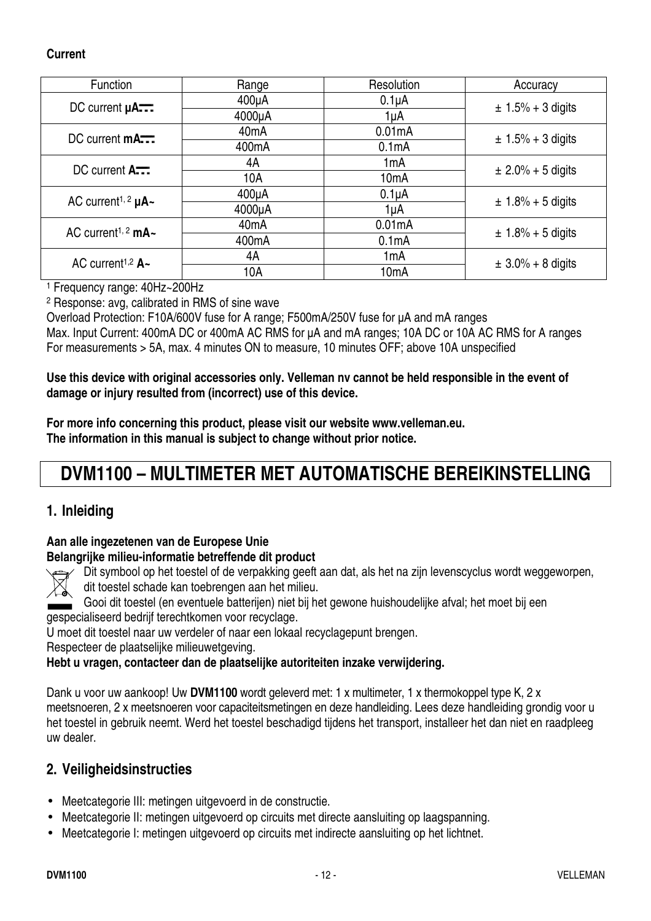#### **Current**

| <b>Function</b>                           | Range              | Resolution         | Accuracy               |
|-------------------------------------------|--------------------|--------------------|------------------------|
| DC current $\mu$ A                        | $400\mu A$         | $0.1\muA$          | $± 1.5% + 3$ digits    |
|                                           | 4000µA             | 1µA                |                        |
| $DC$ current $mA$ $\overline{\cdots}$     | 40 <sub>m</sub> A  | 0.01mA             | $\pm 1.5\% + 3$ digits |
|                                           | 400 <sub>m</sub> A | 0.1 <sub>m</sub> A |                        |
| DC current A.                             | 4A                 | 1mA                | $\pm 2.0\% + 5$ digits |
|                                           | 10A                | 10 <sub>m</sub> A  |                        |
| AC current <sup>1, 2</sup> $\mu$ A $\sim$ | $400\mu A$         | $0.1\muA$          | $\pm$ 1.8% + 5 digits  |
|                                           | 4000µA             | 1µA                |                        |
| AC current <sup>1, 2</sup> mA $\sim$      | 40 <sub>m</sub> A  | 0.01mA             | $\pm$ 1.8% + 5 digits  |
|                                           | 400 <sub>m</sub> A | 0.1 <sub>m</sub> A |                        |
| AC current <sup>1,2</sup> $A -$           | 4A                 | 1 <sub>m</sub> A   | $\pm 3.0\% + 8$ digits |
|                                           | 10A                | 10 <sub>m</sub> A  |                        |

1 Frequency range: 40Hz~200Hz

2 Response: avg, calibrated in RMS of sine wave

Overload Protection: F10A/600V fuse for A range; F500mA/250V fuse for µA and mA ranges Max. Input Current: 400mA DC or 400mA AC RMS for  $\mu$ A and mA ranges; 10A DC or 10A AC RMS for A ranges For measurements > 5A, max. 4 minutes ON to measure, 10 minutes OFF; above 10A unspecified

**Use this device with original accessories only. Velleman nv cannot be held responsible in the event of damage or injury resulted from (incorrect) use of this device.** 

**For more info concerning this product, please visit our website www.velleman.eu. The information in this manual is subject to change without prior notice.** 

## **DVM1100 – MULTIMETER MET AUTOMATISCHE BEREIKINSTELLING**

#### **1. Inleiding**

#### **Aan alle ingezetenen van de Europese Unie**

#### **Belangrijke milieu-informatie betreffende dit product**

Dit symbool op het toestel of de verpakking geeft aan dat, als het na zijn levenscyclus wordt weggeworpen, dit toestel schade kan toebrengen aan het milieu.

Gooi dit toestel (en eventuele batterijen) niet bij het gewone huishoudelijke afval; het moet bij een gespecialiseerd bedrijf terechtkomen voor recyclage.

U moet dit toestel naar uw verdeler of naar een lokaal recyclagepunt brengen.

Respecteer de plaatselijke milieuwetgeving.

#### **Hebt u vragen, contacteer dan de plaatselijke autoriteiten inzake verwijdering.**

Dank u voor uw aankoop! Uw **DVM1100** wordt geleverd met: 1 x multimeter, 1 x thermokoppel type K, 2 x meetsnoeren, 2 x meetsnoeren voor capaciteitsmetingen en deze handleiding. Lees deze handleiding grondig voor u het toestel in gebruik neemt. Werd het toestel beschadigd tijdens het transport, installeer het dan niet en raadpleeg uw dealer.

#### **2. Veiligheidsinstructies**

- Meetcategorie III: metingen uitgevoerd in de constructie.
- Meetcategorie II: metingen uitgevoerd op circuits met directe aansluiting op laagspanning.
- Meetcategorie I: metingen uitgevoerd op circuits met indirecte aansluiting op het lichtnet.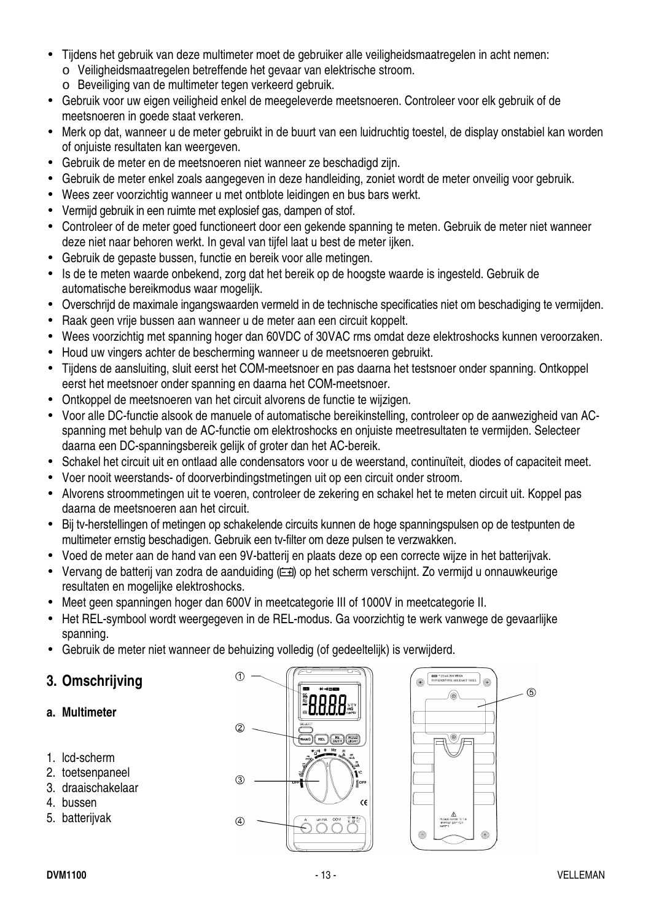- Tijdens het gebruik van deze multimeter moet de gebruiker alle veiligheidsmaatregelen in acht nemen: o Veiligheidsmaatregelen betreffende het gevaar van elektrische stroom.
	- o Beveiliging van de multimeter tegen verkeerd gebruik.
- Gebruik voor uw eigen veiligheid enkel de meegeleverde meetsnoeren. Controleer voor elk gebruik of de meetsnoeren in goede staat verkeren.
- Merk op dat, wanneer u de meter gebruikt in de buurt van een luidruchtig toestel, de display onstabiel kan worden of onjuiste resultaten kan weergeven.
- Gebruik de meter en de meetsnoeren niet wanneer ze beschadigd zijn.
- Gebruik de meter enkel zoals aangegeven in deze handleiding, zoniet wordt de meter onveilig voor gebruik.
- Wees zeer voorzichtig wanneer u met ontblote leidingen en bus bars werkt.
- Vermijd gebruik in een ruimte met explosief gas, dampen of stof.
- Controleer of de meter goed functioneert door een gekende spanning te meten. Gebruik de meter niet wanneer deze niet naar behoren werkt. In geval van tijfel laat u best de meter ijken.
- Gebruik de gepaste bussen, functie en bereik voor alle metingen.
- Is de te meten waarde onbekend, zorg dat het bereik op de hoogste waarde is ingesteld. Gebruik de automatische bereikmodus waar mogelijk.
- Overschrijd de maximale ingangswaarden vermeld in de technische specificaties niet om beschadiging te vermijden.
- Raak geen vrije bussen aan wanneer u de meter aan een circuit koppelt.
- Wees voorzichtig met spanning hoger dan 60VDC of 30VAC rms omdat deze elektroshocks kunnen veroorzaken.
- Houd uw vingers achter de bescherming wanneer u de meetsnoeren gebruikt.
- Tijdens de aansluiting, sluit eerst het COM-meetsnoer en pas daarna het testsnoer onder spanning. Ontkoppel eerst het meetsnoer onder spanning en daarna het COM-meetsnoer.
- Ontkoppel de meetsnoeren van het circuit alvorens de functie te wijzigen.
- Voor alle DC-functie alsook de manuele of automatische bereikinstelling, controleer op de aanwezigheid van ACspanning met behulp van de AC-functie om elektroshocks en onjuiste meetresultaten te vermijden. Selecteer daarna een DC-spanningsbereik gelijk of groter dan het AC-bereik.
- Schakel het circuit uit en ontlaad alle condensators voor u de weerstand, continuïteit, diodes of capaciteit meet.
- Voer nooit weerstands- of doorverbindingstmetingen uit op een circuit onder stroom.
- Alvorens stroommetingen uit te voeren, controleer de zekering en schakel het te meten circuit uit. Koppel pas daarna de meetsnoeren aan het circuit.
- Bij tv-herstellingen of metingen op schakelende circuits kunnen de hoge spanningspulsen op de testpunten de multimeter ernstig beschadigen. Gebruik een tv-filter om deze pulsen te verzwakken.
- Voed de meter aan de hand van een 9V-batterij en plaats deze op een correcte wijze in het batterijvak.
- Vervang de batterij van zodra de aanduiding ( $\equiv$ i) op het scherm verschijnt. Zo vermijd u onnauwkeurige resultaten en mogelijke elektroshocks.
- Meet geen spanningen hoger dan 600V in meetcategorie III of 1000V in meetcategorie II.
- Het REL-symbool wordt weergegeven in de REL-modus. Ga voorzichtig te werk vanwege de gevaarlijke spanning.
- Gebruik de meter niet wanneer de behuizing volledig (of gedeeltelijk) is verwijderd.

#### **3. Omschrijving**

- **a. Multimeter**
- 1. lcd-scherm
- 2. toetsenpaneel
- 3. draaischakelaar
- 4. bussen
- 5. batterijvak



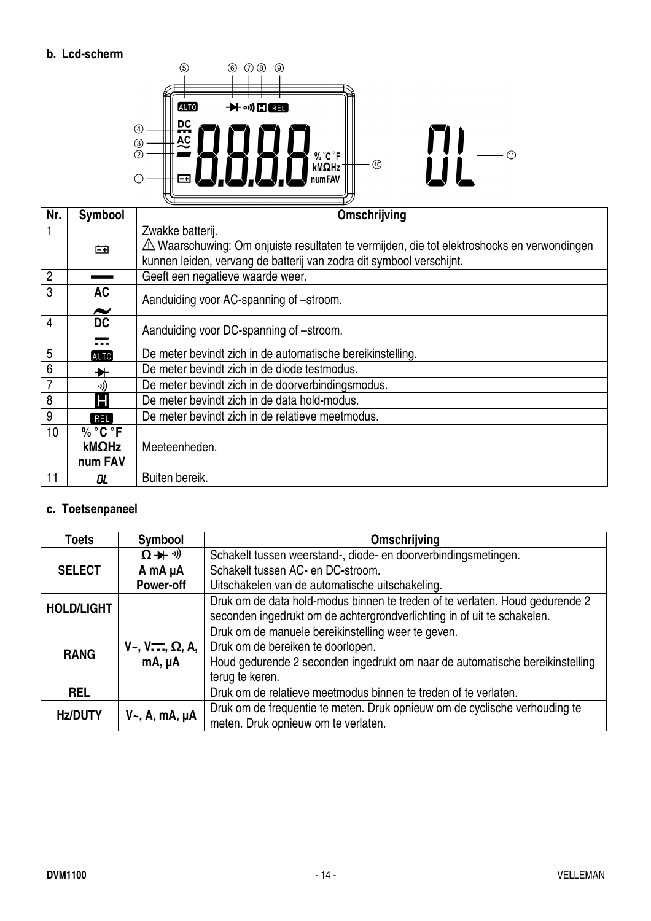#### **b. Lcd-scherm**



| Nr.            | <b>Symbool</b>        | Omschrijving                                                                               |
|----------------|-----------------------|--------------------------------------------------------------------------------------------|
|                |                       | Zwakke batterij.                                                                           |
|                | 臼                     | A Waarschuwing: Om onjuiste resultaten te vermijden, die tot elektroshocks en verwondingen |
|                |                       | kunnen leiden, vervang de batterij van zodra dit symbool verschijnt.                       |
| $\overline{2}$ |                       | Geeft een negatieve waarde weer.                                                           |
| 3              | <b>AC</b>             | Aanduiding voor AC-spanning of -stroom.                                                    |
|                | $\tilde{\phantom{a}}$ |                                                                                            |
| 4              | <b>DC</b>             | Aanduiding voor DC-spanning of -stroom.                                                    |
|                | .                     |                                                                                            |
| 5              | [ALTO]                | De meter bevindt zich in de automatische bereikinstelling.                                 |
| 6              | $\blacktriangleright$ | De meter bevindt zich in de diode testmodus.                                               |
|                | ((د.                  | De meter bevindt zich in de doorverbindingsmodus.                                          |
| 8              | Н                     | De meter bevindt zich in de data hold-modus.                                               |
| 9              | REL <sup>]</sup>      | De meter bevindt zich in de relatieve meetmodus.                                           |
| 10             | % °C °F               |                                                                                            |
|                | kMΩHz                 | Meeteenheden.                                                                              |
|                | num FAV               |                                                                                            |
| 11             | OL.                   | Buiten bereik.                                                                             |

#### **c. Toetsenpaneel**

| <b>Toets</b>      | Symbool                                 | Omschrijving                                                                 |
|-------------------|-----------------------------------------|------------------------------------------------------------------------------|
|                   | $\Omega + \theta$                       | Schakelt tussen weerstand-, diode- en doorverbindingsmetingen.               |
| <b>SELECT</b>     | A mA µA                                 | Schakelt tussen AC- en DC-stroom.                                            |
|                   | <b>Power-off</b>                        | Uitschakelen van de automatische uitschakeling.                              |
| <b>HOLD/LIGHT</b> |                                         | Druk om de data hold-modus binnen te treden of te verlaten. Houd gedurende 2 |
|                   |                                         | seconden ingedrukt om de achtergrondverlichting in of uit te schakelen.      |
|                   |                                         | Druk om de manuele bereikinstelling weer te geven.                           |
| <b>RANG</b>       | $V_{\sim}$ , $V_{\sim}$ , $\Omega$ , A, | Druk om de bereiken te doorlopen.                                            |
|                   | $mA, \mu A$                             | Houd gedurende 2 seconden ingedrukt om naar de automatische bereikinstelling |
|                   |                                         | terug te keren.                                                              |
| <b>REL</b>        |                                         | Druk om de relatieve meetmodus binnen te treden of te verlaten.              |
| <b>Hz/DUTY</b>    |                                         | Druk om de frequentie te meten. Druk opnieuw om de cyclische verhouding te   |
|                   | $V_{\sim}$ , A, mA, µA                  | meten. Druk opnieuw om te verlaten.                                          |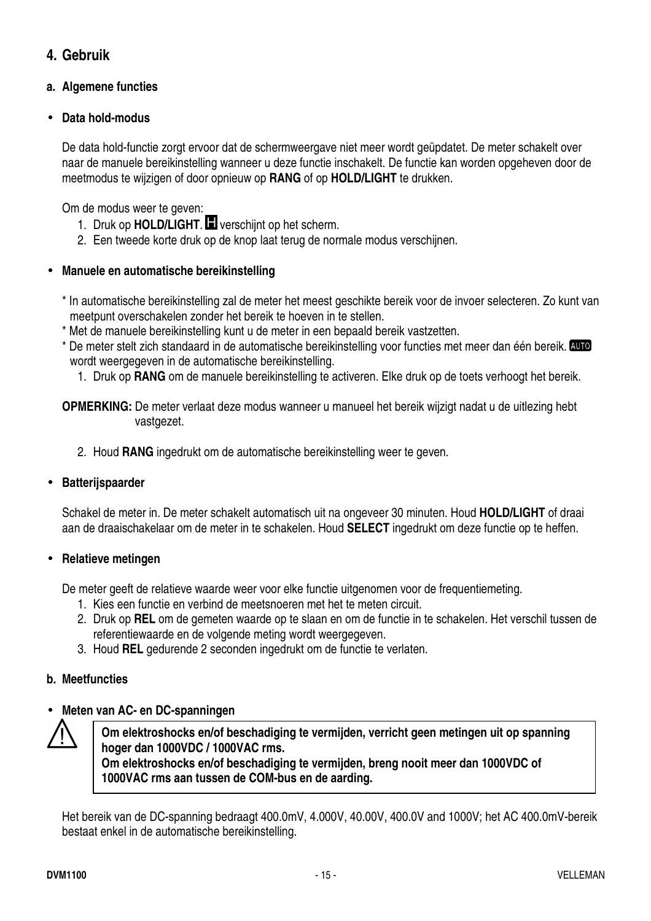#### **4. Gebruik**

#### **a. Algemene functies**

#### • **Data hold-modus**

De data hold-functie zorgt ervoor dat de schermweergave niet meer wordt geüpdatet. De meter schakelt over naar de manuele bereikinstelling wanneer u deze functie inschakelt. De functie kan worden opgeheven door de meetmodus te wijzigen of door opnieuw op **RANG** of op **HOLD/LIGHT** te drukken.

Om de modus weer te geven:

- 1. Druk op **HOLD/LIGHT. II** verschijnt op het scherm.
- 2. Een tweede korte druk op de knop laat terug de normale modus verschijnen.

#### • **Manuele en automatische bereikinstelling**

- \* In automatische bereikinstelling zal de meter het meest geschikte bereik voor de invoer selecteren. Zo kunt van meetpunt overschakelen zonder het bereik te hoeven in te stellen.
- \* Met de manuele bereikinstelling kunt u de meter in een bepaald bereik vastzetten.
- \* De meter stelt zich standaard in de automatische bereikinstelling voor functies met meer dan één bereik. **QUO** wordt weergegeven in de automatische bereikinstelling.
	- 1. Druk op **RANG** om de manuele bereikinstelling te activeren. Elke druk op de toets verhoogt het bereik.

**OPMERKING:** De meter verlaat deze modus wanneer u manueel het bereik wijzigt nadat u de uitlezing hebt vastgezet.

2. Houd **RANG** ingedrukt om de automatische bereikinstelling weer te geven.

#### • **Batterijspaarder**

Schakel de meter in. De meter schakelt automatisch uit na ongeveer 30 minuten. Houd **HOLD/LIGHT** of draai aan de draaischakelaar om de meter in te schakelen. Houd **SELECT** ingedrukt om deze functie op te heffen.

#### • **Relatieve metingen**

De meter geeft de relatieve waarde weer voor elke functie uitgenomen voor de frequentiemeting.

- 1. Kies een functie en verbind de meetsnoeren met het te meten circuit.
- 2. Druk op **REL** om de gemeten waarde op te slaan en om de functie in te schakelen. Het verschil tussen de referentiewaarde en de volgende meting wordt weergegeven.
- 3. Houd **REL** gedurende 2 seconden ingedrukt om de functie te verlaten.

#### **b. Meetfuncties**

#### • **Meten van AC- en DC-spanningen**



**Om elektroshocks en/of beschadiging te vermijden, verricht geen metingen uit op spanning hoger dan 1000VDC / 1000VAC rms. Om elektroshocks en/of beschadiging te vermijden, breng nooit meer dan 1000VDC of** 

**1000VAC rms aan tussen de COM-bus en de aarding.** 

Het bereik van de DC-spanning bedraagt 400.0mV, 4.000V, 40.00V, 400.0V and 1000V; het AC 400.0mV-bereik bestaat enkel in de automatische bereikinstelling.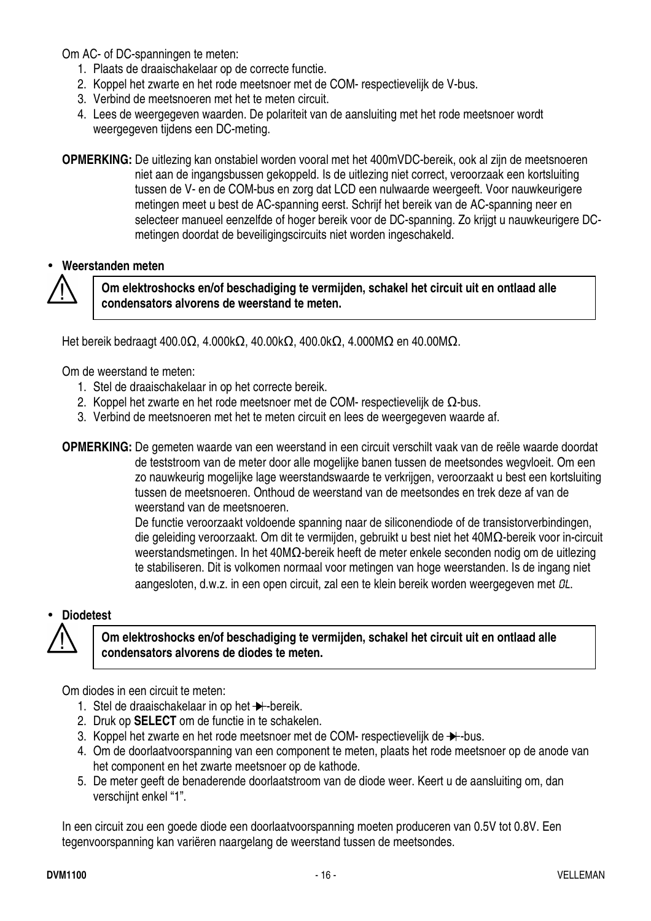Om AC- of DC-spanningen te meten:

- 1. Plaats de draaischakelaar op de correcte functie.
- 2. Koppel het zwarte en het rode meetsnoer met de COM- respectievelijk de V-bus.
- 3. Verbind de meetsnoeren met het te meten circuit.
- 4. Lees de weergegeven waarden. De polariteit van de aansluiting met het rode meetsnoer wordt weergegeven tijdens een DC-meting.
- **OPMERKING:** De uitlezing kan onstabiel worden vooral met het 400mVDC-bereik, ook al zijn de meetsnoeren niet aan de ingangsbussen gekoppeld. Is de uitlezing niet correct, veroorzaak een kortsluiting tussen de V- en de COM-bus en zorg dat LCD een nulwaarde weergeeft. Voor nauwkeurigere metingen meet u best de AC-spanning eerst. Schrijf het bereik van de AC-spanning neer en selecteer manueel eenzelfde of hoger bereik voor de DC-spanning. Zo krijgt u nauwkeurigere DCmetingen doordat de beveiligingscircuits niet worden ingeschakeld.

#### • **Weerstanden meten**



**Om elektroshocks en/of beschadiging te vermijden, schakel het circuit uit en ontlaad alle condensators alvorens de weerstand te meten.** 

Het bereik bedraagt 400.0Ω, 4.000kΩ, 40.00kΩ, 400.0kΩ, 4.000MΩ en 40.00MΩ.

Om de weerstand te meten:

- 1. Stel de draaischakelaar in op het correcte bereik.
- 2. Koppel het zwarte en het rode meetsnoer met de COM- respectievelijk de  $Ω$ -bus.
- 3. Verbind de meetsnoeren met het te meten circuit en lees de weergegeven waarde af.

**OPMERKING:** De gemeten waarde van een weerstand in een circuit verschilt vaak van de reële waarde doordat de teststroom van de meter door alle mogelijke banen tussen de meetsondes wegvloeit. Om een zo nauwkeurig mogelijke lage weerstandswaarde te verkrijgen, veroorzaakt u best een kortsluiting tussen de meetsnoeren. Onthoud de weerstand van de meetsondes en trek deze af van de weerstand van de meetsnoeren.

> De functie veroorzaakt voldoende spanning naar de siliconendiode of de transistorverbindingen, die geleiding veroorzaakt. Om dit te vermijden, gebruikt u best niet het 40MΩ-bereik voor in-circuit weerstandsmetingen. In het 40MΩ-bereik heeft de meter enkele seconden nodig om de uitlezing te stabiliseren. Dit is volkomen normaal voor metingen van hoge weerstanden. Is de ingang niet aangesloten, d.w.z. in een open circuit, zal een te klein bereik worden weergegeven met OL.

#### • **Diodetest**



#### **Om elektroshocks en/of beschadiging te vermijden, schakel het circuit uit en ontlaad alle condensators alvorens de diodes te meten.**

Om diodes in een circuit te meten:

- 1. Stel de draaischakelaar in op het  $\rightarrow$ -bereik.
- 2. Druk op **SELECT** om de functie in te schakelen.
- 3. Koppel het zwarte en het rode meetsnoer met de COM- respectievelijk de  $\rightarrow$ -bus.
- 4. Om de doorlaatvoorspanning van een component te meten, plaats het rode meetsnoer op de anode van het component en het zwarte meetsnoer op de kathode.
- 5. De meter geeft de benaderende doorlaatstroom van de diode weer. Keert u de aansluiting om, dan verschijnt enkel "1".

In een circuit zou een goede diode een doorlaatvoorspanning moeten produceren van 0.5V tot 0.8V. Een tegenvoorspanning kan variëren naargelang de weerstand tussen de meetsondes.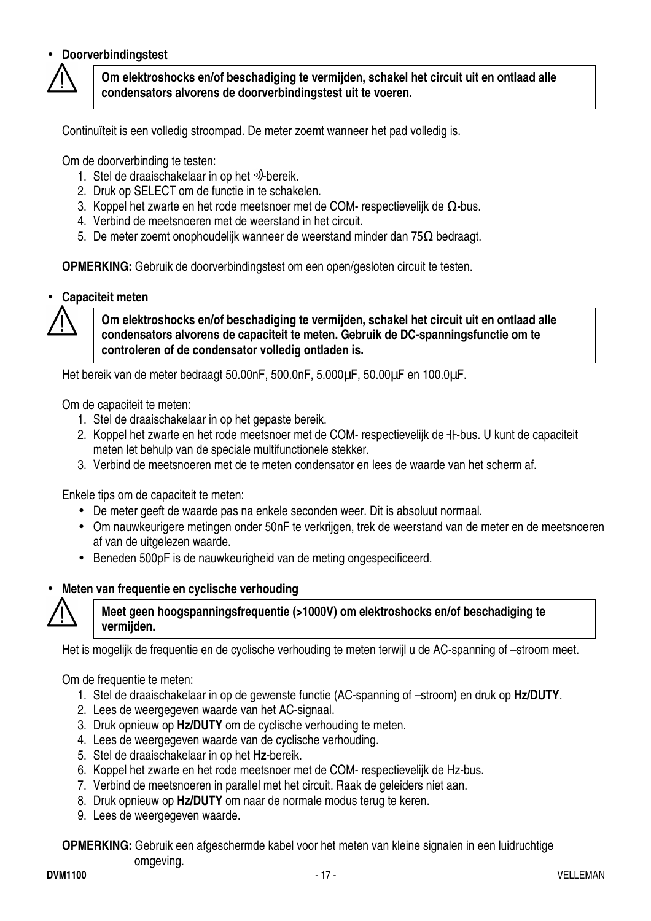#### • **Doorverbindingstest**



**Om elektroshocks en/of beschadiging te vermijden, schakel het circuit uit en ontlaad alle condensators alvorens de doorverbindingstest uit te voeren.** 

Continuïteit is een volledig stroompad. De meter zoemt wanneer het pad volledig is.

Om de doorverbinding te testen:

- 1. Stel de draaischakelaar in op het  $\psi$ -bereik.
- 2. Druk op SELECT om de functie in te schakelen.
- 3. Koppel het zwarte en het rode meetsnoer met de COM- respectievelijk de Ω-bus.
- 4. Verbind de meetsnoeren met de weerstand in het circuit.
- 5. De meter zoemt onophoudelijk wanneer de weerstand minder dan 75Ω bedraagt.

**OPMERKING:** Gebruik de doorverbindingstest om een open/gesloten circuit te testen.

• **Capaciteit meten** 



**Om elektroshocks en/of beschadiging te vermijden, schakel het circuit uit en ontlaad alle condensators alvorens de capaciteit te meten. Gebruik de DC-spanningsfunctie om te controleren of de condensator volledig ontladen is.**

Het bereik van de meter bedraagt 50.00nF, 500.0nF, 5.000µF, 50.00µF en 100.0µF.

Om de capaciteit te meten:

- 1. Stel de draaischakelaar in op het gepaste bereik.
- 2. Koppel het zwarte en het rode meetsnoer met de COM- respectievelijk de  $+$ -bus. U kunt de capaciteit meten let behulp van de speciale multifunctionele stekker.
- 3. Verbind de meetsnoeren met de te meten condensator en lees de waarde van het scherm af.

Enkele tips om de capaciteit te meten:

- De meter geeft de waarde pas na enkele seconden weer. Dit is absoluut normaal.
- Om nauwkeurigere metingen onder 50nF te verkrijgen, trek de weerstand van de meter en de meetsnoeren af van de uitgelezen waarde.
- Beneden 500pF is de nauwkeurigheid van de meting ongespecificeerd.

#### • **Meten van frequentie en cyclische verhouding**



#### **Meet geen hoogspanningsfrequentie (>1000V) om elektroshocks en/of beschadiging te vermijden.**

Het is mogelijk de frequentie en de cyclische verhouding te meten terwijl u de AC-spanning of –stroom meet.

Om de frequentie te meten:

- 1. Stel de draaischakelaar in op de gewenste functie (AC-spanning of –stroom) en druk op **Hz/DUTY**.
- 2. Lees de weergegeven waarde van het AC-signaal.
- 3. Druk opnieuw op **Hz/DUTY** om de cyclische verhouding te meten.
- 4. Lees de weergegeven waarde van de cyclische verhouding.
- 5. Stel de draaischakelaar in op het **Hz**-bereik.
- 6. Koppel het zwarte en het rode meetsnoer met de COM- respectievelijk de Hz-bus.
- 7. Verbind de meetsnoeren in parallel met het circuit. Raak de geleiders niet aan.
- 8. Druk opnieuw op **Hz/DUTY** om naar de normale modus terug te keren.
- 9. Lees de weergegeven waarde.

**OPMERKING:** Gebruik een afgeschermde kabel voor het meten van kleine signalen in een luidruchtige omgeving.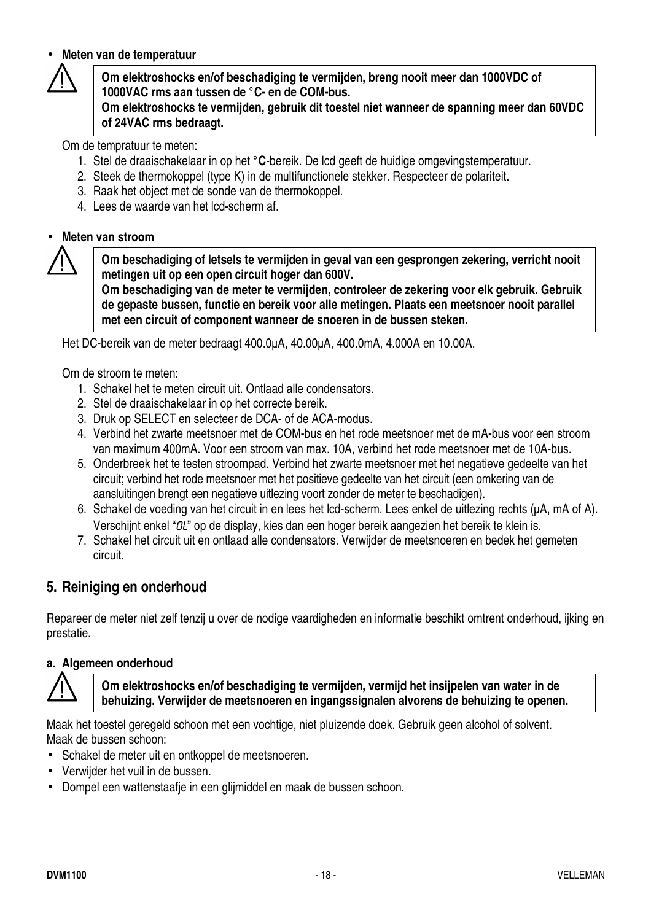#### • **Meten van de temperatuur**

**Om elektroshocks en/of beschadiging te vermijden, breng nooit meer dan 1000VDC of 1000VAC rms aan tussen de °C- en de COM-bus.** 

**Om elektroshocks te vermijden, gebruik dit toestel niet wanneer de spanning meer dan 60VDC of 24VAC rms bedraagt.** 

Om de tempratuur te meten:

- 1. Stel de draaischakelaar in op het **°C**-bereik. De lcd geeft de huidige omgevingstemperatuur.
- 2. Steek de thermokoppel (type K) in de multifunctionele stekker. Respecteer de polariteit.
- 3. Raak het object met de sonde van de thermokoppel.
- 4. Lees de waarde van het lcd-scherm af.

#### • **Meten van stroom**

**Om beschadiging of letsels te vermijden in geval van een gesprongen zekering, verricht nooit metingen uit op een open circuit hoger dan 600V.** 

**Om beschadiging van de meter te vermijden, controleer de zekering voor elk gebruik. Gebruik de gepaste bussen, functie en bereik voor alle metingen. Plaats een meetsnoer nooit parallel met een circuit of component wanneer de snoeren in de bussen steken.** 

Het DC-bereik van de meter bedraagt 400.0µA, 40.00µA, 400.0mA, 4.000A en 10.00A.

Om de stroom te meten:

- 1. Schakel het te meten circuit uit. Ontlaad alle condensators.
- 2. Stel de draaischakelaar in op het correcte bereik.
- 3. Druk op SELECT en selecteer de DCA- of de ACA-modus.
- 4. Verbind het zwarte meetsnoer met de COM-bus en het rode meetsnoer met de mA-bus voor een stroom van maximum 400mA. Voor een stroom van max. 10A, verbind het rode meetsnoer met de 10A-bus.
- 5. Onderbreek het te testen stroompad. Verbind het zwarte meetsnoer met het negatieve gedeelte van het circuit; verbind het rode meetsnoer met het positieve gedeelte van het circuit (een omkering van de aansluitingen brengt een negatieve uitlezing voort zonder de meter te beschadigen).
- 6. Schakel de voeding van het circuit in en lees het lcd-scherm. Lees enkel de uitlezing rechts (µA, mA of A). Verschijnt enkel "OL" op de display, kies dan een hoger bereik aangezien het bereik te klein is.
- 7. Schakel het circuit uit en ontlaad alle condensators. Verwijder de meetsnoeren en bedek het gemeten circuit.

#### **5. Reiniging en onderhoud**

Repareer de meter niet zelf tenzij u over de nodige vaardigheden en informatie beschikt omtrent onderhoud, ijking en prestatie.

#### **a. Algemeen onderhoud**

**Om elektroshocks en/of beschadiging te vermijden, vermijd het insijpelen van water in de behuizing. Verwijder de meetsnoeren en ingangssignalen alvorens de behuizing te openen.**

Maak het toestel geregeld schoon met een vochtige, niet pluizende doek. Gebruik geen alcohol of solvent. Maak de bussen schoon:

- Schakel de meter uit en ontkoppel de meetsnoeren.
- Verwijder het vuil in de bussen.
- Dompel een wattenstaafje in een glijmiddel en maak de bussen schoon.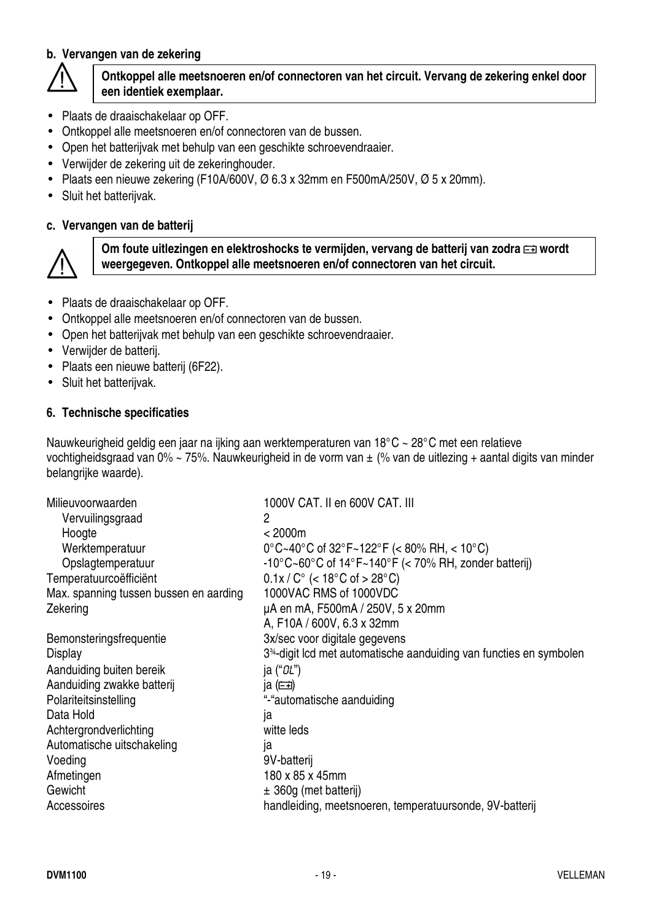#### **b. Vervangen van de zekering**



#### **Ontkoppel alle meetsnoeren en/of connectoren van het circuit. Vervang de zekering enkel door een identiek exemplaar.**

- Plaats de draaischakelaar op OFF.
- Ontkoppel alle meetsnoeren en/of connectoren van de bussen.
- Open het batterijvak met behulp van een geschikte schroevendraaier.
- Verwijder de zekering uit de zekeringhouder.
- Plaats een nieuwe zekering (F10A/600V,  $\varnothing$  6.3 x 32mm en F500mA/250V,  $\varnothing$  5 x 20mm).
- Sluit het batterijvak.

#### **c. Vervangen van de batterij**



Om foute uitlezingen en elektroshocks te vermijden, vervang de batterij van zodra **EE** wordt **weergegeven. Ontkoppel alle meetsnoeren en/of connectoren van het circuit.**

- Plaats de draaischakelaar op OFF.
- Ontkoppel alle meetsnoeren en/of connectoren van de bussen.
- Open het batterijvak met behulp van een geschikte schroevendraaier.
- Verwijder de batterij.
- Plaats een nieuwe batterij (6F22).
- Sluit het batterijvak.

#### **6. Technische specificaties**

Nauwkeurigheid geldig een jaar na ijking aan werktemperaturen van 18°C ~ 28°C met een relatieve vochtigheidsgraad van 0% ~ 75%. Nauwkeurigheid in de vorm van ± (% van de uitlezing + aantal digits van minder belangrijke waarde).

| Milieuvoorwaarden                      | 1000V CAT. II en 600V CAT. III                                                  |
|----------------------------------------|---------------------------------------------------------------------------------|
| Vervuilingsgraad                       | 2                                                                               |
| Hoogte                                 | < 2000m                                                                         |
| Werktemperatuur                        | $0^{\circ}$ C~40°C of 32°F~122°F (< 80% RH, < 10°C)                             |
| Opslagtemperatuur                      | -10°C~60°C of 14°F~140°F (< 70% RH, zonder batterij)                            |
| Temperatuurcoëfficiënt                 | $0.1x/C^{\circ}$ (< 18°C of > 28°C)                                             |
| Max. spanning tussen bussen en aarding | 1000VAC RMS of 1000VDC                                                          |
| Zekering                               | µA en mA, F500mA / 250V, 5 x 20mm                                               |
|                                        | A, F10A / 600V, 6.3 x 32mm                                                      |
| Bemonsteringsfrequentie                | 3x/sec voor digitale gegevens                                                   |
| Display                                | 3 <sup>34</sup> -digit lcd met automatische aanduiding van functies en symbolen |
| Aanduiding buiten bereik               | ja (" <i>CL</i> ")                                                              |
| Aanduiding zwakke batterij             | ja $(\equiv)$                                                                   |
| Polariteitsinstelling                  | "-"automatische aanduiding                                                      |
| Data Hold                              | ja                                                                              |
| Achtergrondverlichting                 | witte leds                                                                      |
| Automatische uitschakeling             | ١a                                                                              |
| Voeding                                | 9V-batterij                                                                     |
| Afmetingen                             | 180 x 85 x 45mm                                                                 |
| Gewicht                                | $\pm$ 360g (met batterij)                                                       |
| Accessoires                            | handleiding, meetsnoeren, temperatuursonde, 9V-batterij                         |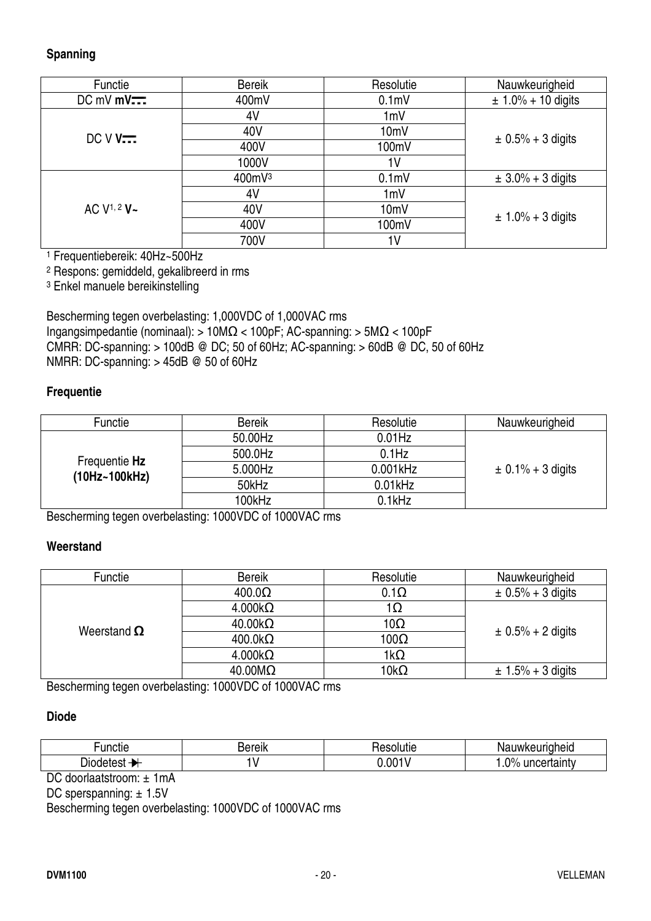#### **Spanning**

| Functie                          | <b>Bereik</b> | Resolutie        | Nauwkeurigheid          |
|----------------------------------|---------------|------------------|-------------------------|
| $DC$ mV $mV$ $\overline{\cdots}$ | 400mV         | 0.1 <sub>m</sub> | $\pm 1.0\% + 10$ digits |
|                                  | 4V            | 1mV              |                         |
| $DCVV$                           | 40V           | 10mV             |                         |
|                                  | 400V          | 100mV            | $\pm 0.5\% + 3$ digits  |
|                                  | 1000V         | 1 <sub>V</sub>   |                         |
|                                  | 400mV3        | 0.1 <sub>m</sub> | $\pm 3.0\% + 3$ digits  |
|                                  | 4V            | 1mV              |                         |
| AC $V^{1, 2}$ V ~                | 40V           | 10mV             | $\pm 1.0\% + 3$ digits  |
|                                  | 400V          | 100mV            |                         |
|                                  | 700V          | 1 <sup>V</sup>   |                         |

1 Frequentiebereik: 40Hz~500Hz

2 Respons: gemiddeld, gekalibreerd in rms

3 Enkel manuele bereikinstelling

Bescherming tegen overbelasting: 1,000VDC of 1,000VAC rms Ingangsimpedantie (nominaal): > 10MΩ < 100pF; AC-spanning: > 5MΩ < 100pF CMRR: DC-spanning:  $> 100$ dB @ DC; 50 of 60Hz; AC-spanning:  $> 60$ dB @ DC, 50 of 60Hz NMRR: DC-spanning: > 45dB @ 50 of 60Hz

#### **Frequentie**

| Functie       | <b>Bereik</b> | Resolutie  | Nauwkeurigheid        |
|---------------|---------------|------------|-----------------------|
|               | 50.00Hz       | $0.01$ Hz  |                       |
| Frequentie Hz | 500.0Hz       | $0.1$ Hz   |                       |
| (10Hz~100kHz) | 5.000Hz       | 0.001kHz   | $\pm$ 0.1% + 3 digits |
|               | 50kHz         | $0.01$ kHz |                       |
|               | 100kHz        | 0.1kHz     |                       |

Bescherming tegen overbelasting: 1000VDC of 1000VAC rms

#### **Weerstand**

| Functie            | <b>Bereik</b>          | Resolutie    | Nauwkeurigheid         |
|--------------------|------------------------|--------------|------------------------|
|                    | $400.0\Omega$          | $0.1\Omega$  | $\pm 0.5\% + 3$ digits |
|                    | $4.000k\Omega$         | 1Ω           | $\pm$ 0.5% + 2 digits  |
| Weerstand $\Omega$ | $40.00k\Omega$         | 10 $\Omega$  |                        |
|                    | $400.0k\Omega$         | 100 $\Omega$ |                        |
|                    | $4.000k\Omega$         | 1k $\Omega$  |                        |
|                    | $40.00 \text{M}\Omega$ | $10k\Omega$  | $\pm 1.5\% + 3$ digits |

Bescherming tegen overbelasting: 1000VDC of 1000VAC rms

#### **Diode**

| ∙uncti€    | $-$ "All $\prime$<br><b>GIN</b> | .<br>пn.<br>ונוכ | uwkeuriaheid<br>N۶                  |
|------------|---------------------------------|------------------|-------------------------------------|
| .<br>JIO ( |                                 | $. \n 0011$      | $\Omega$<br>⊔ncertaintv<br>, lainiv |

DC doorlaatstroom: ± 1mA

DC sperspanning: ± 1.5V

Bescherming tegen overbelasting: 1000VDC of 1000VAC rms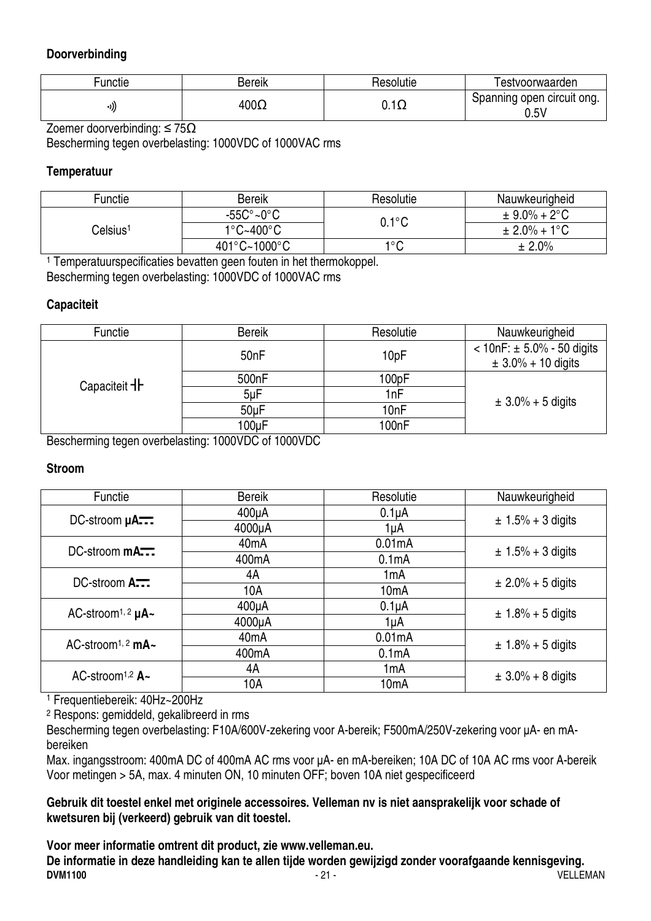#### **Doorverbinding**

| ∼unctie | Bereik      | Hesolutie                 | l estvoorwaarden                   |
|---------|-------------|---------------------------|------------------------------------|
| ر((•    | $400\Omega$ | $\overline{1}$<br>U. I 12 | Spanning open circuit ong.<br>0.5V |

Zoemer doorverbinding: ≤ 75Ω

Bescherming tegen overbelasting: 1000VDC of 1000VAC rms

#### **Temperatuur**

| Functie  | <b>Bereik</b>                     | Resolutie       | Nauwkeurigheid           |
|----------|-----------------------------------|-----------------|--------------------------|
|          | $-55C^{\circ}$ ~0 $^{\circ}$ C    | $0.1^{\circ}$ C | $\pm 9.0\% + 2^{\circ}C$ |
| Celsius1 | $1^{\circ}$ C~400 $^{\circ}$ C    |                 | $\pm 2.0\% + 1\degree C$ |
|          | $401^{\circ}$ C~1000 $^{\circ}$ C | 1°C             | ± 2.0%                   |

1 Temperatuurspecificaties bevatten geen fouten in het thermokoppel. Bescherming tegen overbelasting: 1000VDC of 1000VAC rms

#### **Capaciteit**

| Functie             | <b>Bereik</b>      | Resolutie                | Nauwkeurigheid                |
|---------------------|--------------------|--------------------------|-------------------------------|
|                     |                    | 50 <sub>nF</sub><br>10pF | $< 10nF$ : ± 5.0% - 50 digits |
|                     |                    |                          | $\pm 3.0\% + 10$ digits       |
| Capaciteit <b>H</b> | 500 <sub>n</sub> F | 100pF                    |                               |
|                     | 5uF                | 1nF                      |                               |
|                     | 50 <sub>u</sub> F  | 10nF                     | $\pm 3.0\% + 5$ digits        |
|                     | 100uF              | 100nF                    |                               |

Bescherming tegen overbelasting: 1000VDC of 1000VDC

#### **Stroom**

| <b>Functie</b>                                       | <b>Bereik</b>      | Resolutie          | Nauwkeurigheid         |
|------------------------------------------------------|--------------------|--------------------|------------------------|
| DC-stroom µA                                         | $400\mu A$         | $0.1\muA$          | $± 1.5% + 3$ digits    |
|                                                      | 4000µA             | 1µA                |                        |
| DC-stroom $\mathsf{m}\mathsf{A}\mathsf{m}\mathsf{L}$ | 40 <sub>m</sub> A  | 0.01mA             | $\pm$ 1.5% + 3 digits  |
|                                                      | 400 <sub>m</sub> A | 0.1 <sub>m</sub> A |                        |
| $DC\text{-stroom}$ $A\rightarrow\cdots$              | 4A                 | 1 <sub>m</sub> A   | $\pm 2.0\% + 5$ digits |
|                                                      | 10A                | 10 <sub>m</sub> A  |                        |
| AC-stroom <sup>1, 2</sup> $\mu$ A~                   | $400\mu A$         | $0.1\muA$          | $± 1.8% + 5$ digits    |
|                                                      | 4000µA             | 1µA                |                        |
| AC-stroom <sup>1, 2</sup> mA $\sim$                  | 40 <sub>m</sub> A  | 0.01mA             | $\pm$ 1.8% + 5 digits  |
|                                                      | 400 <sub>m</sub> A | 0.1 <sub>m</sub> A |                        |
| AC-stroom <sup>1,2</sup> $A -$                       | 4A                 | 1 <sub>m</sub> A   | $\pm$ 3.0% + 8 digits  |
|                                                      | 10A                | 10 <sub>m</sub> A  |                        |

1 Frequentiebereik: 40Hz~200Hz

2 Respons: gemiddeld, gekalibreerd in rms

Bescherming tegen overbelasting: F10A/600V-zekering voor A-bereik; F500mA/250V-zekering voor µA- en mAbereiken

Max. ingangsstroom: 400mA DC of 400mA AC rms voor µA- en mA-bereiken; 10A DC of 10A AC rms voor A-bereik Voor metingen > 5A, max. 4 minuten ON, 10 minuten OFF; boven 10A niet gespecificeerd

**Gebruik dit toestel enkel met originele accessoires. Velleman nv is niet aansprakelijk voor schade of kwetsuren bij (verkeerd) gebruik van dit toestel.** 

#### **Voor meer informatie omtrent dit product, zie www.velleman.eu.**

**DVM1100** - 21 - VELLEMAN **De informatie in deze handleiding kan te allen tijde worden gewijzigd zonder voorafgaande kennisgeving.**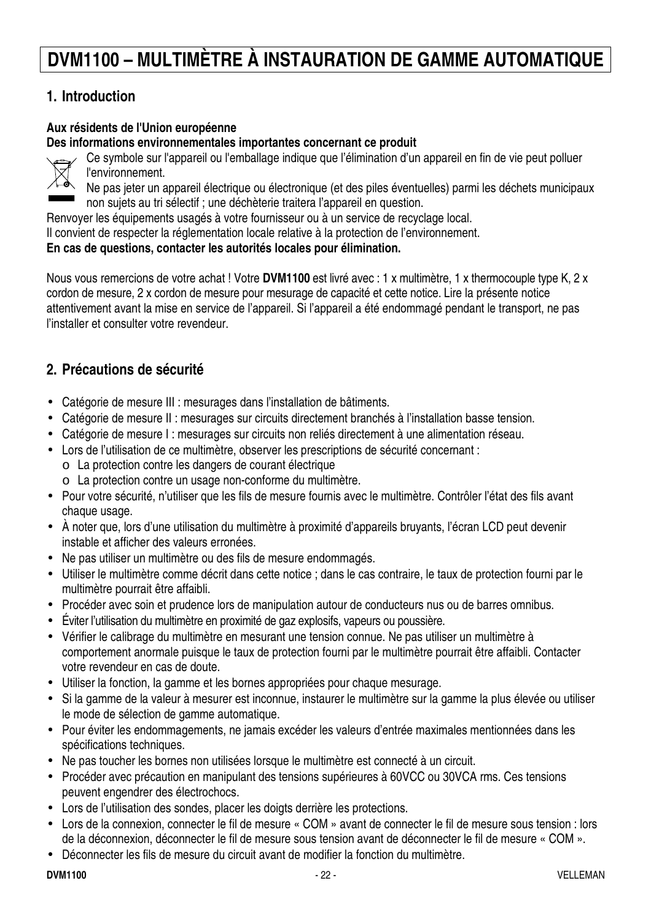# **DVM1100 – MULTIMÈTRE À INSTAURATION DE GAMME AUTOMATIQUE**

## **1. Introduction**

#### **Aux résidents de l'Union européenne**

**Des informations environnementales importantes concernant ce produit** 



Ce symbole sur l'appareil ou l'emballage indique que l'élimination d'un appareil en fin de vie peut polluer l'environnement.

Ne pas jeter un appareil électrique ou électronique (et des piles éventuelles) parmi les déchets municipaux non sujets au tri sélectif ; une déchèterie traitera l'appareil en question.

Renvoyer les équipements usagés à votre fournisseur ou à un service de recyclage local.

Il convient de respecter la réglementation locale relative à la protection de l'environnement.

#### **En cas de questions, contacter les autorités locales pour élimination.**

Nous vous remercions de votre achat ! Votre **DVM1100** est livré avec : 1 x multimètre, 1 x thermocouple type K, 2 x cordon de mesure, 2 x cordon de mesure pour mesurage de capacité et cette notice. Lire la présente notice attentivement avant la mise en service de l'appareil. Si l'appareil a été endommagé pendant le transport, ne pas l'installer et consulter votre revendeur.

#### **2. Précautions de sécurité**

- Catégorie de mesure III : mesurages dans l'installation de bâtiments.
- Catégorie de mesure II : mesurages sur circuits directement branchés à l'installation basse tension.
- Catégorie de mesure I : mesurages sur circuits non reliés directement à une alimentation réseau.
- Lors de l'utilisation de ce multimètre, observer les prescriptions de sécurité concernant :
	- o La protection contre les dangers de courant électrique
	- o La protection contre un usage non-conforme du multimètre.
- Pour votre sécurité, n'utiliser que les fils de mesure fournis avec le multimètre. Contrôler l'état des fils avant chaque usage.
- À noter que, lors d'une utilisation du multimètre à proximité d'appareils bruyants, l'écran LCD peut devenir instable et afficher des valeurs erronées.
- Ne pas utiliser un multimètre ou des fils de mesure endommagés.
- Utiliser le multimètre comme décrit dans cette notice ; dans le cas contraire, le taux de protection fourni par le multimètre pourrait être affaibli.
- Procéder avec soin et prudence lors de manipulation autour de conducteurs nus ou de barres omnibus.
- Éviter l'utilisation du multimètre en proximité de gaz explosifs, vapeurs ou poussière.
- Vérifier le calibrage du multimètre en mesurant une tension connue. Ne pas utiliser un multimètre à comportement anormale puisque le taux de protection fourni par le multimètre pourrait être affaibli. Contacter votre revendeur en cas de doute.
- Utiliser la fonction, la gamme et les bornes appropriées pour chaque mesurage.
- Si la gamme de la valeur à mesurer est inconnue, instaurer le multimètre sur la gamme la plus élevée ou utiliser le mode de sélection de gamme automatique.
- Pour éviter les endommagements, ne jamais excéder les valeurs d'entrée maximales mentionnées dans les spécifications techniques.
- Ne pas toucher les bornes non utilisées lorsque le multimètre est connecté à un circuit.
- Procéder avec précaution en manipulant des tensions supérieures à 60VCC ou 30VCA rms. Ces tensions peuvent engendrer des électrochocs.
- Lors de l'utilisation des sondes, placer les doigts derrière les protections.
- Lors de la connexion, connecter le fil de mesure « COM » avant de connecter le fil de mesure sous tension : lors de la déconnexion, déconnecter le fil de mesure sous tension avant de déconnecter le fil de mesure « COM ».
- Déconnecter les fils de mesure du circuit avant de modifier la fonction du multimètre.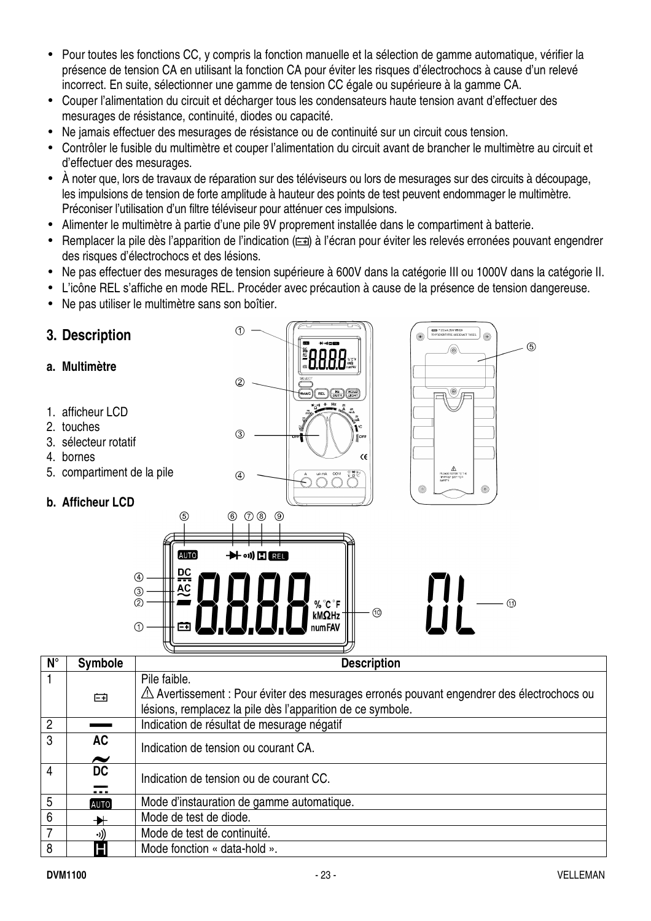- Pour toutes les fonctions CC, y compris la fonction manuelle et la sélection de gamme automatique, vérifier la présence de tension CA en utilisant la fonction CA pour éviter les risques d'électrochocs à cause d'un relevé incorrect. En suite, sélectionner une gamme de tension CC égale ou supérieure à la gamme CA.
- Couper l'alimentation du circuit et décharger tous les condensateurs haute tension avant d'effectuer des mesurages de résistance, continuité, diodes ou capacité.
- Ne jamais effectuer des mesurages de résistance ou de continuité sur un circuit cous tension.
- Contrôler le fusible du multimètre et couper l'alimentation du circuit avant de brancher le multimètre au circuit et d'effectuer des mesurages.
- À noter que, lors de travaux de réparation sur des téléviseurs ou lors de mesurages sur des circuits à découpage, les impulsions de tension de forte amplitude à hauteur des points de test peuvent endommager le multimètre. Préconiser l'utilisation d'un filtre téléviseur pour atténuer ces impulsions.
- Alimenter le multimètre à partie d'une pile 9V proprement installée dans le compartiment à batterie.
- Remplacer la pile dès l'apparition de l'indication ( $\equiv$ i) à l'écran pour éviter les relevés erronées pouvant engendrer des risques d'électrochocs et des lésions.
- Ne pas effectuer des mesurages de tension supérieure à 600V dans la catégorie III ou 1000V dans la catégorie II.
- L'icône REL s'affiche en mode REL. Procéder avec précaution à cause de la présence de tension dangereuse.
- Ne pas utiliser le multimètre sans son boîtier.

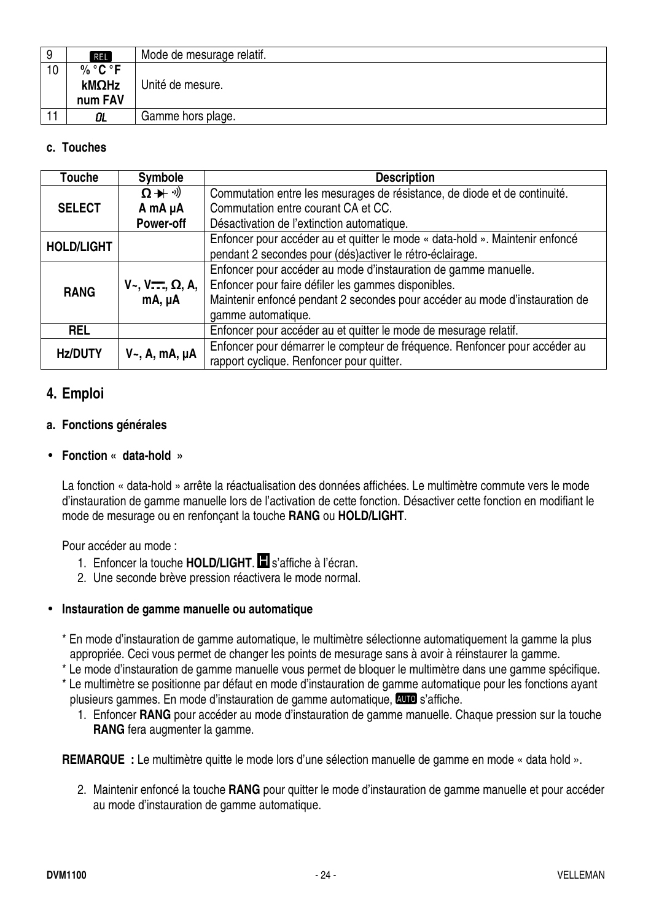| 9 | <b>REL</b> | Mode de mesurage relatif. |
|---|------------|---------------------------|
|   | $\%$ °C °F |                           |
|   | kMΩHz      | Unité de mesure.          |
|   | num FAV    |                           |
|   | OL         | Gamme hors plage.         |

#### **c. Touches**

| <b>Touche</b>     | <b>Symbole</b>                  | <b>Description</b>                                                           |
|-------------------|---------------------------------|------------------------------------------------------------------------------|
|                   | $\Omega + \mathcal{Y}$          | Commutation entre les mesurages de résistance, de diode et de continuité.    |
| <b>SELECT</b>     | A mA µA                         | Commutation entre courant CA et CC.                                          |
|                   | Power-off                       | Désactivation de l'extinction automatique.                                   |
| <b>HOLD/LIGHT</b> |                                 | Enfoncer pour accéder au et quitter le mode « data-hold ». Maintenir enfoncé |
|                   |                                 | pendant 2 secondes pour (dés)activer le rétro-éclairage.                     |
|                   |                                 | Enfoncer pour accéder au mode d'instauration de gamme manuelle.              |
| <b>RANG</b>       | $V_-, V_{--}^-$ , $\Omega$ , A, | Enfoncer pour faire défiler les gammes disponibles.                          |
|                   | mA, µA                          | Maintenir enfoncé pendant 2 secondes pour accéder au mode d'instauration de  |
|                   |                                 | gamme automatique.                                                           |
| <b>REL</b>        |                                 | Enfoncer pour accéder au et quitter le mode de mesurage relatif.             |
|                   |                                 | Enfoncer pour démarrer le compteur de fréquence. Renfoncer pour accéder au   |
| <b>Hz/DUTY</b>    | $V_{\sim}$ , A, mA, $\mu$ A     | rapport cyclique. Renfoncer pour quitter.                                    |

#### **4. Emploi**

#### **a. Fonctions générales**

#### • **Fonction « data-hold »**

La fonction « data-hold » arrête la réactualisation des données affichées. Le multimètre commute vers le mode d'instauration de gamme manuelle lors de l'activation de cette fonction. Désactiver cette fonction en modifiant le mode de mesurage ou en renfonçant la touche **RANG** ou **HOLD/LIGHT**.

Pour accéder au mode :

- 1. Enfoncer la touche **HOLD/LIGHT**. **I** s'affiche à l'écran.
- 2. Une seconde brève pression réactivera le mode normal.

#### • **Instauration de gamme manuelle ou automatique**

- \* En mode d'instauration de gamme automatique, le multimètre sélectionne automatiquement la gamme la plus appropriée. Ceci vous permet de changer les points de mesurage sans à avoir à réinstaurer la gamme.
- \* Le mode d'instauration de gamme manuelle vous permet de bloquer le multimètre dans une gamme spécifique.
- \* Le multimètre se positionne par défaut en mode d'instauration de gamme automatique pour les fonctions ayant plusieurs gammes. En mode d'instauration de gamme automatique, **QUO** s'affiche.
	- 1. Enfoncer **RANG** pour accéder au mode d'instauration de gamme manuelle. Chaque pression sur la touche **RANG** fera augmenter la gamme.

**REMARQUE :** Le multimètre quitte le mode lors d'une sélection manuelle de gamme en mode « data hold ».

2. Maintenir enfoncé la touche **RANG** pour quitter le mode d'instauration de gamme manuelle et pour accéder au mode d'instauration de gamme automatique.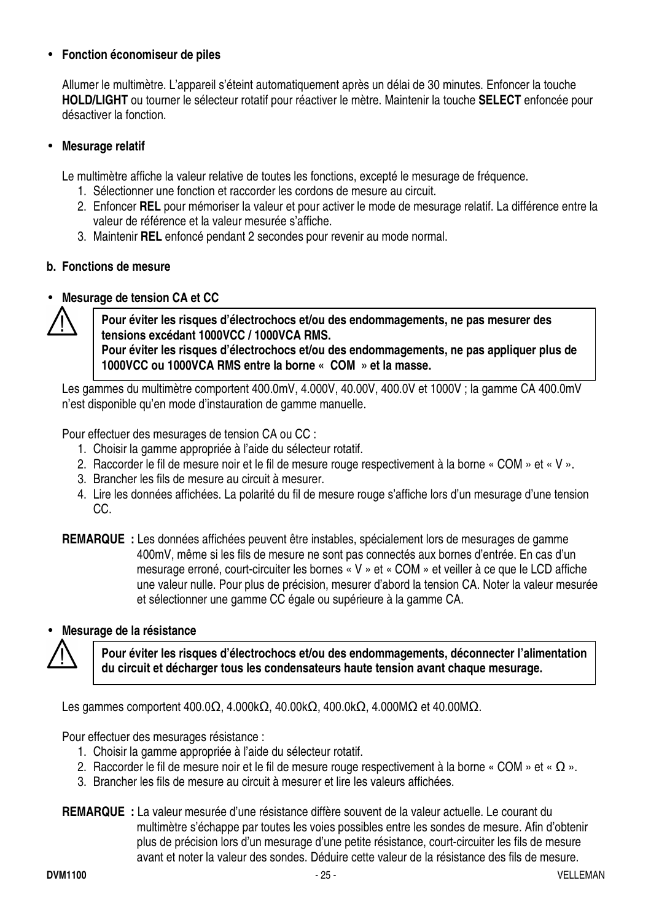#### • **Fonction économiseur de piles**

Allumer le multimètre. L'appareil s'éteint automatiquement après un délai de 30 minutes. Enfoncer la touche **HOLD/LIGHT** ou tourner le sélecteur rotatif pour réactiver le mètre. Maintenir la touche **SELECT** enfoncée pour désactiver la fonction.

#### • **Mesurage relatif**

Le multimètre affiche la valeur relative de toutes les fonctions, excepté le mesurage de fréquence.

- 1. Sélectionner une fonction et raccorder les cordons de mesure au circuit.
- 2. Enfoncer **REL** pour mémoriser la valeur et pour activer le mode de mesurage relatif. La différence entre la valeur de référence et la valeur mesurée s'affiche.
- 3. Maintenir **REL** enfoncé pendant 2 secondes pour revenir au mode normal.

#### **b. Fonctions de mesure**

#### • **Mesurage de tension CA et CC**



**Pour éviter les risques d'électrochocs et/ou des endommagements, ne pas mesurer des tensions excédant 1000VCC / 1000VCA RMS. Pour éviter les risques d'électrochocs et/ou des endommagements, ne pas appliquer plus de 1000VCC ou 1000VCA RMS entre la borne « COM » et la masse.** 

Les gammes du multimètre comportent 400.0mV, 4.000V, 40.00V, 400.0V et 1000V ; la gamme CA 400.0mV n'est disponible qu'en mode d'instauration de gamme manuelle.

Pour effectuer des mesurages de tension CA ou CC :

- 1. Choisir la gamme appropriée à l'aide du sélecteur rotatif.
- 2. Raccorder le fil de mesure noir et le fil de mesure rouge respectivement à la borne « COM » et « V ».
- 3. Brancher les fils de mesure au circuit à mesurer.
- 4. Lire les données affichées. La polarité du fil de mesure rouge s'affiche lors d'un mesurage d'une tension CC.

**REMARQUE :** Les données affichées peuvent être instables, spécialement lors de mesurages de gamme 400mV, même si les fils de mesure ne sont pas connectés aux bornes d'entrée. En cas d'un mesurage erroné, court-circuiter les bornes « V » et « COM » et veiller à ce que le LCD affiche une valeur nulle. Pour plus de précision, mesurer d'abord la tension CA. Noter la valeur mesurée et sélectionner une gamme CC égale ou supérieure à la gamme CA.

#### • **Mesurage de la résistance**



**Pour éviter les risques d'électrochocs et/ou des endommagements, déconnecter l'alimentation du circuit et décharger tous les condensateurs haute tension avant chaque mesurage.** 

Les gammes comportent 400.0Ω, 4.000kΩ, 40.00kΩ, 400.0kΩ, 4.000MΩ et 40.00MΩ.

Pour effectuer des mesurages résistance :

- 1. Choisir la gamme appropriée à l'aide du sélecteur rotatif.
- 2. Raccorder le fil de mesure noir et le fil de mesure rouge respectivement à la borne « COM » et «  $\Omega$  ».
- 3. Brancher les fils de mesure au circuit à mesurer et lire les valeurs affichées.

**REMARQUE :** La valeur mesurée d'une résistance diffère souvent de la valeur actuelle. Le courant du multimètre s'échappe par toutes les voies possibles entre les sondes de mesure. Afin d'obtenir plus de précision lors d'un mesurage d'une petite résistance, court-circuiter les fils de mesure avant et noter la valeur des sondes. Déduire cette valeur de la résistance des fils de mesure.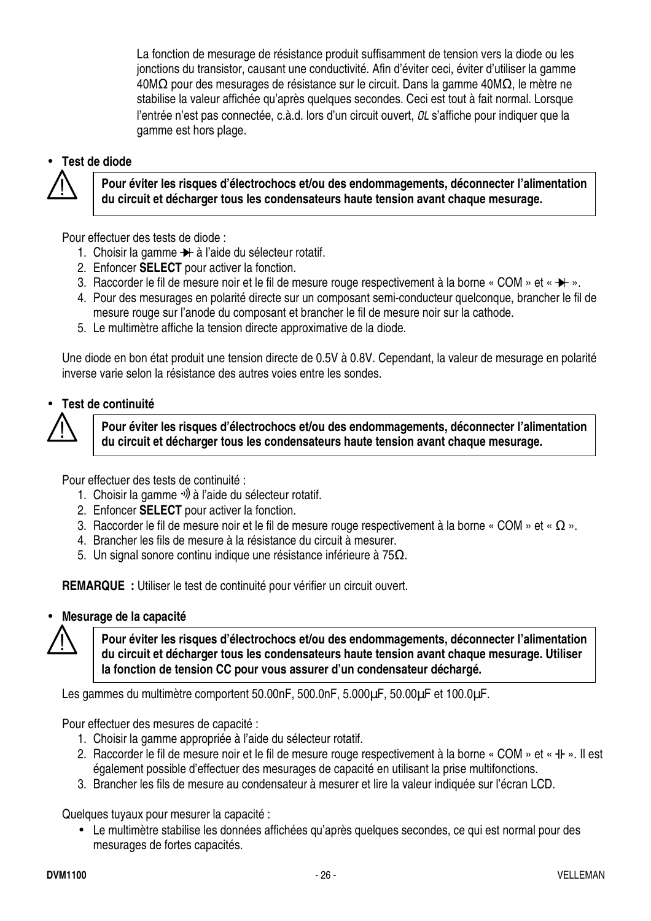La fonction de mesurage de résistance produit suffisamment de tension vers la diode ou les jonctions du transistor, causant une conductivité. Afin d'éviter ceci, éviter d'utiliser la gamme 40MΩ pour des mesurages de résistance sur le circuit. Dans la gamme 40MΩ, le mètre ne stabilise la valeur affichée qu'après quelques secondes. Ceci est tout à fait normal. Lorsque l'entrée n'est pas connectée, c.à.d. lors d'un circuit ouvert, *DL* s'affiche pour indiquer que la gamme est hors plage.

#### • **Test de diode**



**Pour éviter les risques d'électrochocs et/ou des endommagements, déconnecter l'alimentation du circuit et décharger tous les condensateurs haute tension avant chaque mesurage.** 

Pour effectuer des tests de diode :

- 1. Choisir la gamme  $\rightarrow$  à l'aide du sélecteur rotatif.
- 2. Enfoncer **SELECT** pour activer la fonction.
- 3. Raccorder le fil de mesure noir et le fil de mesure rouge respectivement à la borne « COM » et «  $\blacktriangleright$  ».
- 4. Pour des mesurages en polarité directe sur un composant semi-conducteur quelconque, brancher le fil de mesure rouge sur l'anode du composant et brancher le fil de mesure noir sur la cathode.
- 5. Le multimètre affiche la tension directe approximative de la diode.

Une diode en bon état produit une tension directe de 0.5V à 0.8V. Cependant, la valeur de mesurage en polarité inverse varie selon la résistance des autres voies entre les sondes.

#### • **Test de continuité**



**Pour éviter les risques d'électrochocs et/ou des endommagements, déconnecter l'alimentation du circuit et décharger tous les condensateurs haute tension avant chaque mesurage.** 

Pour effectuer des tests de continuité :

- 1. Choisir la gamme  $\psi$  à l'aide du sélecteur rotatif.
- 2. Enfoncer **SELECT** pour activer la fonction.
- 3. Raccorder le fil de mesure noir et le fil de mesure rouge respectivement à la borne « COM » et «  $\Omega$  ».
- 4. Brancher les fils de mesure à la résistance du circuit à mesurer.
- 5. Un signal sonore continu indique une résistance inférieure à 75Ω.

**REMARQUE :** Utiliser le test de continuité pour vérifier un circuit ouvert.

#### • **Mesurage de la capacité**

**Pour éviter les risques d'électrochocs et/ou des endommagements, déconnecter l'alimentation du circuit et décharger tous les condensateurs haute tension avant chaque mesurage. Utiliser la fonction de tension CC pour vous assurer d'un condensateur déchargé.** 

Les gammes du multimètre comportent 50.00nF, 500.0nF, 5.000µF, 50.00µF et 100.0µF.

Pour effectuer des mesures de capacité :

- 1. Choisir la gamme appropriée à l'aide du sélecteur rotatif.
- 2. Raccorder le fil de mesure noir et le fil de mesure rouge respectivement à la borne « COM » et « + I+ ». Il est également possible d'effectuer des mesurages de capacité en utilisant la prise multifonctions.
- 3. Brancher les fils de mesure au condensateur à mesurer et lire la valeur indiquée sur l'écran LCD.

Quelques tuyaux pour mesurer la capacité :

• Le multimètre stabilise les données affichées qu'après quelques secondes, ce qui est normal pour des mesurages de fortes capacités.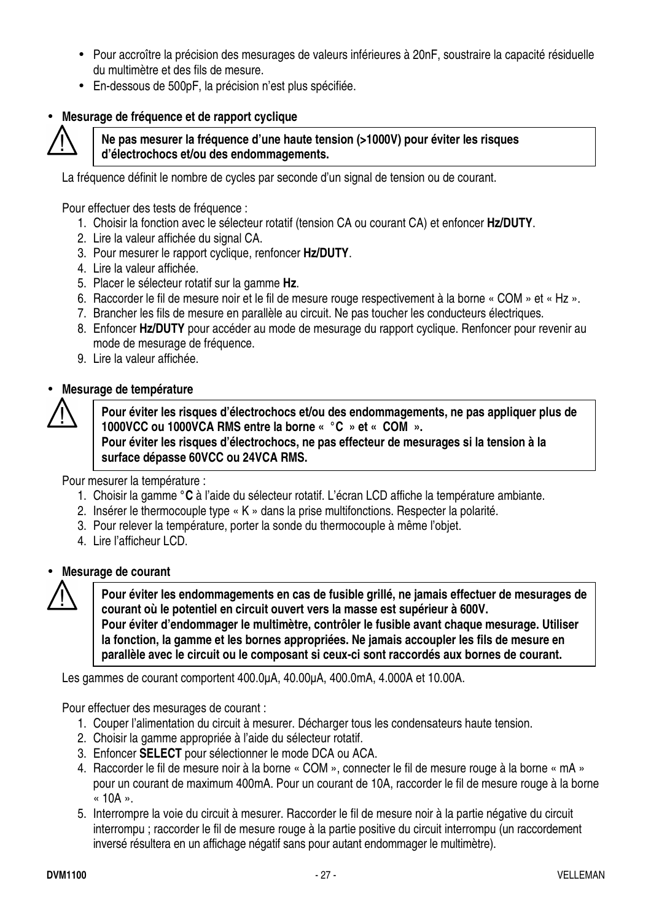- Pour accroître la précision des mesurages de valeurs inférieures à 20nF, soustraire la capacité résiduelle du multimètre et des fils de mesure.
- En-dessous de 500pF, la précision n'est plus spécifiée.

#### • **Mesurage de fréquence et de rapport cyclique**



#### **Ne pas mesurer la fréquence d'une haute tension (>1000V) pour éviter les risques d'électrochocs et/ou des endommagements.**

La fréquence définit le nombre de cycles par seconde d'un signal de tension ou de courant.

Pour effectuer des tests de fréquence :

- 1. Choisir la fonction avec le sélecteur rotatif (tension CA ou courant CA) et enfoncer **Hz/DUTY**.
- 2. Lire la valeur affichée du signal CA.
- 3. Pour mesurer le rapport cyclique, renfoncer **Hz/DUTY**.
- 4. Lire la valeur affichée.
- 5. Placer le sélecteur rotatif sur la gamme **Hz**.
- 6. Raccorder le fil de mesure noir et le fil de mesure rouge respectivement à la borne « COM » et « Hz ».
- 7. Brancher les fils de mesure en parallèle au circuit. Ne pas toucher les conducteurs électriques.
- 8. Enfoncer **Hz/DUTY** pour accéder au mode de mesurage du rapport cyclique. Renfoncer pour revenir au mode de mesurage de fréquence.
- 9. Lire la valeur affichée.

#### • **Mesurage de température**



**Pour éviter les risques d'électrochocs et/ou des endommagements, ne pas appliquer plus de 1000VCC ou 1000VCA RMS entre la borne « °C » et « COM ». Pour éviter les risques d'électrochocs, ne pas effecteur de mesurages si la tension à la surface dépasse 60VCC ou 24VCA RMS.** 

Pour mesurer la température :

- 1. Choisir la gamme **°C** à l'aide du sélecteur rotatif. L'écran LCD affiche la température ambiante.
- 2. Insérer le thermocouple type « K » dans la prise multifonctions. Respecter la polarité.
- 3. Pour relever la température, porter la sonde du thermocouple à même l'objet.
- 4. Lire l'afficheur LCD.



#### • **Mesurage de courant**

**Pour éviter les endommagements en cas de fusible grillé, ne jamais effectuer de mesurages de courant où le potentiel en circuit ouvert vers la masse est supérieur à 600V. Pour éviter d'endommager le multimètre, contrôler le fusible avant chaque mesurage. Utiliser la fonction, la gamme et les bornes appropriées. Ne jamais accoupler les fils de mesure en parallèle avec le circuit ou le composant si ceux-ci sont raccordés aux bornes de courant.**

Les gammes de courant comportent 400.0µA, 40.00µA, 400.0mA, 4.000A et 10.00A.

Pour effectuer des mesurages de courant :

- 1. Couper l'alimentation du circuit à mesurer. Décharger tous les condensateurs haute tension.
- 2. Choisir la gamme appropriée à l'aide du sélecteur rotatif.
- 3. Enfoncer **SELECT** pour sélectionner le mode DCA ou ACA.
- 4. Raccorder le fil de mesure noir à la borne « COM », connecter le fil de mesure rouge à la borne « mA » pour un courant de maximum 400mA. Pour un courant de 10A, raccorder le fil de mesure rouge à la borne  $\kappa$  10A ».
- 5. Interrompre la voie du circuit à mesurer. Raccorder le fil de mesure noir à la partie négative du circuit interrompu ; raccorder le fil de mesure rouge à la partie positive du circuit interrompu (un raccordement inversé résultera en un affichage négatif sans pour autant endommager le multimètre).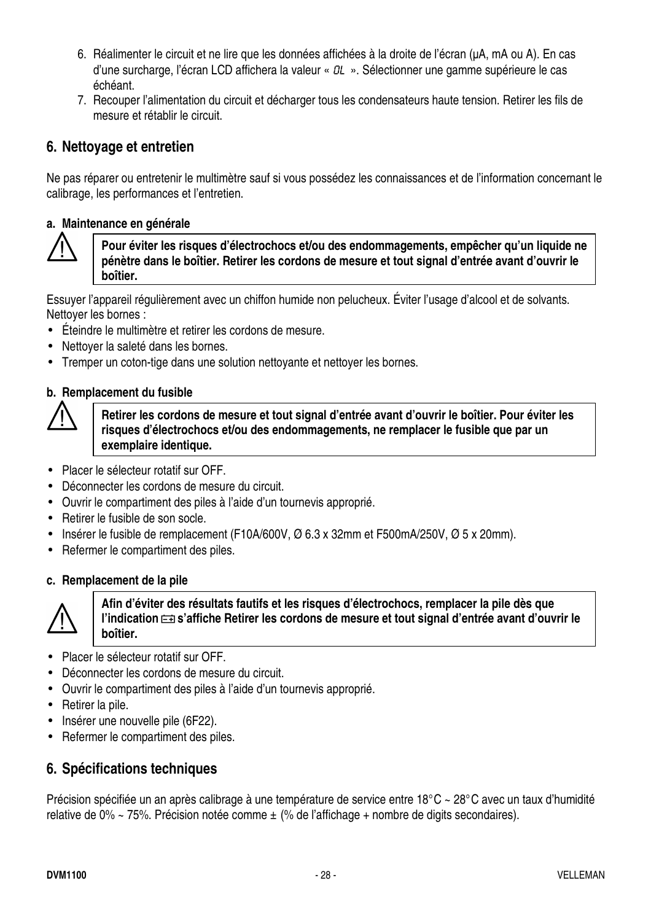- 6. Réalimenter le circuit et ne lire que les données affichées à la droite de l'écran (µA, mA ou A). En cas d'une surcharge, l'écran LCD affichera la valeur «  $OL \times$ . Sélectionner une gamme supérieure le cas échéant.
- 7. Recouper l'alimentation du circuit et décharger tous les condensateurs haute tension. Retirer les fils de mesure et rétablir le circuit.

#### **6. Nettoyage et entretien**

Ne pas réparer ou entretenir le multimètre sauf si vous possédez les connaissances et de l'information concernant le calibrage, les performances et l'entretien.

#### **a. Maintenance en générale**



**Pour éviter les risques d'électrochocs et/ou des endommagements, empêcher qu'un liquide ne pénètre dans le boîtier. Retirer les cordons de mesure et tout signal d'entrée avant d'ouvrir le boîtier.**

Essuyer l'appareil régulièrement avec un chiffon humide non pelucheux. Éviter l'usage d'alcool et de solvants. Nettoyer les bornes :

- Éteindre le multimètre et retirer les cordons de mesure.
- Nettoyer la saleté dans les bornes.
- Tremper un coton-tige dans une solution nettoyante et nettoyer les bornes.

#### **b. Remplacement du fusible**



**Retirer les cordons de mesure et tout signal d'entrée avant d'ouvrir le boîtier. Pour éviter les risques d'électrochocs et/ou des endommagements, ne remplacer le fusible que par un exemplaire identique.**

- Placer le sélecteur rotatif sur OFF.
- Déconnecter les cordons de mesure du circuit.
- Ouvrir le compartiment des piles à l'aide d'un tournevis approprié.
- Retirer le fusible de son socle.
- Insérer le fusible de remplacement (F10A/600V, Ø 6.3 x 32mm et F500mA/250V, Ø 5 x 20mm).
- Refermer le compartiment des piles.

#### **c. Remplacement de la pile**



**Afin d'éviter des résultats fautifs et les risques d'électrochocs, remplacer la pile dès que**  l'indication  $\equiv s$ 'affiche Retirer les cordons de mesure et tout signal d'entrée avant d'ouvrir le **boîtier.** 

- Placer le sélecteur rotatif sur OFF.
- Déconnecter les cordons de mesure du circuit.
- Ouvrir le compartiment des piles à l'aide d'un tournevis approprié.
- Retirer la pile.
- Insérer une nouvelle pile (6F22).
- Refermer le compartiment des piles.

#### **6. Spécifications techniques**

Précision spécifiée un an après calibrage à une température de service entre 18°C ~ 28°C avec un taux d'humidité relative de 0% ~ 75%. Précision notée comme  $\pm$  (% de l'affichage + nombre de digits secondaires).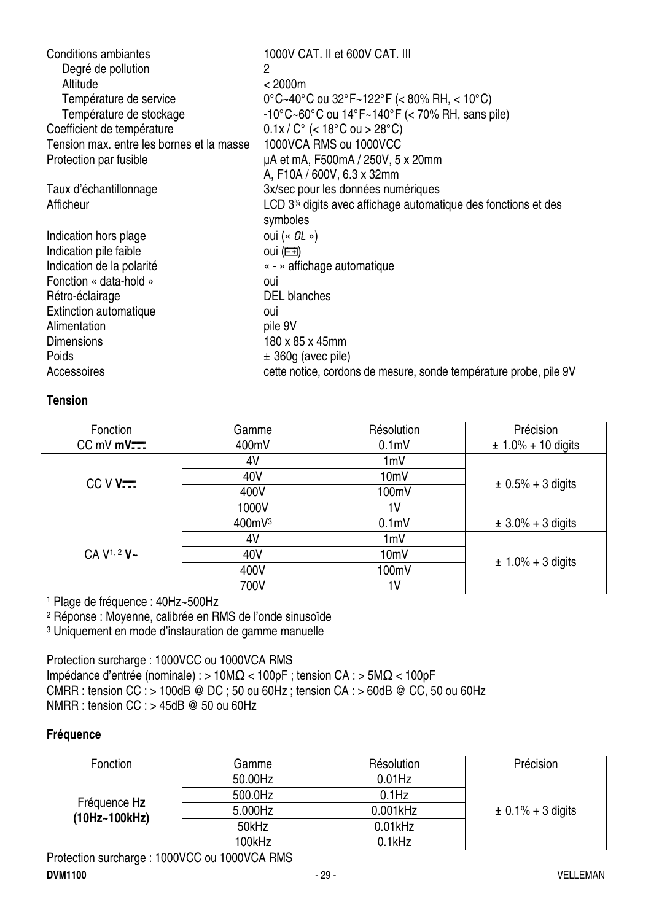| <b>Conditions ambiantes</b>               | 1000V CAT. II et 600V CAT. III                                    |
|-------------------------------------------|-------------------------------------------------------------------|
| Degré de pollution                        | 2                                                                 |
| Altitude                                  | < 2000m                                                           |
| Température de service                    | $0^{\circ}$ C~40°C ou 32°F~122°F (< 80% RH, < 10°C)               |
| Température de stockage                   | $-10^{\circ}$ C~60°C ou 14°F~140°F (< 70% RH, sans pile)          |
| Coefficient de température                | $0.1x/C^{\circ}$ (< 18°C ou > 28°C)                               |
| Tension max. entre les bornes et la masse | 1000VCA RMS ou 1000VCC                                            |
| Protection par fusible                    | µA et mA, F500mA / 250V, 5 x 20mm                                 |
|                                           | A, F10A / 600V, 6.3 x 32mm                                        |
| Taux d'échantillonnage                    | 3x/sec pour les données numériques                                |
| Afficheur                                 | LCD $334$ digits avec affichage automatique des fonctions et des  |
|                                           | symboles                                                          |
| Indication hors plage                     | oui (« $OL \rightarrow$ )                                         |
| Indication pile faible                    | oui $(\equiv)$                                                    |
| Indication de la polarité                 | « - » affichage automatique                                       |
| Fonction « data-hold »                    | oui                                                               |
| Rétro-éclairage                           | <b>DEL</b> blanches                                               |
| Extinction automatique                    | oui                                                               |
| Alimentation                              | pile 9V                                                           |
| <b>Dimensions</b>                         | 180 x 85 x 45mm                                                   |
| Poids                                     | $\pm$ 360g (avec pile)                                            |
| Accessoires                               | cette notice, cordons de mesure, sonde température probe, pile 9V |

#### **Tension**

| Fonction                            | Gamme  | Résolution        | Précision              |
|-------------------------------------|--------|-------------------|------------------------|
| $CC$ mV mV $\overline{}$            | 400mV  | 0.1 <sub>m</sub>  | $\pm$ 1.0% + 10 digits |
|                                     | 4V     | 1mV               |                        |
| $CCVV$                              | 40V    | 10 <sub>m</sub> V |                        |
|                                     | 400V   | 100mV             | $\pm$ 0.5% + 3 digits  |
|                                     | 1000V  | 1 <sup>V</sup>    |                        |
|                                     | 400mV3 | 0.1 <sub>m</sub>  | $\pm 3.0\% + 3$ digits |
|                                     | 4V     | 1mV               |                        |
| CA V <sup>1, 2</sup> V <sub>~</sub> | 40V    | 10 <sub>m</sub> V |                        |
|                                     | 400V   | 100mV             | $\pm 1.0\% + 3$ digits |
|                                     | 700V   | 1 <sup>V</sup>    |                        |

1 Plage de fréquence : 40Hz~500Hz

2 Réponse : Moyenne, calibrée en RMS de l'onde sinusoïde

3 Uniquement en mode d'instauration de gamme manuelle

Protection surcharge : 1000VCC ou 1000VCA RMS Impédance d'entrée (nominale) : > 10MΩ < 100pF ; tension CA : > 5MΩ < 100pF CMRR : tension  $CC$  : > 100dB @ DC ; 50 ou 60Hz ; tension CA : > 60dB @ CC, 50 ou 60Hz NMRR : tension CC : > 45dB @ 50 ou 60Hz

#### **Fréquence**

| Fonction                      | Gamme   | Résolution  | Précision             |
|-------------------------------|---------|-------------|-----------------------|
|                               | 50.00Hz | $0.01$ Hz   |                       |
|                               | 500.0Hz | $0.1$ Hz    |                       |
| Fréquence Hz<br>(10Hz~100kHz) | 5.000Hz | $0.001$ kHz | $\pm$ 0.1% + 3 digits |
|                               | 50kHz   | $0.01$ kHz  |                       |
|                               | 100kHz  | $0.1$ kHz   |                       |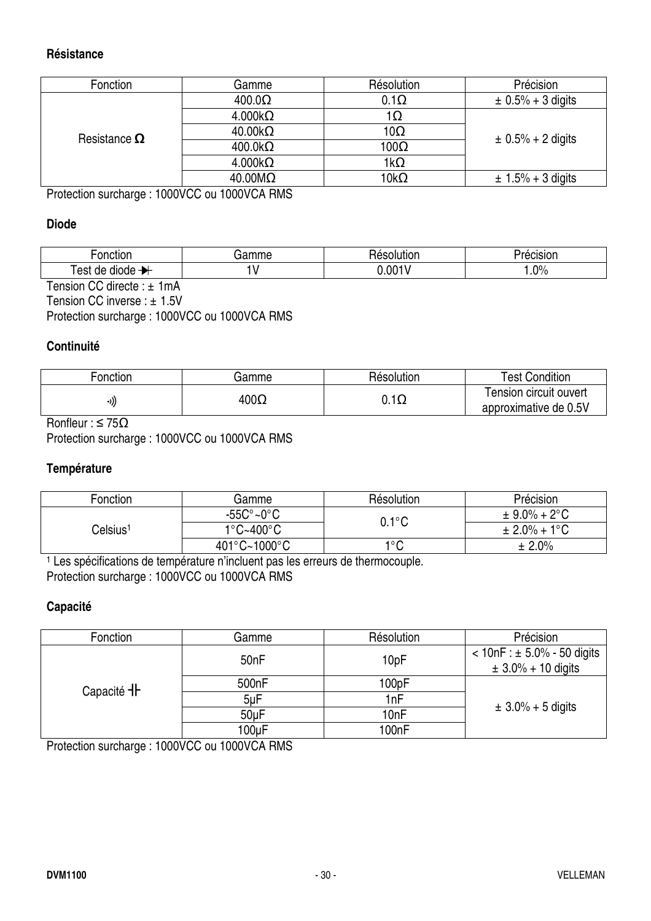#### **Résistance**

| Fonction                                                                                | Gamme                    | Résolution  | Précision              |  |
|-----------------------------------------------------------------------------------------|--------------------------|-------------|------------------------|--|
|                                                                                         | $400.0\Omega$            | $0.1\Omega$ | $\pm 0.5\% + 3$ digits |  |
|                                                                                         | $4.000k\Omega$           | 1Ω          |                        |  |
| Resistance $\Omega$                                                                     | $40.00 \mathrm{k}\Omega$ | 10Ω         | $\pm$ 0.5% + 2 digits  |  |
|                                                                                         | $400.0k\Omega$           | 100Ω        |                        |  |
|                                                                                         | $4.000k\Omega$           | 1kΩ         |                        |  |
|                                                                                         | $40.00 \text{M}\Omega$   | $10k\Omega$ | $\pm 1.5\% + 3$ digits |  |
| $D_{\text{total}}$ at the second space of $0.001/00$ such $0.001/01$ $D_{\text{total}}$ |                          |             |                        |  |

Protection surcharge : 1000VCC ou 1000VCA RMS

#### **Diode**

| onc                | .    | ------        | .     |
|--------------------|------|---------------|-------|
| н э                | יי י | ___           | SK)I  |
| est<br>ae<br>aloge | . .  | $.00^{\circ}$ | $2\%$ |

Tension CC directe : ± 1mA Tension CC inverse : ± 1.5V Protection surcharge : 1000VCC ou 1000VCA RMS

#### **Continuité**

| Fonction | Gamme       | Résolution     | <b>Test Condition</b>  |
|----------|-------------|----------------|------------------------|
|          | $400\Omega$ | $\overline{1}$ | Tension circuit ouvert |
| -1))     |             | ∪. . ⊾∠        | approximative de 0.5V  |

Ronfleur :  $\leq 75\Omega$ 

Protection surcharge : 1000VCC ou 1000VCA RMS

#### **Température**

| Fonction             | Gamme                             | Résolution      | Précision                |
|----------------------|-----------------------------------|-----------------|--------------------------|
|                      | $-55C^{\circ}$ ~0 $^{\circ}$ C    | $0.1^{\circ}$ C | $\pm$ 9.0% + 2°C         |
| Celsius <sup>1</sup> | $1^{\circ}$ C~400 $^{\circ}$ C    |                 | $\pm 2.0\% + 1\degree C$ |
|                      | $401^{\circ}$ C~1000 $^{\circ}$ C | 1°C             | ± 2.0%                   |

<sup>1</sup> Les spécifications de température n'incluent pas les erreurs de thermocouple. Protection surcharge : 1000VCC ou 1000VCA RMS

#### **Capacité**

| Fonction                 | Gamme              | Résolution | Précision                                                 |
|--------------------------|--------------------|------------|-----------------------------------------------------------|
|                          | 50 <sub>n</sub> F  | 10pF       | $< 10nF : ± 5.0\% - 50$ digits<br>$\pm 3.0\% + 10$ digits |
| Capacité <sup>-</sup> IF | 500 <sub>n</sub> F | 100pF      |                                                           |
|                          | $5\nu F$           | 1nF        |                                                           |
|                          | 50 <sub>u</sub> F  | 10nF       | $\pm 3.0\% + 5$ digits                                    |
|                          | 100uF              | 100nF      |                                                           |

Protection surcharge : 1000VCC ou 1000VCA RMS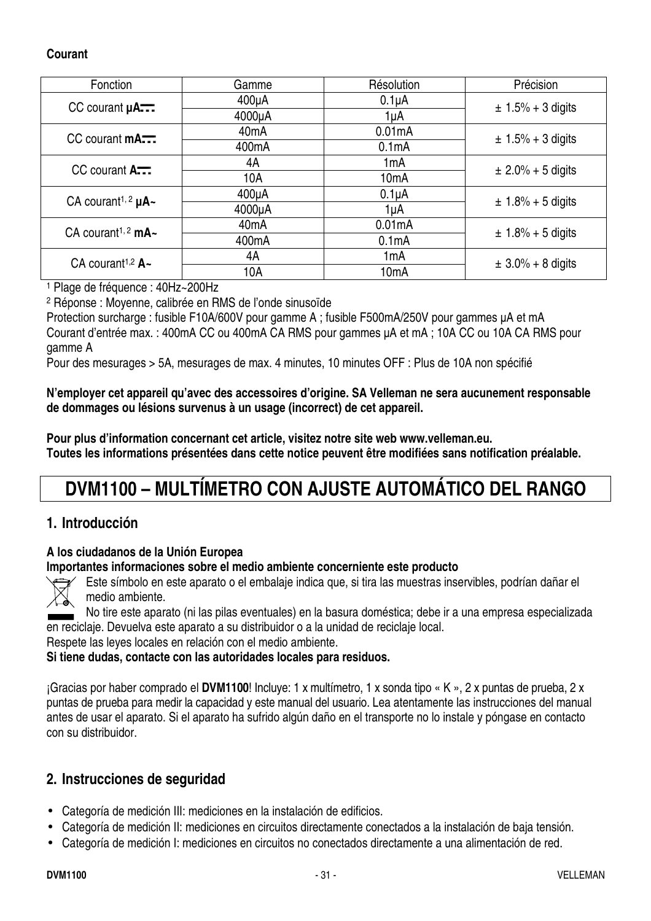#### **Courant**

| Fonction                                  | Gamme              | Résolution         | Précision              |
|-------------------------------------------|--------------------|--------------------|------------------------|
| $CC$ courant $\mu$ A                      | $400\mu A$         | $0.1\muA$          | $\pm$ 1.5% + 3 digits  |
|                                           | 4000µA             | 1µA                |                        |
| $CC$ courant $\mathsf{mA}$                | 40 <sub>m</sub> A  | 0.01mA             | $\pm$ 1.5% + 3 digits  |
|                                           | 400 <sub>m</sub> A | 0.1 <sub>m</sub> A |                        |
| $CC$ courant $A_{\overline{111}}$         | 4A                 | 1mA                | $\pm 2.0\% + 5$ digits |
|                                           | 10A                | 10 <sub>m</sub> A  |                        |
| CA courant <sup>1, 2</sup> $\mu$ A $\sim$ | $400\mu A$         | $0.1\muA$          | $\pm$ 1.8% + 5 digits  |
|                                           | 4000µA             | 1µA                |                        |
| CA courant <sup>1, 2</sup> mA $\sim$      | 40 <sub>m</sub> A  | 0.01mA             | $± 1.8% + 5$ digits    |
|                                           | 400 <sub>m</sub> A | 0.1 <sub>m</sub> A |                        |
| CA courant <sup>1,2</sup> $A -$           | 4A                 | 1mA                | $\pm 3.0\% + 8$ digits |
|                                           | 10A                | 10 <sub>m</sub> A  |                        |

1 Plage de fréquence : 40Hz~200Hz

2 Réponse : Moyenne, calibrée en RMS de l'onde sinusoïde

Protection surcharge : fusible F10A/600V pour gamme A ; fusible F500mA/250V pour gammes µA et mA Courant d'entrée max. : 400mA CC ou 400mA CA RMS pour gammes µA et mA ; 10A CC ou 10A CA RMS pour gamme A

Pour des mesurages > 5A, mesurages de max. 4 minutes, 10 minutes OFF : Plus de 10A non spécifié

**N'employer cet appareil qu'avec des accessoires d'origine. SA Velleman ne sera aucunement responsable de dommages ou lésions survenus à un usage (incorrect) de cet appareil.** 

**Pour plus d'information concernant cet article, visitez notre site web www.velleman.eu. Toutes les informations présentées dans cette notice peuvent être modifiées sans notification préalable.** 

# **DVM1100 – MULTÍMETRO CON AJUSTE AUTOMÁTICO DEL RANGO**

#### **1. Introducción**

#### **A los ciudadanos de la Unión Europea**

#### **Importantes informaciones sobre el medio ambiente concerniente este producto**



Este símbolo en este aparato o el embalaje indica que, si tira las muestras inservibles, podrían dañar el medio ambiente.

No tire este aparato (ni las pilas eventuales) en la basura doméstica; debe ir a una empresa especializada en reciclaje. Devuelva este aparato a su distribuidor o a la unidad de reciclaje local.

Respete las leyes locales en relación con el medio ambiente.

#### **Si tiene dudas, contacte con las autoridades locales para residuos.**

¡Gracias por haber comprado el **DVM1100**! Incluye: 1 x multímetro, 1 x sonda tipo « K », 2 x puntas de prueba, 2 x puntas de prueba para medir la capacidad y este manual del usuario. Lea atentamente las instrucciones del manual antes de usar el aparato. Si el aparato ha sufrido algún daño en el transporte no lo instale y póngase en contacto con su distribuidor.

#### **2. Instrucciones de seguridad**

- Categoría de medición III: mediciones en la instalación de edificios.
- Categoría de medición II: mediciones en circuitos directamente conectados a la instalación de baja tensión.
- Categoría de medición I: mediciones en circuitos no conectados directamente a una alimentación de red.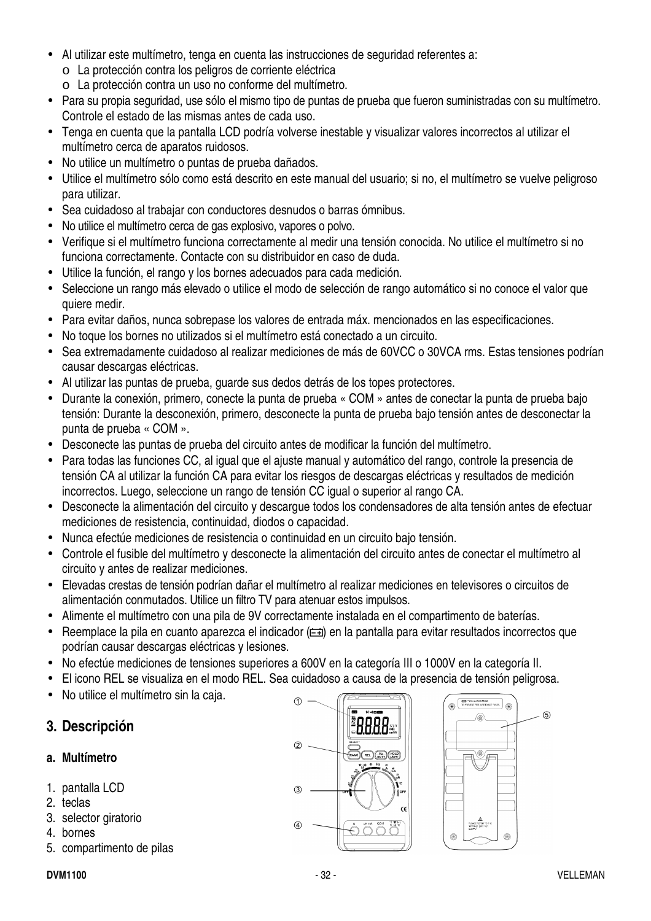- Al utilizar este multímetro, tenga en cuenta las instrucciones de seguridad referentes a:
	- o La protección contra los peligros de corriente eléctrica
	- o La protección contra un uso no conforme del multímetro.
- Para su propia seguridad, use sólo el mismo tipo de puntas de prueba que fueron suministradas con su multímetro. Controle el estado de las mismas antes de cada uso.
- Tenga en cuenta que la pantalla LCD podría volverse inestable y visualizar valores incorrectos al utilizar el multímetro cerca de aparatos ruidosos.
- No utilice un multímetro o puntas de prueba dañados.
- Utilice el multímetro sólo como está descrito en este manual del usuario; si no, el multímetro se vuelve peligroso para utilizar.
- Sea cuidadoso al trabajar con conductores desnudos o barras ómnibus.
- No utilice el multímetro cerca de gas explosivo, vapores o polvo.
- Verifique si el multímetro funciona correctamente al medir una tensión conocida. No utilice el multímetro si no funciona correctamente. Contacte con su distribuidor en caso de duda.
- Utilice la función, el rango y los bornes adecuados para cada medición.
- Seleccione un rango más elevado o utilice el modo de selección de rango automático si no conoce el valor que quiere medir.
- Para evitar daños, nunca sobrepase los valores de entrada máx. mencionados en las especificaciones.
- No toque los bornes no utilizados si el multímetro está conectado a un circuito.
- Sea extremadamente cuidadoso al realizar mediciones de más de 60VCC o 30VCA rms. Estas tensiones podrían causar descargas eléctricas.
- Al utilizar las puntas de prueba, guarde sus dedos detrás de los topes protectores.
- Durante la conexión, primero, conecte la punta de prueba « COM » antes de conectar la punta de prueba bajo tensión: Durante la desconexión, primero, desconecte la punta de prueba bajo tensión antes de desconectar la punta de prueba « COM ».
- Desconecte las puntas de prueba del circuito antes de modificar la función del multímetro.
- Para todas las funciones CC, al igual que el ajuste manual y automático del rango, controle la presencia de tensión CA al utilizar la función CA para evitar los riesgos de descargas eléctricas y resultados de medición incorrectos. Luego, seleccione un rango de tensión CC igual o superior al rango CA.
- Desconecte la alimentación del circuito y descargue todos los condensadores de alta tensión antes de efectuar mediciones de resistencia, continuidad, diodos o capacidad.
- Nunca efectúe mediciones de resistencia o continuidad en un circuito bajo tensión.
- Controle el fusible del multímetro y desconecte la alimentación del circuito antes de conectar el multímetro al circuito y antes de realizar mediciones.
- Elevadas crestas de tensión podrían dañar el multímetro al realizar mediciones en televisores o circuitos de alimentación conmutados. Utilice un filtro TV para atenuar estos impulsos.
- Alimente el multímetro con una pila de 9V correctamente instalada en el compartimento de baterías.
- Reemplace la pila en cuanto aparezca el indicador ( $\equiv$ i) en la pantalla para evitar resultados incorrectos que podrían causar descargas eléctricas y lesiones.
- No efectúe mediciones de tensiones superiores a 600V en la categoría III o 1000V en la categoría II.
- El icono REL se visualiza en el modo REL. Sea cuidadoso a causa de la presencia de tensión peligrosa.
- No utilice el multímetro sin la caja.

#### **3. Descripción**

#### **a. Multímetro**

- 1. pantalla LCD
- 2. teclas
- 3. selector giratorio
- 4. bornes
- 5. compartimento de pilas



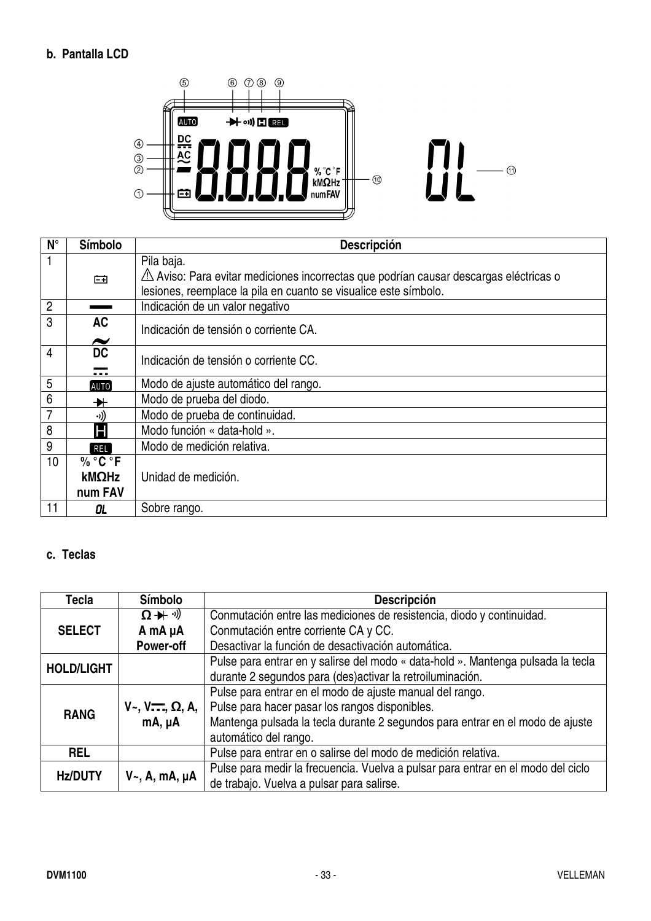#### **b. Pantalla LCD**



| $N^{\circ}$    | Símbolo                            | <b>Descripción</b>                                                                                            |
|----------------|------------------------------------|---------------------------------------------------------------------------------------------------------------|
|                |                                    | Pila baja.<br>$\triangle$ Aviso: Para evitar mediciones incorrectas que podrían causar descargas eléctricas o |
|                | 臼                                  | lesiones, reemplace la pila en cuanto se visualice este símbolo.                                              |
| $\overline{2}$ |                                    | Indicación de un valor negativo                                                                               |
| 3              | <b>AC</b><br>$\tilde{\phantom{a}}$ | Indicación de tensión o corriente CA.                                                                         |
| 4              | <b>DC</b><br>.                     | Indicación de tensión o corriente CC.                                                                         |
| 5              | <b>AUTO</b>                        | Modo de ajuste automático del rango.                                                                          |
| 6              | ╋⊦                                 | Modo de prueba del diodo.                                                                                     |
|                | ((د.                               | Modo de prueba de continuidad.                                                                                |
| 8              | Н                                  | Modo función « data-hold ».                                                                                   |
| 9              | <b>REL</b>                         | Modo de medición relativa.                                                                                    |
| 10             | % °C °F                            |                                                                                                               |
|                | kMΩHz                              | Unidad de medición.                                                                                           |
|                | num FAV                            |                                                                                                               |
| 11             | OL.                                | Sobre rango.                                                                                                  |

#### **c. Teclas**

| Tecla             | <b>Símbolo</b>                          | <b>Descripción</b>                                                               |
|-------------------|-----------------------------------------|----------------------------------------------------------------------------------|
|                   | $\Omega + \vartheta$                    | Conmutación entre las mediciones de resistencia, diodo y continuidad.            |
| <b>SELECT</b>     | A mA µA                                 | Conmutación entre corriente CA y CC.                                             |
|                   | <b>Power-off</b>                        | Desactivar la función de desactivación automática.                               |
| <b>HOLD/LIGHT</b> |                                         | Pulse para entrar en y salirse del modo « data-hold ». Mantenga pulsada la tecla |
|                   |                                         | durante 2 segundos para (des) activar la retroiluminación.                       |
|                   |                                         | Pulse para entrar en el modo de ajuste manual del rango.                         |
| <b>RANG</b>       | $V_{\sim}$ , $V_{\sim}$ , $\Omega$ , A, | Pulse para hacer pasar los rangos disponibles.                                   |
|                   | $mA, \mu A$                             | Mantenga pulsada la tecla durante 2 segundos para entrar en el modo de ajuste    |
|                   |                                         | automático del rango.                                                            |
| <b>REL</b>        |                                         | Pulse para entrar en o salirse del modo de medición relativa.                    |
| <b>Hz/DUTY</b>    |                                         | Pulse para medir la frecuencia. Vuelva a pulsar para entrar en el modo del ciclo |
|                   | $V_{\sim}$ , A, mA, µA                  | de trabajo. Vuelva a pulsar para salirse.                                        |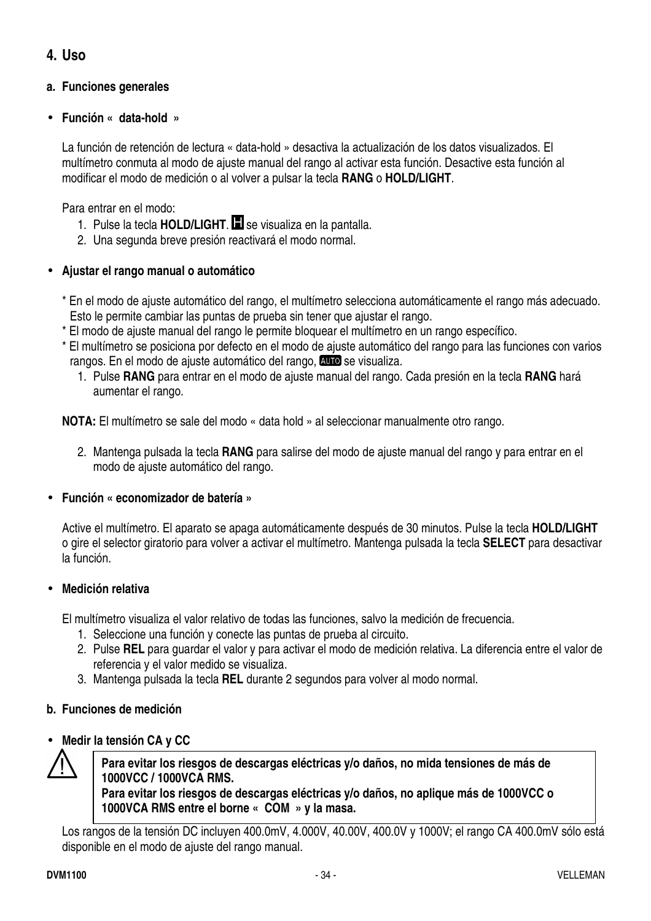#### **4. Uso**

#### **a. Funciones generales**

#### • **Función « data-hold »**

La función de retención de lectura « data-hold » desactiva la actualización de los datos visualizados. El multímetro conmuta al modo de ajuste manual del rango al activar esta función. Desactive esta función al modificar el modo de medición o al volver a pulsar la tecla **RANG** o **HOLD/LIGHT**.

Para entrar en el modo:

- 1. Pulse la tecla **HOLD/LIGHT**. se visualiza en la pantalla.
- 2. Una segunda breve presión reactivará el modo normal.

#### • **Ajustar el rango manual o automático**

- \* En el modo de ajuste automático del rango, el multímetro selecciona automáticamente el rango más adecuado. Esto le permite cambiar las puntas de prueba sin tener que ajustar el rango.
- \* El modo de ajuste manual del rango le permite bloquear el multímetro en un rango específico.
- \* El multímetro se posiciona por defecto en el modo de ajuste automático del rango para las funciones con varios rangos. En el modo de ajuste automático del rango, **auto** se visualiza.
	- 1. Pulse **RANG** para entrar en el modo de ajuste manual del rango. Cada presión en la tecla **RANG** hará aumentar el rango.

**NOTA:** El multímetro se sale del modo « data hold » al seleccionar manualmente otro rango.

2. Mantenga pulsada la tecla **RANG** para salirse del modo de ajuste manual del rango y para entrar en el modo de ajuste automático del rango.

#### • **Función « economizador de batería »**

Active el multímetro. El aparato se apaga automáticamente después de 30 minutos. Pulse la tecla **HOLD/LIGHT** o gire el selector giratorio para volver a activar el multímetro. Mantenga pulsada la tecla **SELECT** para desactivar la función.

#### • **Medición relativa**

El multímetro visualiza el valor relativo de todas las funciones, salvo la medición de frecuencia.

- 1. Seleccione una función y conecte las puntas de prueba al circuito.
- 2. Pulse **REL** para guardar el valor y para activar el modo de medición relativa. La diferencia entre el valor de referencia y el valor medido se visualiza.
- 3. Mantenga pulsada la tecla **REL** durante 2 segundos para volver al modo normal.

#### **b. Funciones de medición**

#### • **Medir la tensión CA y CC**



**Para evitar los riesgos de descargas eléctricas y/o daños, no mida tensiones de más de 1000VCC / 1000VCA RMS.** 

**Para evitar los riesgos de descargas eléctricas y/o daños, no aplique más de 1000VCC o 1000VCA RMS entre el borne « COM » y la masa.** 

Los rangos de la tensión DC incluyen 400.0mV, 4.000V, 40.00V, 400.0V y 1000V; el rango CA 400.0mV sólo está disponible en el modo de ajuste del rango manual.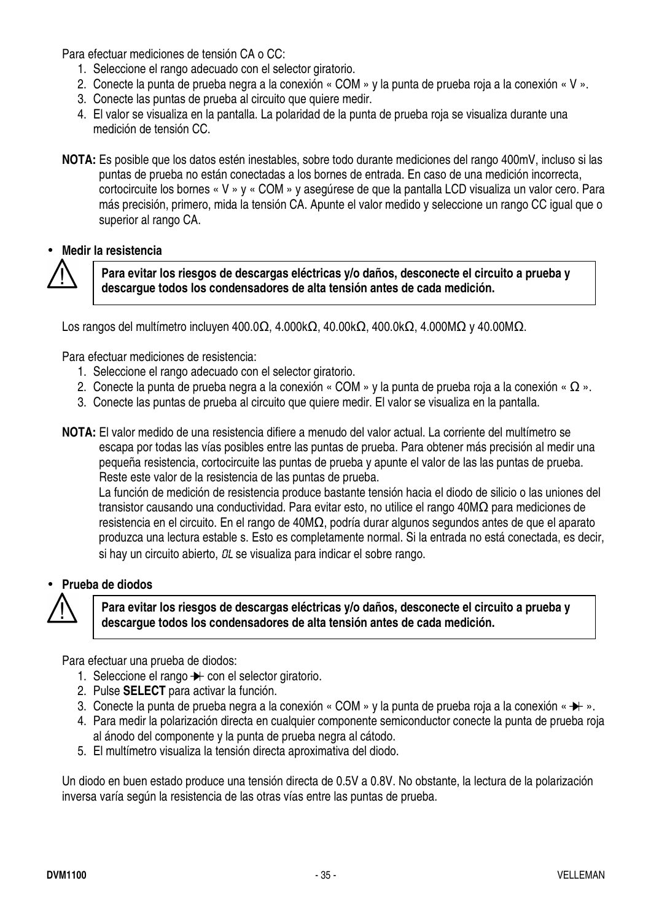Para efectuar mediciones de tensión CA o CC:

- 1. Seleccione el rango adecuado con el selector giratorio.
- 2. Conecte la punta de prueba negra a la conexión « COM » y la punta de prueba roja a la conexión « V ».
- 3. Conecte las puntas de prueba al circuito que quiere medir.
- 4. El valor se visualiza en la pantalla. La polaridad de la punta de prueba roja se visualiza durante una medición de tensión CC.
- **NOTA:** Es posible que los datos estén inestables, sobre todo durante mediciones del rango 400mV, incluso si las puntas de prueba no están conectadas a los bornes de entrada. En caso de una medición incorrecta, cortocircuite los bornes « V » y « COM » y asegúrese de que la pantalla LCD visualiza un valor cero. Para más precisión, primero, mida la tensión CA. Apunte el valor medido y seleccione un rango CC igual que o superior al rango CA.

#### • **Medir la resistencia**



**Para evitar los riesgos de descargas eléctricas y/o daños, desconecte el circuito a prueba y descargue todos los condensadores de alta tensión antes de cada medición.** 

Los rangos del multímetro incluyen 400.0Ω, 4.000kΩ, 40.00kΩ, 400.0kΩ, 4.000MΩ y 40.00MΩ.

Para efectuar mediciones de resistencia:

- 1. Seleccione el rango adecuado con el selector giratorio.
- 2. Conecte la punta de prueba negra a la conexión « COM » y la punta de prueba roja a la conexión « Ω ».
- 3. Conecte las puntas de prueba al circuito que quiere medir. El valor se visualiza en la pantalla.
- **NOTA:** El valor medido de una resistencia difiere a menudo del valor actual. La corriente del multímetro se escapa por todas las vías posibles entre las puntas de prueba. Para obtener más precisión al medir una pequeña resistencia, cortocircuite las puntas de prueba y apunte el valor de las las puntas de prueba. Reste este valor de la resistencia de las puntas de prueba.

La función de medición de resistencia produce bastante tensión hacia el diodo de silicio o las uniones del transistor causando una conductividad. Para evitar esto, no utilice el rango 40MΩ para mediciones de resistencia en el circuito. En el rango de 40MΩ, podría durar algunos segundos antes de que el aparato produzca una lectura estable s. Esto es completamente normal. Si la entrada no está conectada, es decir, si hay un circuito abierto, OL se visualiza para indicar el sobre rango.

• **Prueba de diodos** 



**Para evitar los riesgos de descargas eléctricas y/o daños, desconecte el circuito a prueba y descargue todos los condensadores de alta tensión antes de cada medición.** 

Para efectuar una prueba de diodos:

- 1. Seleccione el rango  $\rightarrow$  con el selector giratorio.
- 2. Pulse **SELECT** para activar la función.
- 3. Conecte la punta de prueba negra a la conexión « COM » y la punta de prueba roja a la conexión «  $\rightarrow\rightarrow$  ».
- 4. Para medir la polarización directa en cualquier componente semiconductor conecte la punta de prueba roja al ánodo del componente y la punta de prueba negra al cátodo.
- 5. El multímetro visualiza la tensión directa aproximativa del diodo.

Un diodo en buen estado produce una tensión directa de 0.5V a 0.8V. No obstante, la lectura de la polarización inversa varía según la resistencia de las otras vías entre las puntas de prueba.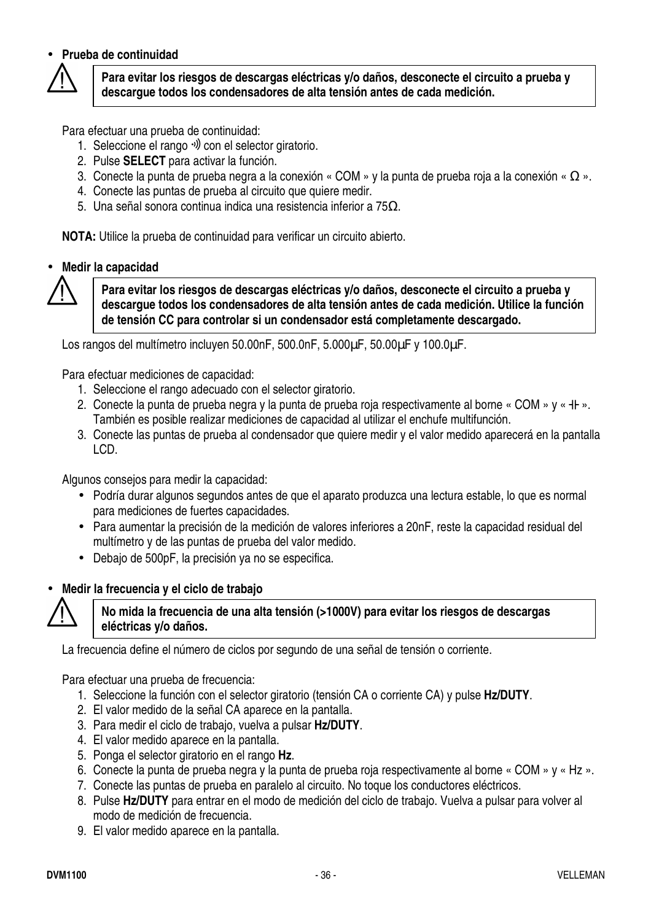#### • **Prueba de continuidad**



**Para evitar los riesgos de descargas eléctricas y/o daños, desconecte el circuito a prueba y descargue todos los condensadores de alta tensión antes de cada medición.** 

Para efectuar una prueba de continuidad:

- 1. Seleccione el rango <sup>v)</sup> con el selector giratorio.
- 2. Pulse **SELECT** para activar la función.
- 3. Conecte la punta de prueba negra a la conexión « COM » y la punta de prueba roja a la conexión « Ω ».
- 4. Conecte las puntas de prueba al circuito que quiere medir.
- 5. Una señal sonora continua indica una resistencia inferior a 75Ω.

**NOTA:** Utilice la prueba de continuidad para verificar un circuito abierto.

#### • **Medir la capacidad**

**Para evitar los riesgos de descargas eléctricas y/o daños, desconecte el circuito a prueba y descargue todos los condensadores de alta tensión antes de cada medición. Utilice la función de tensión CC para controlar si un condensador está completamente descargado.** 

Los rangos del multímetro incluyen 50.00nF, 500.0nF, 5.000µF, 50.00µF y 100.0µF.

Para efectuar mediciones de capacidad:

- 1. Seleccione el rango adecuado con el selector giratorio.
- 2. Conecte la punta de prueba negra y la punta de prueba roja respectivamente al borne « COM » y « + + ». También es posible realizar mediciones de capacidad al utilizar el enchufe multifunción.
- 3. Conecte las puntas de prueba al condensador que quiere medir y el valor medido aparecerá en la pantalla LCD.

Algunos consejos para medir la capacidad:

- Podría durar algunos segundos antes de que el aparato produzca una lectura estable, lo que es normal para mediciones de fuertes capacidades.
- Para aumentar la precisión de la medición de valores inferiores a 20nF, reste la capacidad residual del multímetro y de las puntas de prueba del valor medido.
- Debajo de 500pF, la precisión ya no se especifica.

#### • **Medir la frecuencia y el ciclo de trabajo**



#### **No mida la frecuencia de una alta tensión (>1000V) para evitar los riesgos de descargas eléctricas y/o daños.**

La frecuencia define el número de ciclos por segundo de una señal de tensión o corriente.

Para efectuar una prueba de frecuencia:

- 1. Seleccione la función con el selector giratorio (tensión CA o corriente CA) y pulse **Hz/DUTY**.
- 2. El valor medido de la señal CA aparece en la pantalla.
- 3. Para medir el ciclo de trabajo, vuelva a pulsar **Hz/DUTY**.
- 4. El valor medido aparece en la pantalla.
- 5. Ponga el selector giratorio en el rango **Hz**.
- 6. Conecte la punta de prueba negra y la punta de prueba roja respectivamente al borne « COM » y « Hz ».
- 7. Conecte las puntas de prueba en paralelo al circuito. No toque los conductores eléctricos.
- 8. Pulse **Hz/DUTY** para entrar en el modo de medición del ciclo de trabajo. Vuelva a pulsar para volver al modo de medición de frecuencia.
- 9. El valor medido aparece en la pantalla.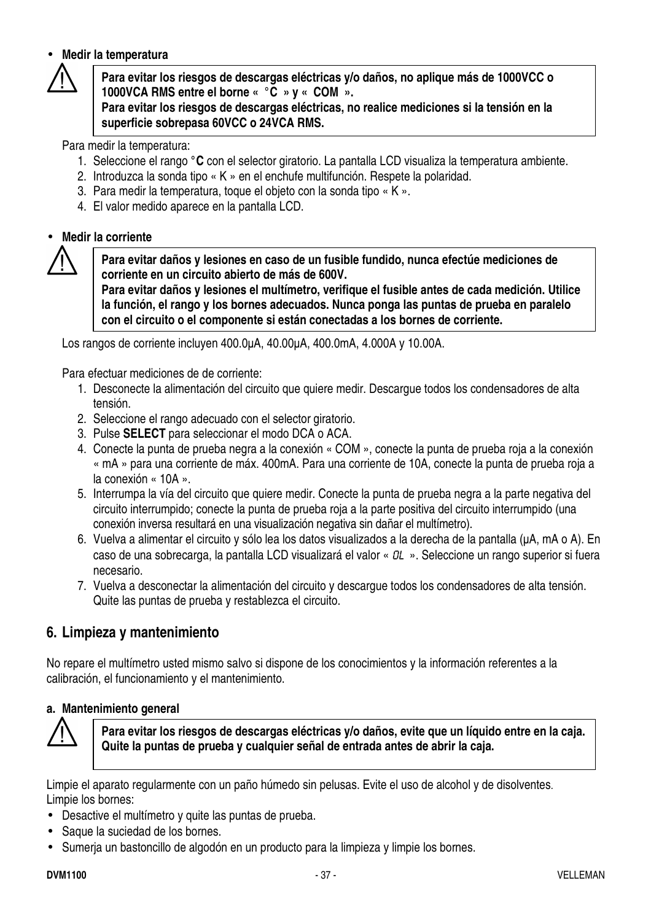#### • **Medir la temperatura**



**Para evitar los riesgos de descargas eléctricas y/o daños, no aplique más de 1000VCC o 1000VCA RMS entre el borne « °C » y « COM ».** 

**Para evitar los riesgos de descargas eléctricas, no realice mediciones si la tensión en la superficie sobrepasa 60VCC o 24VCA RMS.** 

Para medir la temperatura:

- 1. Seleccione el rango **°C** con el selector giratorio. La pantalla LCD visualiza la temperatura ambiente.
- 2. Introduzca la sonda tipo « K » en el enchufe multifunción. Respete la polaridad.
- 3. Para medir la temperatura, toque el objeto con la sonda tipo « K ».
- 4. El valor medido aparece en la pantalla LCD.

#### • **Medir la corriente**



**Para evitar daños y lesiones en caso de un fusible fundido, nunca efectúe mediciones de corriente en un circuito abierto de más de 600V.** 

**Para evitar daños y lesiones el multímetro, verifique el fusible antes de cada medición. Utilice la función, el rango y los bornes adecuados. Nunca ponga las puntas de prueba en paralelo con el circuito o el componente si están conectadas a los bornes de corriente.**

Los rangos de corriente incluyen 400.0µA, 40.00µA, 400.0mA, 4.000A y 10.00A.

Para efectuar mediciones de de corriente:

- 1. Desconecte la alimentación del circuito que quiere medir. Descargue todos los condensadores de alta tensión.
- 2. Seleccione el rango adecuado con el selector giratorio.
- 3. Pulse **SELECT** para seleccionar el modo DCA o ACA.
- 4. Conecte la punta de prueba negra a la conexión « COM », conecte la punta de prueba roja a la conexión « mA » para una corriente de máx. 400mA. Para una corriente de 10A, conecte la punta de prueba roja a la conexión « 10A ».
- 5. Interrumpa la vía del circuito que quiere medir. Conecte la punta de prueba negra a la parte negativa del circuito interrumpido; conecte la punta de prueba roja a la parte positiva del circuito interrumpido (una conexión inversa resultará en una visualización negativa sin dañar el multímetro).
- 6. Vuelva a alimentar el circuito y sólo lea los datos visualizados a la derecha de la pantalla (µA, mA o A). En caso de una sobrecarga, la pantalla LCD visualizará el valor «  $OL \rightarrow$ . Seleccione un rango superior si fuera necesario.
- 7. Vuelva a desconectar la alimentación del circuito y descargue todos los condensadores de alta tensión. Quite las puntas de prueba y restablezca el circuito.

#### **6. Limpieza y mantenimiento**

No repare el multímetro usted mismo salvo si dispone de los conocimientos y la información referentes a la calibración, el funcionamiento y el mantenimiento.

#### **a. Mantenimiento general**



**Para evitar los riesgos de descargas eléctricas y/o daños, evite que un líquido entre en la caja. Quite la puntas de prueba y cualquier señal de entrada antes de abrir la caja.** 

Limpie el aparato regularmente con un paño húmedo sin pelusas. Evite el uso de alcohol y de disolventes. Limpie los bornes:

- Desactive el multímetro y quite las puntas de prueba.
- Saque la suciedad de los bornes.
- Sumerja un bastoncillo de algodón en un producto para la limpieza y limpie los bornes.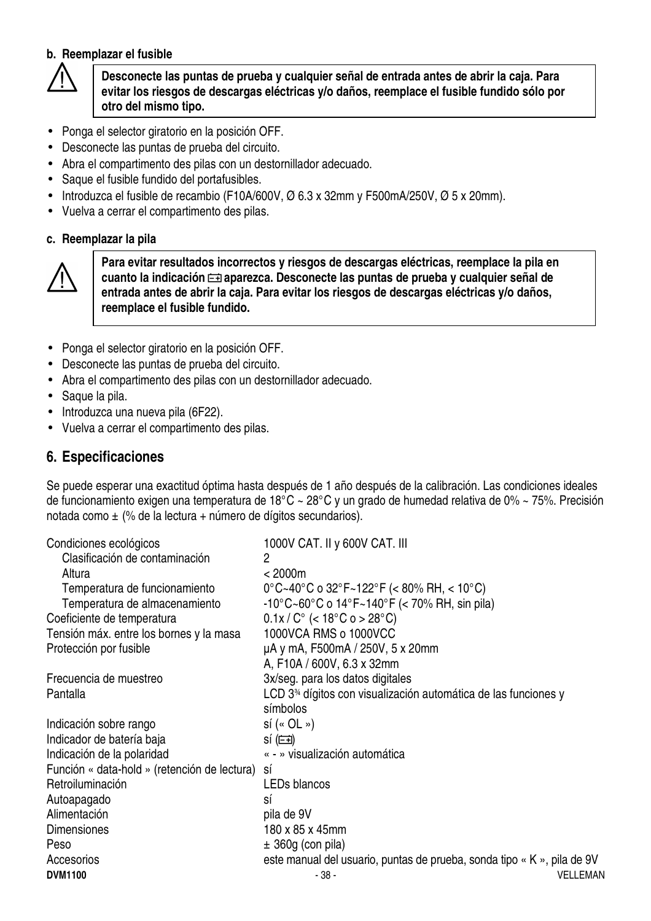#### **b. Reemplazar el fusible**



**Desconecte las puntas de prueba y cualquier señal de entrada antes de abrir la caja. Para evitar los riesgos de descargas eléctricas y/o daños, reemplace el fusible fundido sólo por otro del mismo tipo.**

- Ponga el selector giratorio en la posición OFF.
- Desconecte las puntas de prueba del circuito.
- Abra el compartimento des pilas con un destornillador adecuado.
- Saque el fusible fundido del portafusibles.
- Introduzca el fusible de recambio (F10A/600V,  $\varnothing$  6.3 x 32mm y F500mA/250V,  $\varnothing$  5 x 20mm).
- Vuelva a cerrar el compartimento des pilas.

#### **c. Reemplazar la pila**



**Para evitar resultados incorrectos y riesgos de descargas eléctricas, reemplace la pila en**  cuanto la indicación **<del>□</del> aparezca. Desconecte las puntas de prueba y cualquier señal de entrada antes de abrir la caja. Para evitar los riesgos de descargas eléctricas y/o daños, reemplace el fusible fundido.** 

- Ponga el selector giratorio en la posición OFF.
- Desconecte las puntas de prueba del circuito.
- Abra el compartimento des pilas con un destornillador adecuado.
- Saque la pila.
- Introduzca una nueva pila (6F22).
- Vuelva a cerrar el compartimento des pilas.

#### **6. Especificaciones**

Se puede esperar una exactitud óptima hasta después de 1 año después de la calibración. Las condiciones ideales de funcionamiento exigen una temperatura de 18°C ~ 28°C y un grado de humedad relativa de 0% ~ 75%. Precisión notada como ± (% de la lectura + número de dígitos secundarios).

| Condiciones ecológicos                       | 1000V CAT. II y 600V CAT. III                                                                  |
|----------------------------------------------|------------------------------------------------------------------------------------------------|
| Clasificación de contaminación               | 2                                                                                              |
| Altura                                       | < 2000m                                                                                        |
| Temperatura de funcionamiento                | $0^{\circ}$ C~40 $^{\circ}$ C o 32 $^{\circ}$ F~122 $^{\circ}$ F (< 80% RH, < 10 $^{\circ}$ C) |
| Temperatura de almacenamiento                | $-10^{\circ}$ C $\sim$ 60°C o 14°F $\sim$ 140°F (< 70% RH, sin pila)                           |
| Coeficiente de temperatura                   | $0.1x/C^{\circ}$ (< 18°C o > 28°C)                                                             |
| Tensión máx. entre los bornes y la masa      | 1000VCA RMS o 1000VCC                                                                          |
| Protección por fusible                       | µA y mA, F500mA / 250V, 5 x 20mm                                                               |
|                                              | A, F10A / 600V, 6.3 x 32mm                                                                     |
| Frecuencia de muestreo                       | 3x/seg. para los datos digitales                                                               |
| Pantalla                                     | LCD 3 <sup>34</sup> dígitos con visualización automática de las funciones y                    |
|                                              | símbolos                                                                                       |
| Indicación sobre rango                       | $s$ í (« OL »)                                                                                 |
| Indicador de batería baja                    | $s(f \equiv)$                                                                                  |
| Indicación de la polaridad                   | « - » visualización automática                                                                 |
| Función « data-hold » (retención de lectura) | SÍ                                                                                             |
| Retroiluminación                             | <b>LEDs blancos</b>                                                                            |
| Autoapagado                                  | SÍ                                                                                             |
| Alimentación                                 | pila de 9V                                                                                     |
| <b>Dimensiones</b>                           | 180 x 85 x 45mm                                                                                |
| Peso                                         | $\pm$ 360g (con pila)                                                                          |
| Accesorios                                   | este manual del usuario, puntas de prueba, sonda tipo « K », pila de 9V                        |
| <b>DVM1100</b>                               | <b>VELLEMAN</b><br>- 38 -                                                                      |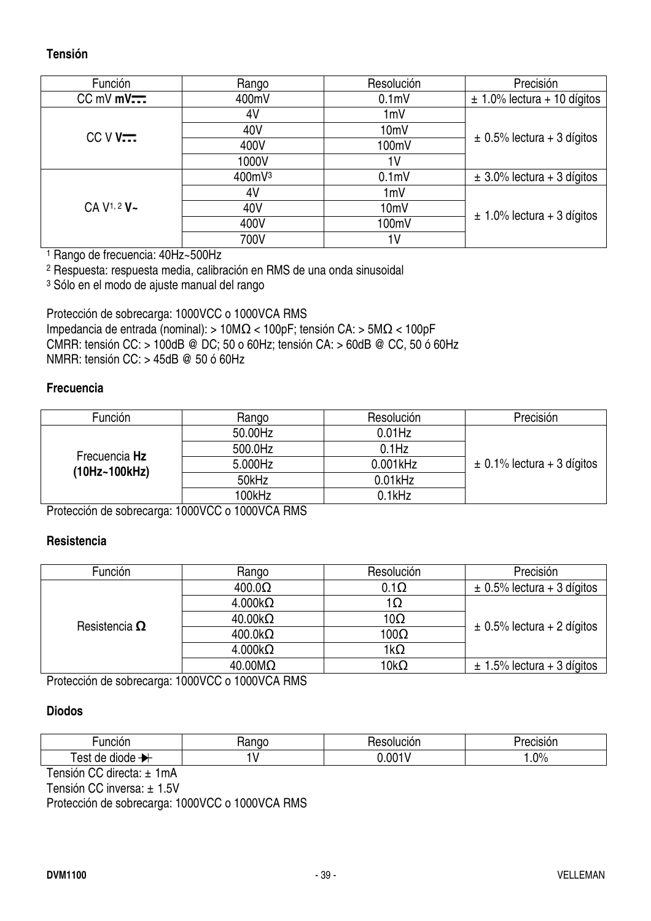#### **Tensión**

| Función                  | Rango  | Resolución       | Precisión                       |
|--------------------------|--------|------------------|---------------------------------|
| $CC$ mV mV $\overline{}$ | 400mV  | 0.1 <sub>m</sub> | $\pm$ 1.0% lectura + 10 dígitos |
|                          | 4V     | 1mV              |                                 |
| $CCVV$                   | 40V    | 10mV             | $\pm$ 0.5% lectura + 3 dígitos  |
|                          | 400V   | 100mV            |                                 |
|                          | 1000V  | 1 <sup>V</sup>   |                                 |
|                          | 400mV3 | 0.1 <sub>m</sub> | $\pm$ 3.0% lectura + 3 dígitos  |
|                          | 4V     | 1mV              |                                 |
| CA V <sup>1, 2</sup> V~  | 40V    | 10mV             | $\pm$ 1.0% lectura + 3 dígitos  |
|                          | 400V   | 100mV            |                                 |
|                          | 700V   | 1۷               |                                 |

1 Rango de frecuencia: 40Hz~500Hz

2 Respuesta: respuesta media, calibración en RMS de una onda sinusoidal

3 Sólo en el modo de ajuste manual del rango

Protección de sobrecarga: 1000VCC o 1000VCA RMS Impedancia de entrada (nominal): > 10MΩ < 100pF; tensión CA: > 5MΩ < 100pF CMRR: tensión CC: > 100dB @ DC; 50 o 60Hz; tensión CA: > 60dB @ CC, 50 ó 60Hz NMRR: tensión CC: > 45dB @ 50 ó 60Hz

#### **Frecuencia**

| Función       | Rango   | Resolución  | Precisión                      |
|---------------|---------|-------------|--------------------------------|
|               | 50.00Hz | $0.01$ Hz   |                                |
| Frecuencia Hz | 500.0Hz | $0.1$ Hz    |                                |
| (10Hz~100kHz) | 5.000Hz | $0.001$ kHz | $\pm$ 0.1% lectura + 3 dígitos |
|               | 50kHz   | $0.01$ kHz  |                                |
|               | 100kHz  | $0.1$ kHz   |                                |

Protección de sobrecarga: 1000VCC o 1000VCA RMS

#### **Resistencia**

| Función              | Rango                  | Resolución  | Precisión                      |
|----------------------|------------------------|-------------|--------------------------------|
|                      | $400.0\Omega$          | $0.1\Omega$ | $\pm$ 0.5% lectura + 3 dígitos |
|                      | $4.000k\Omega$         | 1Ω          |                                |
| Resistencia $\Omega$ | $40.00k\Omega$         | $10\Omega$  | $\pm$ 0.5% lectura + 2 dígitos |
|                      | $400.0k\Omega$         | $100\Omega$ |                                |
|                      | $4.000k\Omega$         | $1k\Omega$  |                                |
|                      | $40.00 \text{M}\Omega$ | 10kΩ        | $\pm$ 1.5% lectura + 3 dígitos |

Protección de sobrecarga: 1000VCC o 1000VCA RMS

#### **Diodos**

| uncion             | nac.<br>٦a | Nucion<br>___ | Precision- |
|--------------------|------------|---------------|------------|
| est<br>diode<br>de |            | 0.001'        | 20%<br>. ب |

Tensión CC directa: ± 1mA

Tensión CC inversa: ± 1.5V

Protección de sobrecarga: 1000VCC o 1000VCA RMS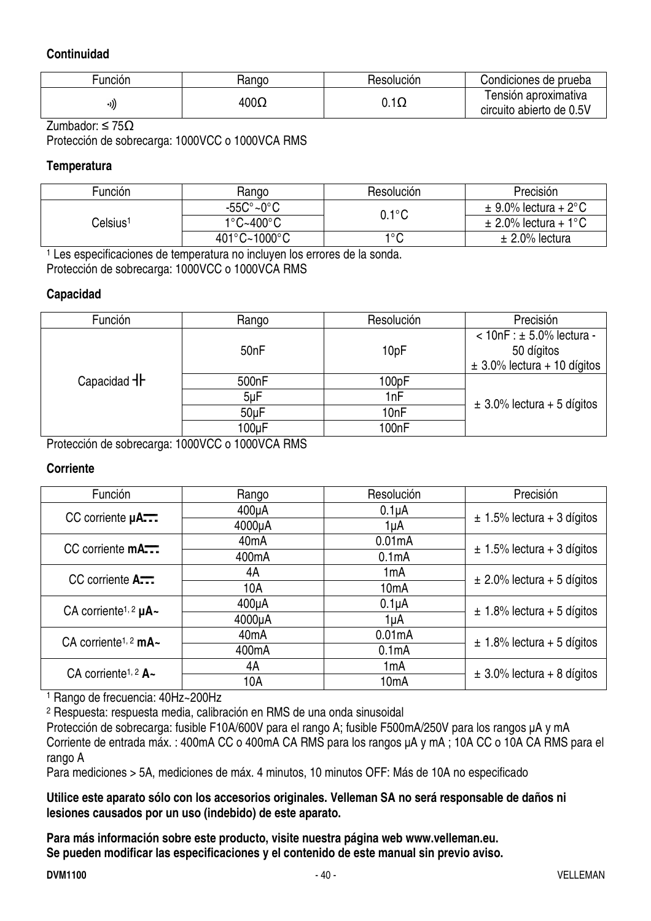#### **Continuidad**

| $\cdot$<br>-unción | Hango       | <b>Hesolucion</b> | Condiciones de prueba    |
|--------------------|-------------|-------------------|--------------------------|
|                    | $400\Omega$ | $\sim$<br>U.I.    | ensión aproximativa      |
| ((۱۰               |             |                   | circuito abierto de 0.5V |

Zumbador: ≤ 75Ω

Protección de sobrecarga: 1000VCC o 1000VCA RMS

#### **Temperatura**

| Función              | Rango                             | Resolución              | Precisión                |
|----------------------|-----------------------------------|-------------------------|--------------------------|
| Celsius <sup>1</sup> | $-55C^{\circ}$ ~0 $^{\circ}$ C    | $0.1^{\circ}\mathrm{C}$ | $\pm$ 9.0% lectura + 2°C |
|                      | $1^{\circ}$ C~400 $^{\circ}$ C    |                         | $\pm$ 2.0% lectura + 1°C |
|                      | $401^{\circ}$ C~1000 $^{\circ}$ C | າ∘∩                     | $\pm$ 2.0% lectura       |

1 Les especificaciones de temperatura no incluyen los errores de la sonda.

Protección de sobrecarga: 1000VCC o 1000VCA RMS

#### **Capacidad**

| Función            | Rango              | Resolución         | Precisión                       |
|--------------------|--------------------|--------------------|---------------------------------|
|                    |                    | 10pF               | $< 10nF : ± 5.0\%$ lectura -    |
|                    | 50 <sub>nF</sub>   |                    | 50 dígitos                      |
|                    |                    |                    | $\pm$ 3.0% lectura + 10 dígitos |
| Capacidad <b>H</b> | 500 <sub>n</sub> F | 100pF              |                                 |
|                    | $5\nu F$           | 1nF                | $\pm$ 3.0% lectura + 5 dígitos  |
|                    | 50 <sub>u</sub> F  | 10 <sub>nF</sub>   |                                 |
|                    | 100uF              | 100 <sub>n</sub> F |                                 |

Protección de sobrecarga: 1000VCC o 1000VCA RMS

#### **Corriente**

| Función                                     | Rango              | Resolución         | Precisión                      |
|---------------------------------------------|--------------------|--------------------|--------------------------------|
| CC corriente µA                             | $400\mu A$         | $0.1\muA$          | $\pm$ 1.5% lectura + 3 dígitos |
|                                             | 4000µA             | 1uA                |                                |
| CC corriente <b>mA</b>                      | 40 <sub>m</sub> A  | 0.01mA             | $\pm$ 1.5% lectura + 3 dígitos |
|                                             | 400 <sub>m</sub> A | 0.1mA              |                                |
| CC corriente A                              | 4A                 | 1mA                | $\pm$ 2.0% lectura + 5 dígitos |
|                                             | 10A                | 10 <sub>m</sub> A  |                                |
| CA corriente <sup>1, 2</sup> $\mu$ A $\sim$ | $400\mu A$         | $0.1\muA$          | $\pm$ 1.8% lectura + 5 dígitos |
|                                             | 4000µA             | 1uA                |                                |
| CA corriente <sup>1, 2</sup> mA $\sim$      | 40 <sub>m</sub> A  | 0.01mA             | $\pm$ 1.8% lectura + 5 dígitos |
|                                             | 400 <sub>m</sub> A | 0.1 <sub>m</sub> A |                                |
| CA corriente <sup>1, 2</sup> $A -$          | 4A                 | 1 <sub>m</sub> A   | $\pm$ 3.0% lectura + 8 dígitos |
|                                             | 10A                | 10 <sub>m</sub> A  |                                |

1 Rango de frecuencia: 40Hz~200Hz

2 Respuesta: respuesta media, calibración en RMS de una onda sinusoidal

Protección de sobrecarga: fusible F10A/600V para el rango A; fusible F500mA/250V para los rangos µA y mA Corriente de entrada máx. : 400mA CC o 400mA CA RMS para los rangos µA y mA ; 10A CC o 10A CA RMS para el rango A

Para mediciones > 5A, mediciones de máx. 4 minutos, 10 minutos OFF: Más de 10A no especificado

**Utilice este aparato sólo con los accesorios originales. Velleman SA no será responsable de daños ni lesiones causados por un uso (indebido) de este aparato.** 

**Para más información sobre este producto, visite nuestra página web www.velleman.eu. Se pueden modificar las especificaciones y el contenido de este manual sin previo aviso.**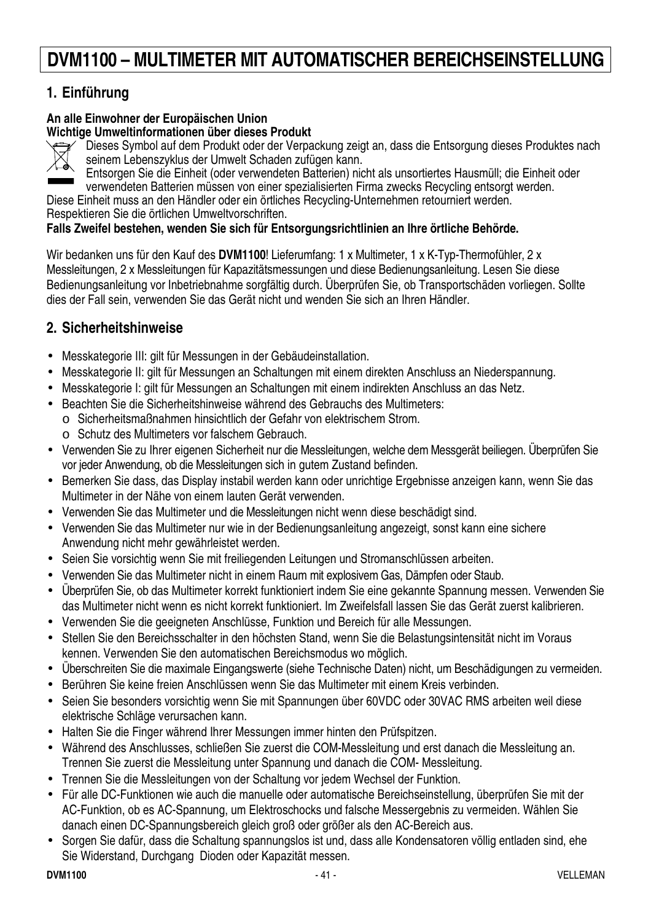## **DVM1100 – MULTIMETER MIT AUTOMATISCHER BEREICHSEINSTELLUNG**

#### **1. Einführung**

#### **An alle Einwohner der Europäischen Union Wichtige Umweltinformationen über dieses Produkt**



Dieses Symbol auf dem Produkt oder der Verpackung zeigt an, dass die Entsorgung dieses Produktes nach seinem Lebenszyklus der Umwelt Schaden zufügen kann.

Entsorgen Sie die Einheit (oder verwendeten Batterien) nicht als unsortiertes Hausmüll; die Einheit oder verwendeten Batterien müssen von einer spezialisierten Firma zwecks Recycling entsorgt werden.

Diese Einheit muss an den Händler oder ein örtliches Recycling-Unternehmen retourniert werden. Respektieren Sie die örtlichen Umweltvorschriften.

#### **Falls Zweifel bestehen, wenden Sie sich für Entsorgungsrichtlinien an Ihre örtliche Behörde.**

Wir bedanken uns für den Kauf des **DVM1100**! Lieferumfang: 1 x Multimeter, 1 x K-Typ-Thermofühler, 2 x Messleitungen, 2 x Messleitungen für Kapazitätsmessungen und diese Bedienungsanleitung. Lesen Sie diese Bedienungsanleitung vor Inbetriebnahme sorgfältig durch. Überprüfen Sie, ob Transportschäden vorliegen. Sollte dies der Fall sein, verwenden Sie das Gerät nicht und wenden Sie sich an Ihren Händler.

#### **2. Sicherheitshinweise**

- Messkategorie III: gilt für Messungen in der Gebäudeinstallation.
- Messkategorie II: gilt für Messungen an Schaltungen mit einem direkten Anschluss an Niederspannung.
- Messkategorie I: gilt für Messungen an Schaltungen mit einem indirekten Anschluss an das Netz.
- Beachten Sie die Sicherheitshinweise während des Gebrauchs des Multimeters:
- o Sicherheitsmaßnahmen hinsichtlich der Gefahr von elektrischem Strom.
	- o Schutz des Multimeters vor falschem Gebrauch.
- Verwenden Sie zu Ihrer eigenen Sicherheit nur die Messleitungen, welche dem Messgerät beiliegen. Überprüfen Sie vor jeder Anwendung, ob die Messleitungen sich in gutem Zustand befinden.
- Bemerken Sie dass, das Display instabil werden kann oder unrichtige Ergebnisse anzeigen kann, wenn Sie das Multimeter in der Nähe von einem lauten Gerät verwenden.
- Verwenden Sie das Multimeter und die Messleitungen nicht wenn diese beschädigt sind.
- Verwenden Sie das Multimeter nur wie in der Bedienungsanleitung angezeigt, sonst kann eine sichere Anwendung nicht mehr gewährleistet werden.
- Seien Sie vorsichtig wenn Sie mit freiliegenden Leitungen und Stromanschlüssen arbeiten.
- Verwenden Sie das Multimeter nicht in einem Raum mit explosivem Gas, Dämpfen oder Staub.
- Überprüfen Sie, ob das Multimeter korrekt funktioniert indem Sie eine gekannte Spannung messen. Verwenden Sie das Multimeter nicht wenn es nicht korrekt funktioniert. Im Zweifelsfall lassen Sie das Gerät zuerst kalibrieren.
- Verwenden Sie die geeigneten Anschlüsse, Funktion und Bereich für alle Messungen.
- Stellen Sie den Bereichsschalter in den höchsten Stand, wenn Sie die Belastungsintensität nicht im Voraus kennen. Verwenden Sie den automatischen Bereichsmodus wo möglich.
- Überschreiten Sie die maximale Eingangswerte (siehe Technische Daten) nicht, um Beschädigungen zu vermeiden.
- Berühren Sie keine freien Anschlüssen wenn Sie das Multimeter mit einem Kreis verbinden.
- Seien Sie besonders vorsichtig wenn Sie mit Spannungen über 60VDC oder 30VAC RMS arbeiten weil diese elektrische Schläge verursachen kann.
- Halten Sie die Finger während Ihrer Messungen immer hinten den Prüfspitzen.
- Während des Anschlusses, schließen Sie zuerst die COM-Messleitung und erst danach die Messleitung an. Trennen Sie zuerst die Messleitung unter Spannung und danach die COM- Messleitung.
- Trennen Sie die Messleitungen von der Schaltung vor jedem Wechsel der Funktion.
- Für alle DC-Funktionen wie auch die manuelle oder automatische Bereichseinstellung, überprüfen Sie mit der AC-Funktion, ob es AC-Spannung, um Elektroschocks und falsche Messergebnis zu vermeiden. Wählen Sie danach einen DC-Spannungsbereich gleich groß oder größer als den AC-Bereich aus.
- Sorgen Sie dafür, dass die Schaltung spannungslos ist und, dass alle Kondensatoren völlig entladen sind, ehe Sie Widerstand, Durchgang Dioden oder Kapazität messen.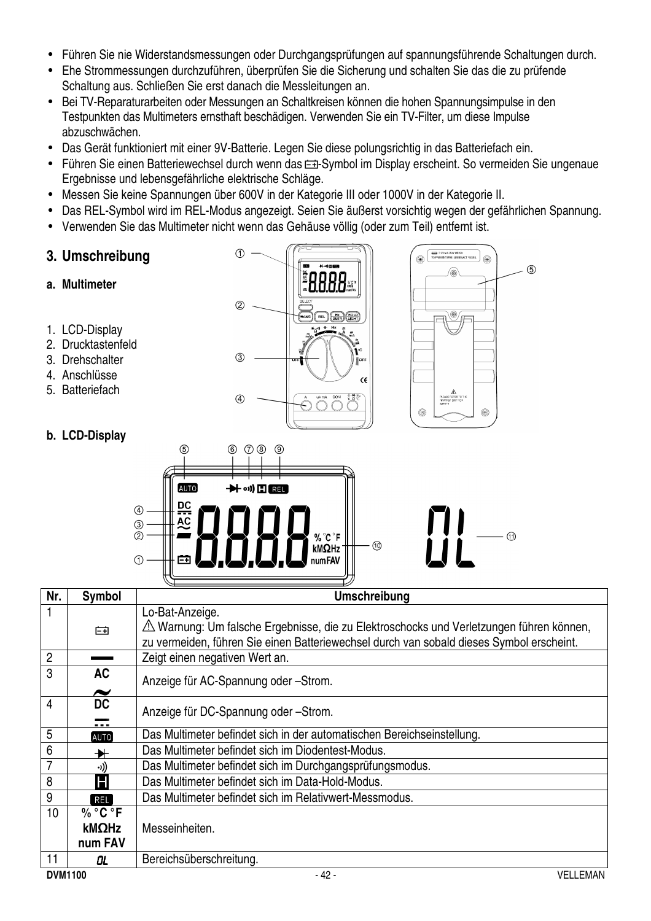- Führen Sie nie Widerstandsmessungen oder Durchgangsprüfungen auf spannungsführende Schaltungen durch.
- Ehe Strommessungen durchzuführen, überprüfen Sie die Sicherung und schalten Sie das die zu prüfende Schaltung aus. Schließen Sie erst danach die Messleitungen an.
- Bei TV-Reparaturarbeiten oder Messungen an Schaltkreisen können die hohen Spannungsimpulse in den Testpunkten das Multimeters ernsthaft beschädigen. Verwenden Sie ein TV-Filter, um diese Impulse abzuschwächen.
- Das Gerät funktioniert mit einer 9V-Batterie. Legen Sie diese polungsrichtig in das Batteriefach ein.
- Führen Sie einen Batteriewechsel durch wenn das  $\equiv$ -Symbol im Display erscheint. So vermeiden Sie ungenaue Ergebnisse und lebensgefährliche elektrische Schläge.
- Messen Sie keine Spannungen über 600V in der Kategorie III oder 1000V in der Kategorie II.
- Das REL-Symbol wird im REL-Modus angezeigt. Seien Sie äußerst vorsichtig wegen der gefährlichen Spannung.
- Verwenden Sie das Multimeter nicht wenn das Gehäuse völlig (oder zum Teil) entfernt ist.
- **3. Umschreibung**
- **a. Multimeter**
- 1. LCD-Display
- 2. Drucktastenfeld
- 3. Drehschalter
- 4. Anschlüsse
- 5. Batteriefach





#### **b. LCD-Display**

|                                                 |                 |                                                                |                            | $\check{~}$<br>$\sim$<br>ॼॾ<br>$\sim$ |                |
|-------------------------------------------------|-----------------|----------------------------------------------------------------|----------------------------|---------------------------------------|----------------|
|                                                 | $\circledS$     | $^{\circledR}$<br>$^\circledR$<br>⑧                            | $^{\circledR}$             |                                       |                |
|                                                 | <b>AUTO</b>     | $\rightarrow$ $\rightarrow$ $\cdot$ $\cdot$ $\blacksquare$ REL |                            |                                       |                |
| $^{\circledR}$<br>$\circledS$<br>$^{\circledR}$ | ₽Ç<br><b>AC</b> |                                                                |                            |                                       | $^{\circledR}$ |
| ➀                                               | $\overline{ }$  |                                                                | % °C °F<br>kMΩHz<br>numFAV |                                       |                |
|                                                 |                 |                                                                |                            |                                       |                |

| Nr.            | <b>Symbol</b>                      | <b>Umschreibung</b>                                                                      |
|----------------|------------------------------------|------------------------------------------------------------------------------------------|
|                |                                    | Lo-Bat-Anzeige.                                                                          |
|                | 臼                                  | △ Warnung: Um falsche Ergebnisse, die zu Elektroschocks und Verletzungen führen können,  |
|                |                                    | zu vermeiden, führen Sie einen Batteriewechsel durch van sobald dieses Symbol erscheint. |
| $\overline{2}$ |                                    | Zeigt einen negativen Wert an.                                                           |
| 3              | <b>AC</b>                          | Anzeige für AC-Spannung oder -Strom.                                                     |
| 4              | $\tilde{\phantom{a}}$<br><b>DC</b> |                                                                                          |
|                |                                    | Anzeige für DC-Spannung oder -Strom.                                                     |
| 5              | AUTO                               | Das Multimeter befindet sich in der automatischen Bereichseinstellung.                   |
| 6              | ₩                                  | Das Multimeter befindet sich im Diodentest-Modus.                                        |
|                | ((د.                               | Das Multimeter befindet sich im Durchgangsprüfungsmodus.                                 |
| 8              | Н                                  | Das Multimeter befindet sich im Data-Hold-Modus.                                         |
| 9              | REL                                | Das Multimeter befindet sich im Relativwert-Messmodus.                                   |
| 10             | $\%$ °C °F                         |                                                                                          |
|                | kMΩHz                              | Messeinheiten.                                                                           |
|                | num FAV                            |                                                                                          |
| 11             | OL                                 | Bereichsüberschreitung.                                                                  |
| <b>DVM1100</b> |                                    | $-42-$<br><b>VELLEMAN</b>                                                                |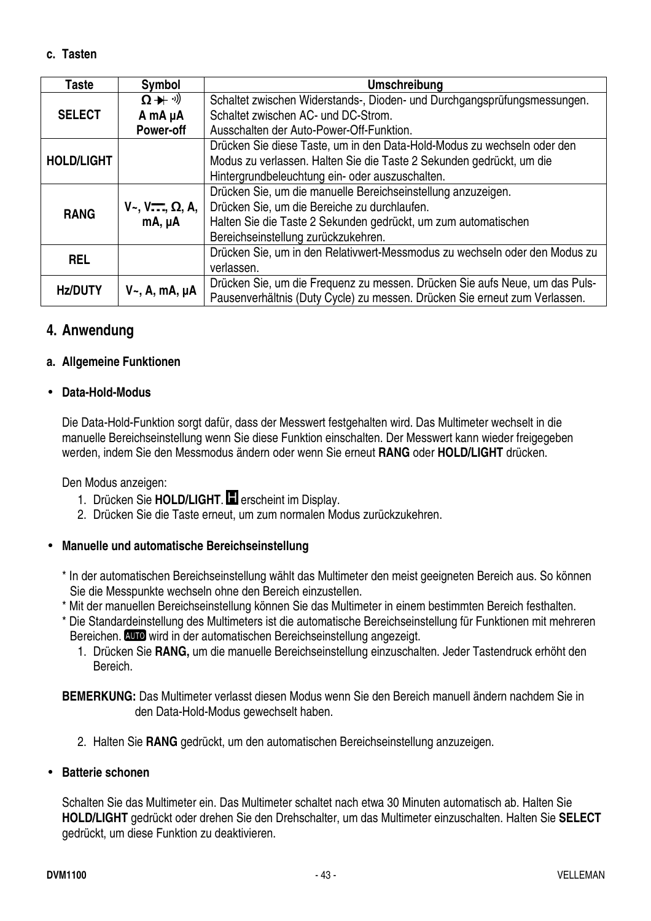**c. Tasten** 

| Taste             | Symbol                                  | <b>Umschreibung</b>                                                         |
|-------------------|-----------------------------------------|-----------------------------------------------------------------------------|
|                   | $\Omega + \theta$                       | Schaltet zwischen Widerstands-, Dioden- und Durchgangsprüfungsmessungen.    |
| <b>SELECT</b>     | A mA µA                                 | Schaltet zwischen AC- und DC-Strom.                                         |
|                   | <b>Power-off</b>                        | Ausschalten der Auto-Power-Off-Funktion.                                    |
|                   |                                         | Drücken Sie diese Taste, um in den Data-Hold-Modus zu wechseln oder den     |
| <b>HOLD/LIGHT</b> |                                         | Modus zu verlassen. Halten Sie die Taste 2 Sekunden gedrückt, um die        |
|                   |                                         | Hintergrundbeleuchtung ein- oder auszuschalten.                             |
|                   |                                         | Drücken Sie, um die manuelle Bereichseinstellung anzuzeigen.                |
| <b>RANG</b>       | $V_{\sim}$ , $V_{\sim}$ , $\Omega$ , A, | Drücken Sie, um die Bereiche zu durchlaufen.                                |
|                   | $mA, \mu A$                             | Halten Sie die Taste 2 Sekunden gedrückt, um zum automatischen              |
|                   |                                         | Bereichseinstellung zurückzukehren.                                         |
| <b>REL</b>        |                                         | Drücken Sie, um in den Relativwert-Messmodus zu wechseln oder den Modus zu  |
|                   |                                         | verlassen.                                                                  |
| <b>Hz/DUTY</b>    |                                         | Drücken Sie, um die Frequenz zu messen. Drücken Sie aufs Neue, um das Puls- |
|                   | $V_{\sim}$ , A, mA, µA                  | Pausenverhältnis (Duty Cycle) zu messen. Drücken Sie erneut zum Verlassen.  |

#### **4. Anwendung**

#### **a. Allgemeine Funktionen**

#### • **Data-Hold-Modus**

Die Data-Hold-Funktion sorgt dafür, dass der Messwert festgehalten wird. Das Multimeter wechselt in die manuelle Bereichseinstellung wenn Sie diese Funktion einschalten. Der Messwert kann wieder freigegeben werden, indem Sie den Messmodus ändern oder wenn Sie erneut **RANG** oder **HOLD/LIGHT** drücken.

Den Modus anzeigen:

- 1. Drücken Sie **HOLD/LIGHT**. erscheint im Display.
- 2. Drücken Sie die Taste erneut, um zum normalen Modus zurückzukehren.

#### • **Manuelle und automatische Bereichseinstellung**

- \* In der automatischen Bereichseinstellung wählt das Multimeter den meist geeigneten Bereich aus. So können Sie die Messpunkte wechseln ohne den Bereich einzustellen.
- \* Mit der manuellen Bereichseinstellung können Sie das Multimeter in einem bestimmten Bereich festhalten.
- \* Die Standardeinstellung des Multimeters ist die automatische Bereichseinstellung für Funktionen mit mehreren Bereichen. **WID** wird in der automatischen Bereichseinstellung angezeigt.
	- 1. Drücken Sie **RANG,** um die manuelle Bereichseinstellung einzuschalten. Jeder Tastendruck erhöht den Bereich.

**BEMERKUNG:** Das Multimeter verlasst diesen Modus wenn Sie den Bereich manuell ändern nachdem Sie in den Data-Hold-Modus gewechselt haben.

2. Halten Sie **RANG** gedrückt, um den automatischen Bereichseinstellung anzuzeigen.

#### • **Batterie schonen**

Schalten Sie das Multimeter ein. Das Multimeter schaltet nach etwa 30 Minuten automatisch ab. Halten Sie **HOLD/LIGHT** gedrückt oder drehen Sie den Drehschalter, um das Multimeter einzuschalten. Halten Sie **SELECT** gedrückt, um diese Funktion zu deaktivieren.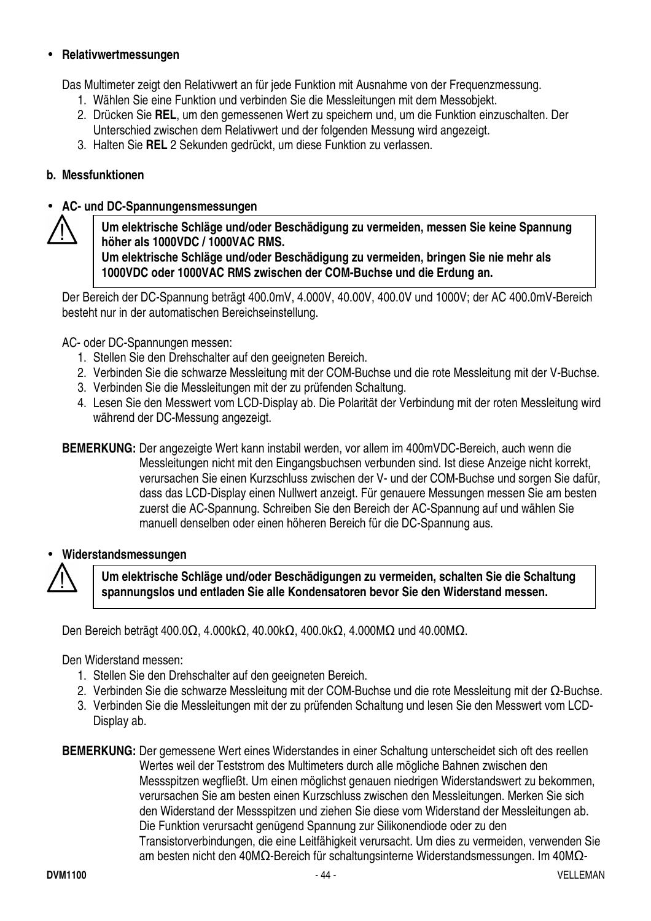#### • **Relativwertmessungen**

Das Multimeter zeigt den Relativwert an für jede Funktion mit Ausnahme von der Frequenzmessung.

- 1. Wählen Sie eine Funktion und verbinden Sie die Messleitungen mit dem Messobjekt.
- 2. Drücken Sie **REL**, um den gemessenen Wert zu speichern und, um die Funktion einzuschalten. Der Unterschied zwischen dem Relativwert und der folgenden Messung wird angezeigt.
- 3. Halten Sie **REL** 2 Sekunden gedrückt, um diese Funktion zu verlassen.

#### **b. Messfunktionen**

#### • **AC- und DC-Spannungensmessungen**



**Um elektrische Schläge und/oder Beschädigung zu vermeiden, messen Sie keine Spannung höher als 1000VDC / 1000VAC RMS. Um elektrische Schläge und/oder Beschädigung zu vermeiden, bringen Sie nie mehr als 1000VDC oder 1000VAC RMS zwischen der COM-Buchse und die Erdung an.** 

Der Bereich der DC-Spannung beträgt 400.0mV, 4.000V, 40.00V, 400.0V und 1000V; der AC 400.0mV-Bereich besteht nur in der automatischen Bereichseinstellung.

AC- oder DC-Spannungen messen:

- 1. Stellen Sie den Drehschalter auf den geeigneten Bereich.
- 2. Verbinden Sie die schwarze Messleitung mit der COM-Buchse und die rote Messleitung mit der V-Buchse.
- 3. Verbinden Sie die Messleitungen mit der zu prüfenden Schaltung.
- 4. Lesen Sie den Messwert vom LCD-Display ab. Die Polarität der Verbindung mit der roten Messleitung wird während der DC-Messung angezeigt.
- **BEMERKUNG:** Der angezeigte Wert kann instabil werden, vor allem im 400mVDC-Bereich, auch wenn die Messleitungen nicht mit den Eingangsbuchsen verbunden sind. Ist diese Anzeige nicht korrekt, verursachen Sie einen Kurzschluss zwischen der V- und der COM-Buchse und sorgen Sie dafür, dass das LCD-Display einen Nullwert anzeigt. Für genauere Messungen messen Sie am besten zuerst die AC-Spannung. Schreiben Sie den Bereich der AC-Spannung auf und wählen Sie manuell denselben oder einen höheren Bereich für die DC-Spannung aus.

#### • **Widerstandsmessungen**



**Um elektrische Schläge und/oder Beschädigungen zu vermeiden, schalten Sie die Schaltung spannungslos und entladen Sie alle Kondensatoren bevor Sie den Widerstand messen.** 

Den Bereich beträgt 400.0Ω, 4.000kΩ, 40.00kΩ, 400.0kΩ, 4.000MΩ und 40.00MΩ.

Den Widerstand messen:

- 1. Stellen Sie den Drehschalter auf den geeigneten Bereich.
- 2. Verbinden Sie die schwarze Messleitung mit der COM-Buchse und die rote Messleitung mit der Ω-Buchse.
- 3. Verbinden Sie die Messleitungen mit der zu prüfenden Schaltung und lesen Sie den Messwert vom LCD-Display ab.

**BEMERKUNG:** Der gemessene Wert eines Widerstandes in einer Schaltung unterscheidet sich oft des reellen Wertes weil der Teststrom des Multimeters durch alle mögliche Bahnen zwischen den Messspitzen wegfließt. Um einen möglichst genauen niedrigen Widerstandswert zu bekommen, verursachen Sie am besten einen Kurzschluss zwischen den Messleitungen. Merken Sie sich den Widerstand der Messspitzen und ziehen Sie diese vom Widerstand der Messleitungen ab. Die Funktion verursacht genügend Spannung zur Silikonendiode oder zu den Transistorverbindungen, die eine Leitfähigkeit verursacht. Um dies zu vermeiden, verwenden Sie am besten nicht den 40MΩ-Bereich für schaltungsinterne Widerstandsmessungen. Im 40MΩ-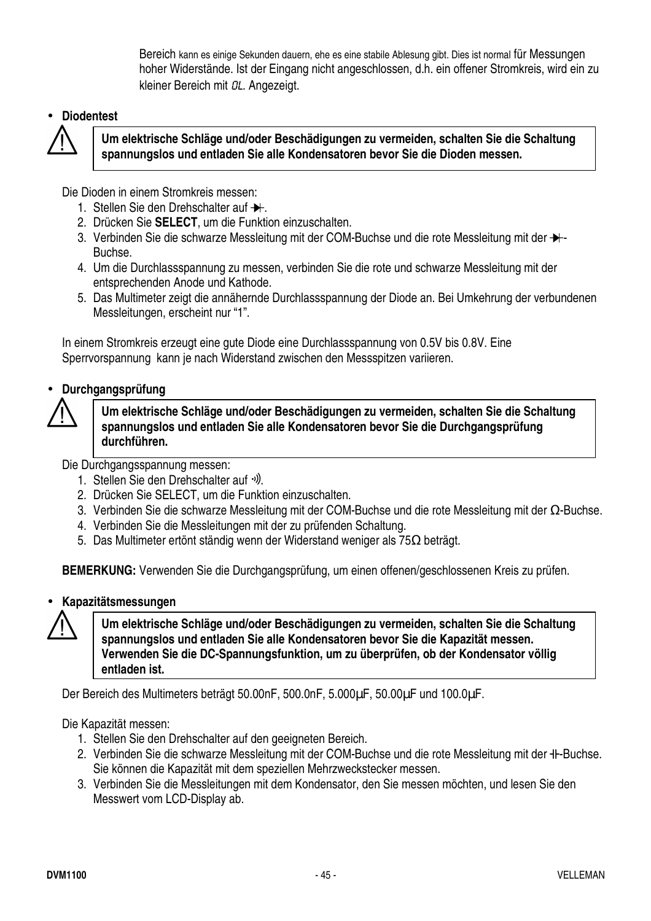Bereich kann es einige Sekunden dauern, ehe es eine stabile Ablesung gibt. Dies ist normal für Messungen hoher Widerstände. Ist der Eingang nicht angeschlossen, d.h. ein offener Stromkreis, wird ein zu kleiner Bereich mit OL. Angezeigt.

#### • **Diodentest**



**Um elektrische Schläge und/oder Beschädigungen zu vermeiden, schalten Sie die Schaltung spannungslos und entladen Sie alle Kondensatoren bevor Sie die Dioden messen.** 

Die Dioden in einem Stromkreis messen:

- 1. Stellen Sie den Drehschalter auf  $\rightarrow$ .
- 2. Drücken Sie **SELECT**, um die Funktion einzuschalten.
- 3. Verbinden Sie die schwarze Messleitung mit der COM-Buchse und die rote Messleitung mit der  $+$ Buchse.
- 4. Um die Durchlassspannung zu messen, verbinden Sie die rote und schwarze Messleitung mit der entsprechenden Anode und Kathode.
- 5. Das Multimeter zeigt die annähernde Durchlassspannung der Diode an. Bei Umkehrung der verbundenen Messleitungen, erscheint nur "1".

In einem Stromkreis erzeugt eine gute Diode eine Durchlassspannung von 0.5V bis 0.8V. Eine Sperrvorspannung kann je nach Widerstand zwischen den Messspitzen variieren.

#### • **Durchgangsprüfung**



**Um elektrische Schläge und/oder Beschädigungen zu vermeiden, schalten Sie die Schaltung spannungslos und entladen Sie alle Kondensatoren bevor Sie die Durchgangsprüfung durchführen.** 

Die Durchgangsspannung messen:

- 1. Stellen Sie den Drehschalter auf  $\cdot$ .
- 2. Drücken Sie SELECT, um die Funktion einzuschalten.
- 3. Verbinden Sie die schwarze Messleitung mit der COM-Buchse und die rote Messleitung mit der Ω-Buchse.
- 4. Verbinden Sie die Messleitungen mit der zu prüfenden Schaltung.
- 5. Das Multimeter ertönt ständig wenn der Widerstand weniger als 75Ω beträgt.

**BEMERKUNG:** Verwenden Sie die Durchgangsprüfung, um einen offenen/geschlossenen Kreis zu prüfen.

#### • **Kapazitätsmessungen**

**Um elektrische Schläge und/oder Beschädigungen zu vermeiden, schalten Sie die Schaltung spannungslos und entladen Sie alle Kondensatoren bevor Sie die Kapazität messen. Verwenden Sie die DC-Spannungsfunktion, um zu überprüfen, ob der Kondensator völlig entladen ist.**

Der Bereich des Multimeters beträgt 50.00nF, 500.0nF, 5.000µF, 50.00µF und 100.0µF.

Die Kapazität messen:

- 1. Stellen Sie den Drehschalter auf den geeigneten Bereich.
- 2. Verbinden Sie die schwarze Messleitung mit der COM-Buchse und die rote Messleitung mit der <sup>+</sup>I-Buchse. Sie können die Kapazität mit dem speziellen Mehrzweckstecker messen.
- 3. Verbinden Sie die Messleitungen mit dem Kondensator, den Sie messen möchten, und lesen Sie den Messwert vom LCD-Display ab.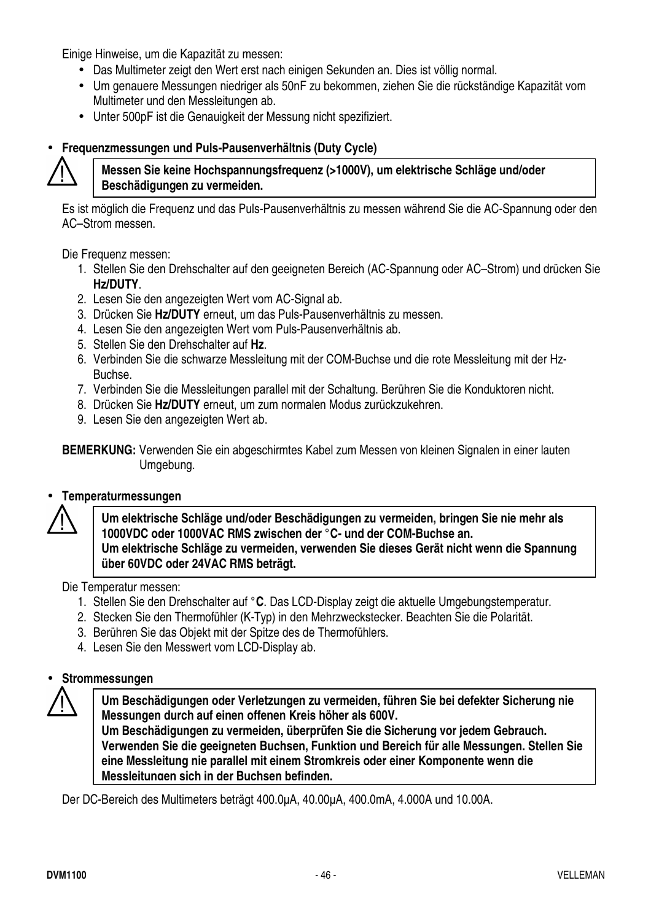Einige Hinweise, um die Kapazität zu messen:

- Das Multimeter zeigt den Wert erst nach einigen Sekunden an. Dies ist völlig normal.
- Um genauere Messungen niedriger als 50nF zu bekommen, ziehen Sie die rückständige Kapazität vom Multimeter und den Messleitungen ab.
- Unter 500pF ist die Genauigkeit der Messung nicht spezifiziert.

#### • **Frequenzmessungen und Puls-Pausenverhältnis (Duty Cycle)**



#### **Messen Sie keine Hochspannungsfrequenz (>1000V), um elektrische Schläge und/oder Beschädigungen zu vermeiden.**

Es ist möglich die Frequenz und das Puls-Pausenverhältnis zu messen während Sie die AC-Spannung oder den AC–Strom messen.

Die Frequenz messen:

- 1. Stellen Sie den Drehschalter auf den geeigneten Bereich (AC-Spannung oder AC–Strom) und drücken Sie **Hz/DUTY**.
- 2. Lesen Sie den angezeigten Wert vom AC-Signal ab.
- 3. Drücken Sie **Hz/DUTY** erneut, um das Puls-Pausenverhältnis zu messen.
- 4. Lesen Sie den angezeigten Wert vom Puls-Pausenverhältnis ab.
- 5. Stellen Sie den Drehschalter auf **Hz**.
- 6. Verbinden Sie die schwarze Messleitung mit der COM-Buchse und die rote Messleitung mit der Hz-Buchse.
- 7. Verbinden Sie die Messleitungen parallel mit der Schaltung. Berühren Sie die Konduktoren nicht.
- 8. Drücken Sie **Hz/DUTY** erneut, um zum normalen Modus zurückzukehren.
- 9. Lesen Sie den angezeigten Wert ab.

**BEMERKUNG:** Verwenden Sie ein abgeschirmtes Kabel zum Messen von kleinen Signalen in einer lauten Umgebung.

#### • **Temperaturmessungen**

**Um elektrische Schläge und/oder Beschädigungen zu vermeiden, bringen Sie nie mehr als 1000VDC oder 1000VAC RMS zwischen der °C- und der COM-Buchse an. Um elektrische Schläge zu vermeiden, verwenden Sie dieses Gerät nicht wenn die Spannung über 60VDC oder 24VAC RMS beträgt.** 

Die Temperatur messen:

- 1. Stellen Sie den Drehschalter auf **°C**. Das LCD-Display zeigt die aktuelle Umgebungstemperatur.
- 2. Stecken Sie den Thermofühler (K-Typ) in den Mehrzweckstecker. Beachten Sie die Polarität.
- 3. Berühren Sie das Objekt mit der Spitze des de Thermofühlers.
- 4. Lesen Sie den Messwert vom LCD-Display ab.

#### • **Strommessungen**

**Um Beschädigungen oder Verletzungen zu vermeiden, führen Sie bei defekter Sicherung nie Messungen durch auf einen offenen Kreis höher als 600V. Um Beschädigungen zu vermeiden, überprüfen Sie die Sicherung vor jedem Gebrauch. Verwenden Sie die geeigneten Buchsen, Funktion und Bereich für alle Messungen. Stellen Sie eine Messleitung nie parallel mit einem Stromkreis oder einer Komponente wenn die** 

**Messleitungen sich in der Buchsen befinden.**

Der DC-Bereich des Multimeters beträgt 400.0µA, 40.00µA, 400.0mA, 4.000A und 10.00A.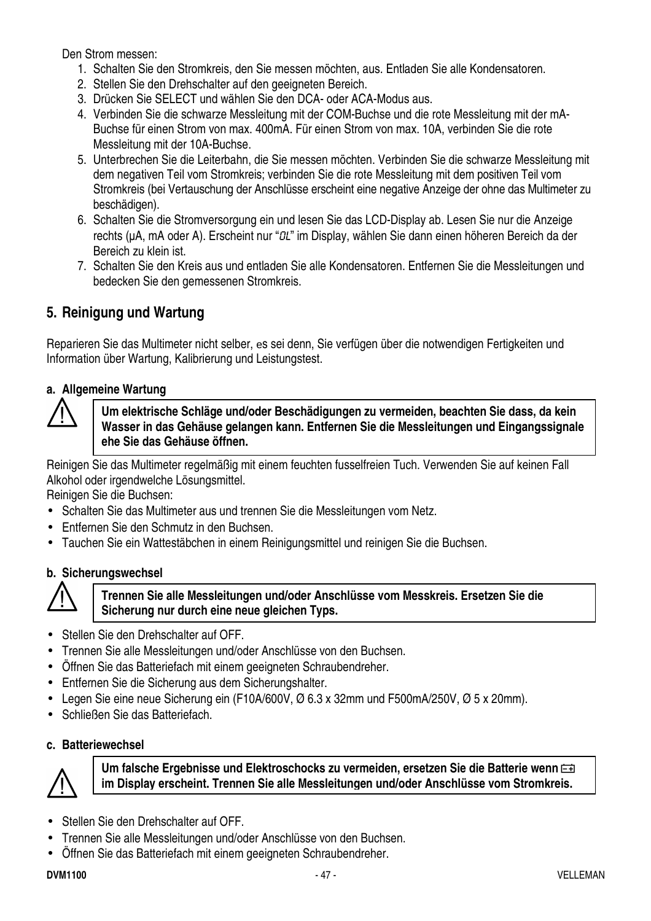Den Strom messen:

- 1. Schalten Sie den Stromkreis, den Sie messen möchten, aus. Entladen Sie alle Kondensatoren.
- 2. Stellen Sie den Drehschalter auf den geeigneten Bereich.
- 3. Drücken Sie SELECT und wählen Sie den DCA- oder ACA-Modus aus.
- 4. Verbinden Sie die schwarze Messleitung mit der COM-Buchse und die rote Messleitung mit der mA-Buchse für einen Strom von max. 400mA. Für einen Strom von max. 10A, verbinden Sie die rote Messleitung mit der 10A-Buchse.
- 5. Unterbrechen Sie die Leiterbahn, die Sie messen möchten. Verbinden Sie die schwarze Messleitung mit dem negativen Teil vom Stromkreis; verbinden Sie die rote Messleitung mit dem positiven Teil vom Stromkreis (bei Vertauschung der Anschlüsse erscheint eine negative Anzeige der ohne das Multimeter zu beschädigen).
- 6. Schalten Sie die Stromversorgung ein und lesen Sie das LCD-Display ab. Lesen Sie nur die Anzeige rechts (uA, mA oder A). Erscheint nur "QL" im Display, wählen Sie dann einen höheren Bereich da der Bereich zu klein ist.
- 7. Schalten Sie den Kreis aus und entladen Sie alle Kondensatoren. Entfernen Sie die Messleitungen und bedecken Sie den gemessenen Stromkreis.

#### **5. Reinigung und Wartung**

Reparieren Sie das Multimeter nicht selber, es sei denn, Sie verfügen über die notwendigen Fertigkeiten und Information über Wartung, Kalibrierung und Leistungstest.

#### **a. Allgemeine Wartung**



**Um elektrische Schläge und/oder Beschädigungen zu vermeiden, beachten Sie dass, da kein Wasser in das Gehäuse gelangen kann. Entfernen Sie die Messleitungen und Eingangssignale ehe Sie das Gehäuse öffnen.** 

Reinigen Sie das Multimeter regelmäßig mit einem feuchten fusselfreien Tuch. Verwenden Sie auf keinen Fall Alkohol oder irgendwelche Lösungsmittel.

Reinigen Sie die Buchsen:

- Schalten Sie das Multimeter aus und trennen Sie die Messleitungen vom Netz.
- Entfernen Sie den Schmutz in den Buchsen.
- Tauchen Sie ein Wattestäbchen in einem Reinigungsmittel und reinigen Sie die Buchsen.

#### **b. Sicherungswechsel**



#### **Trennen Sie alle Messleitungen und/oder Anschlüsse vom Messkreis. Ersetzen Sie die Sicherung nur durch eine neue gleichen Typs.**

- Stellen Sie den Drehschalter auf OFF.
- Trennen Sie alle Messleitungen und/oder Anschlüsse von den Buchsen.
- Öffnen Sie das Batteriefach mit einem geeigneten Schraubendreher.
- Entfernen Sie die Sicherung aus dem Sicherungshalter.
- Legen Sie eine neue Sicherung ein (F10A/600V, Ø 6.3 x 32mm und F500mA/250V, Ø 5 x 20mm).
- Schließen Sie das Batteriefach.
- **c. Batteriewechsel**



**Um falsche Ergebnisse und Elektroschocks zu vermeiden, ersetzen Sie die Batterie wenn im Display erscheint. Trennen Sie alle Messleitungen und/oder Anschlüsse vom Stromkreis.**

- Stellen Sie den Drehschalter auf OFF.
- Trennen Sie alle Messleitungen und/oder Anschlüsse von den Buchsen.
- Öffnen Sie das Batteriefach mit einem geeigneten Schraubendreher.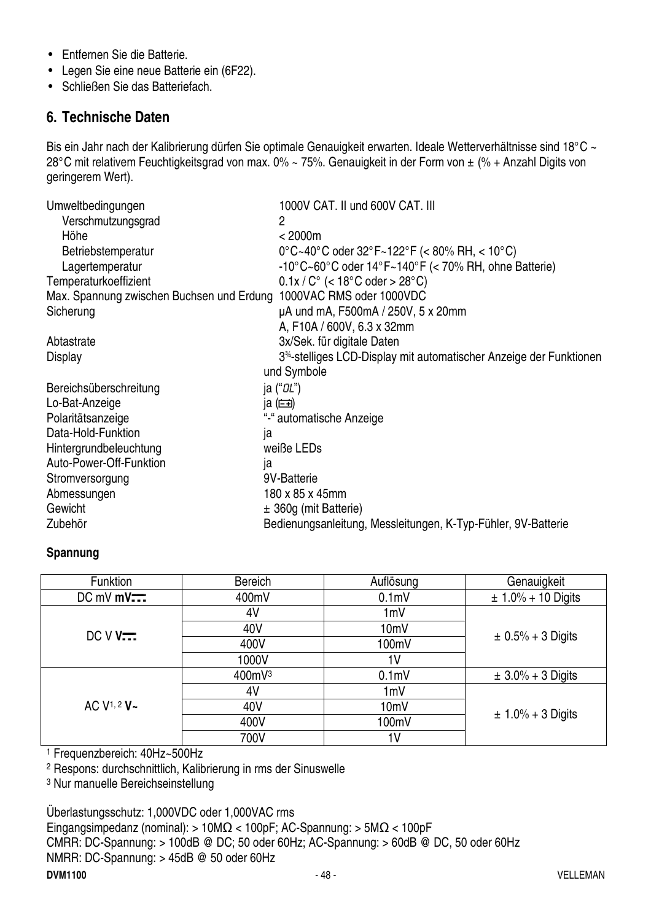- Entfernen Sie die Batterie.
- Legen Sie eine neue Batterie ein (6F22).
- Schließen Sie das Batteriefach.

#### **6. Technische Daten**

Bis ein Jahr nach der Kalibrierung dürfen Sie optimale Genauigkeit erwarten. Ideale Wetterverhältnisse sind 18°C ~ 28°C mit relativem Feuchtigkeitsgrad von max. 0% ~ 75%. Genauigkeit in der Form von ± (% + Anzahl Digits von geringerem Wert).

| Umweltbedingungen                                                  | 1000V CAT. II und 600V CAT. III                                                 |
|--------------------------------------------------------------------|---------------------------------------------------------------------------------|
| Verschmutzungsgrad                                                 | 2                                                                               |
| Höhe                                                               | < 2000m                                                                         |
| Betriebstemperatur                                                 | 0°C~40°C oder 32°F~122°F (< 80% RH, < 10°C)                                     |
| Lagertemperatur                                                    | $-10^{\circ}$ C $\sim$ 60°C oder 14°F $\sim$ 140°F (< 70% RH, ohne Batterie)    |
| Temperaturkoeffizient                                              | $0.1x/C^{\circ}$ (< 18°C oder > 28°C)                                           |
| Max. Spannung zwischen Buchsen und Erdung 1000VAC RMS oder 1000VDC |                                                                                 |
| Sicherung                                                          | µA und mA, F500mA / 250V, 5 x 20mm                                              |
|                                                                    | A, F10A / 600V, 6.3 x 32mm                                                      |
| Abtastrate                                                         | 3x/Sek. für digitale Daten                                                      |
| <b>Display</b>                                                     | 3 <sup>34</sup> -stelliges LCD-Display mit automatischer Anzeige der Funktionen |
|                                                                    | und Symbole                                                                     |
| Bereichsüberschreitung                                             | ja (" <i>0L</i> ")                                                              |
| Lo-Bat-Anzeige                                                     | ja $(\equiv)$                                                                   |
| Polaritätsanzeige                                                  | "-" automatische Anzeige                                                        |
| Data-Hold-Funktion                                                 | ja                                                                              |
| Hintergrundbeleuchtung                                             | weiße LEDs                                                                      |
| Auto-Power-Off-Funktion                                            | ja                                                                              |
| Stromversorgung                                                    | 9V-Batterie                                                                     |
| Abmessungen                                                        | 180 x 85 x 45mm                                                                 |
| Gewicht                                                            | ± 360g (mit Batterie)                                                           |
| Zubehör                                                            | Bedienungsanleitung, Messleitungen, K-Typ-Fühler, 9V-Batterie                   |

#### **Spannung**

| Funktion                         | <b>Bereich</b> | Auflösung         | Genauigkeit            |
|----------------------------------|----------------|-------------------|------------------------|
| $DC$ mV $mV$ $\overline{\cdots}$ | 400mV          | 0.1 <sub>m</sub>  | $± 1.0% + 10$ Digits   |
|                                  | 4V             | 1mV               |                        |
| DCVV                             | 40V            | 10mV              |                        |
|                                  | 400V           | 100mV             | $\pm$ 0.5% + 3 Digits  |
|                                  | 1000V          | 1 <sup>V</sup>    |                        |
| AC $V^{1, 2}$ V ~                | 400mV3         | 0.1 <sub>m</sub>  | $\pm 3.0\% + 3$ Digits |
|                                  | 4V             | 1mV               |                        |
|                                  | 40V            | 10 <sub>m</sub> V |                        |
|                                  | 400V           | 100mV             | $\pm 1.0\% + 3$ Digits |
|                                  | 700V           | 1 <sup>V</sup>    |                        |

1 Frequenzbereich: 40Hz~500Hz

2 Respons: durchschnittlich, Kalibrierung in rms der Sinuswelle

3 Nur manuelle Bereichseinstellung

Überlastungsschutz: 1,000VDC oder 1,000VAC rms

Eingangsimpedanz (nominal): > 10MΩ < 100pF; AC-Spannung: > 5MΩ < 100pF CMRR: DC-Spannung: > 100dB @ DC; 50 oder 60Hz; AC-Spannung: > 60dB @ DC, 50 oder 60Hz NMRR: DC-Spannung: > 45dB @ 50 oder 60Hz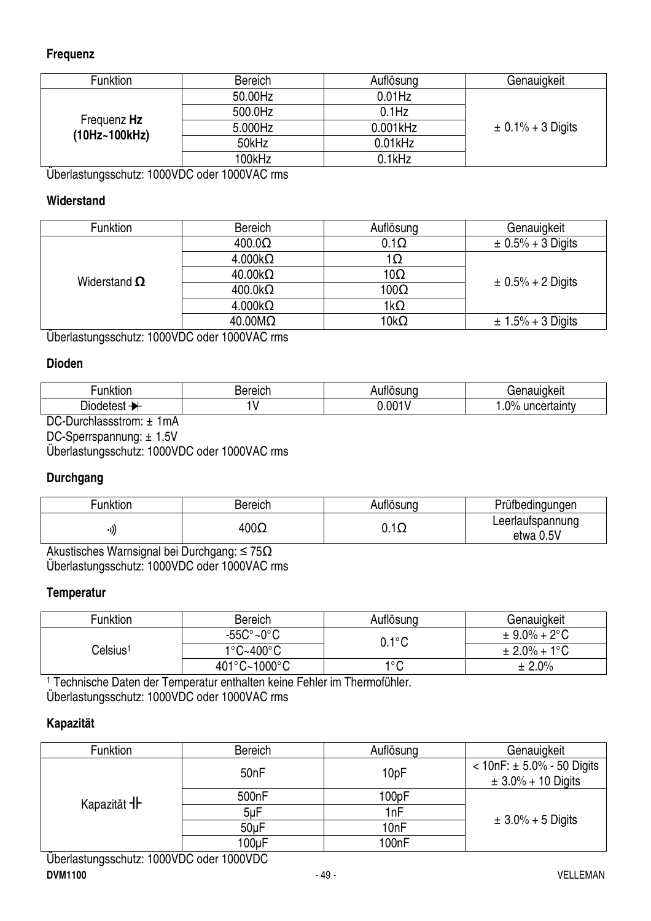#### **Frequenz**

| Funktion                     | <b>Bereich</b> | Auflösung  | Genauigkeit           |
|------------------------------|----------------|------------|-----------------------|
| Frequenz Hz<br>(10Hz~100kHz) | 50.00Hz        | $0.01$ Hz  |                       |
|                              | 500.0Hz        | $0.1$ Hz   |                       |
|                              | 5.000Hz        | 0.001kHz   | $\pm$ 0.1% + 3 Digits |
|                              | 50kHz          | $0.01$ kHz |                       |
|                              | 100kHz         | $0.1$ kHz  |                       |

Überlastungsschutz: 1000VDC oder 1000VAC rms

#### **Widerstand**

| <b>Funktion</b>     | <b>Bereich</b>         | Auflösung             | Genauigkeit           |
|---------------------|------------------------|-----------------------|-----------------------|
| Widerstand $\Omega$ | $400.0\Omega$          | $0.1\Omega$           | $\pm$ 0.5% + 3 Digits |
|                     | $4.000k\Omega$         | 1 <u>1          1</u> |                       |
|                     | $40.00k\Omega$         | $10\Omega$            | $\pm$ 0.5% + 2 Digits |
|                     | $400.0k\Omega$         | $100\Omega$           |                       |
|                     | $4.000k\Omega$         | $1k\Omega$            |                       |
|                     | $40.00 \text{M}\Omega$ | $10k\Omega$           | $± 1.5% + 3$ Digits   |

Überlastungsschutz: 1000VDC oder 1000VAC rms

#### **Dioden**

| .<br>.<br>unktion | ereich<br>oe. | .<br>.<br>sunc | . 1<br><br>'ukei⊾<br>-                                   |
|-------------------|---------------|----------------|----------------------------------------------------------|
| - -<br>Jiodetest  | v             | $0.00^{4}$     | $\mathsf{D}^0$<br>uncertainty<br>.,,<br>. . $\mathbf{v}$ |

DC-Durchlassstrom: ± 1mA

DC-Sperrspannung: ± 1.5V Überlastungsschutz: 1000VDC oder 1000VAC rms

#### **Durchgang**

| Funktion | Bereich     | Auflösuna         | Prüfbedingungen               |
|----------|-------------|-------------------|-------------------------------|
| ((۱۰     | $400\Omega$ | $\sim$<br>∪. . ⊾∠ | Leerlaufspannung<br>etwa 0.5V |

Akustisches Warnsignal bei Durchgang: ≤ 75Ω Überlastungsschutz: 1000VDC oder 1000VAC rms

#### **Temperatur**

| Funktion             | <b>Bereich</b>                 | Auflösuna              | Genauigkeit              |
|----------------------|--------------------------------|------------------------|--------------------------|
| Celsius <sup>1</sup> | $-55C^{\circ}$ ~0 $^{\circ}$ C | $0.1^{\circ} \text{C}$ | $\pm$ 9.0% + 2°C         |
|                      | $1^{\circ}$ C~400 $^{\circ}$ C |                        | $\pm 2.0\% + 1\degree C$ |
|                      | 401°C~1000°C                   | 1°C                    | ± 2.0%                   |

1 Technische Daten der Temperatur enthalten keine Fehler im Thermofühler. Überlastungsschutz: 1000VDC oder 1000VAC rms

#### **Kapazität**

| Funktion           | <b>Bereich</b>     | Auflösung | Genauigkeit                                                 |  |
|--------------------|--------------------|-----------|-------------------------------------------------------------|--|
| Kapazität <b>1</b> | 50 <sub>n</sub> F  | 10pF      | $<$ 10nF: $\pm$ 5.0% - 50 Digits<br>$\pm 3.0\% + 10$ Digits |  |
|                    | 500 <sub>n</sub> F | 100pF     |                                                             |  |
|                    | $5\nu F$           | 1nF       | $\pm 3.0\% + 5$ Digits                                      |  |
|                    | 50 <sub>u</sub> F  | 10nF      |                                                             |  |
|                    | 100uF              | 100nF     |                                                             |  |
|                    |                    |           |                                                             |  |